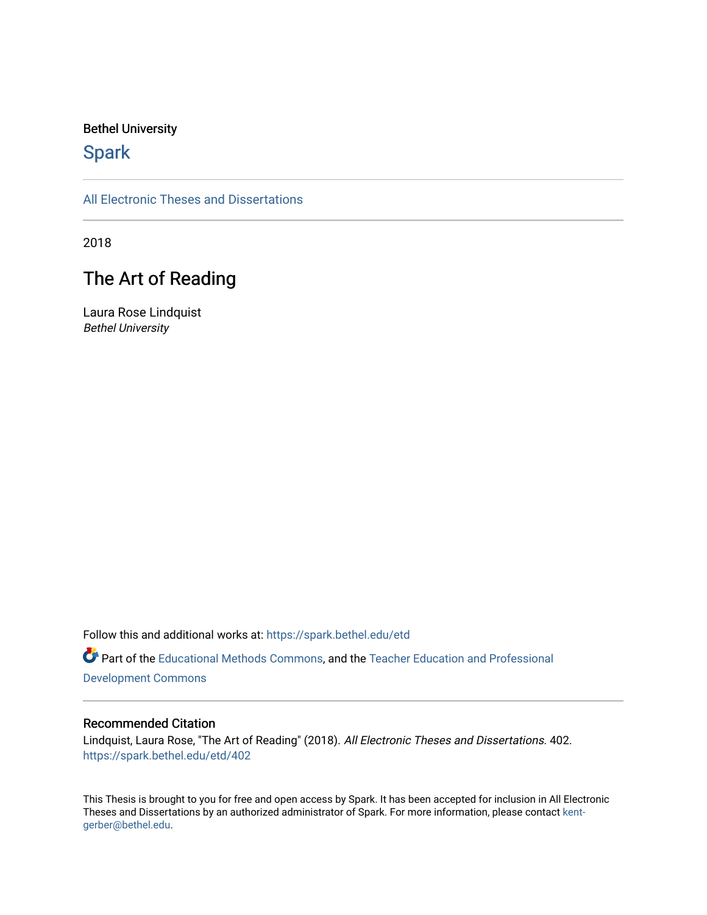#### Bethel University

## **Spark**

[All Electronic Theses and Dissertations](https://spark.bethel.edu/etd) 

2018

## The Art of Reading

Laura Rose Lindquist Bethel University

Follow this and additional works at: [https://spark.bethel.edu/etd](https://spark.bethel.edu/etd?utm_source=spark.bethel.edu%2Fetd%2F402&utm_medium=PDF&utm_campaign=PDFCoverPages)

Part of the [Educational Methods Commons,](http://network.bepress.com/hgg/discipline/1227?utm_source=spark.bethel.edu%2Fetd%2F402&utm_medium=PDF&utm_campaign=PDFCoverPages) and the [Teacher Education and Professional](http://network.bepress.com/hgg/discipline/803?utm_source=spark.bethel.edu%2Fetd%2F402&utm_medium=PDF&utm_campaign=PDFCoverPages)  [Development Commons](http://network.bepress.com/hgg/discipline/803?utm_source=spark.bethel.edu%2Fetd%2F402&utm_medium=PDF&utm_campaign=PDFCoverPages) 

#### Recommended Citation

Lindquist, Laura Rose, "The Art of Reading" (2018). All Electronic Theses and Dissertations. 402. [https://spark.bethel.edu/etd/402](https://spark.bethel.edu/etd/402?utm_source=spark.bethel.edu%2Fetd%2F402&utm_medium=PDF&utm_campaign=PDFCoverPages)

This Thesis is brought to you for free and open access by Spark. It has been accepted for inclusion in All Electronic Theses and Dissertations by an authorized administrator of Spark. For more information, please contact [kent](mailto:kent-gerber@bethel.edu)[gerber@bethel.edu.](mailto:kent-gerber@bethel.edu)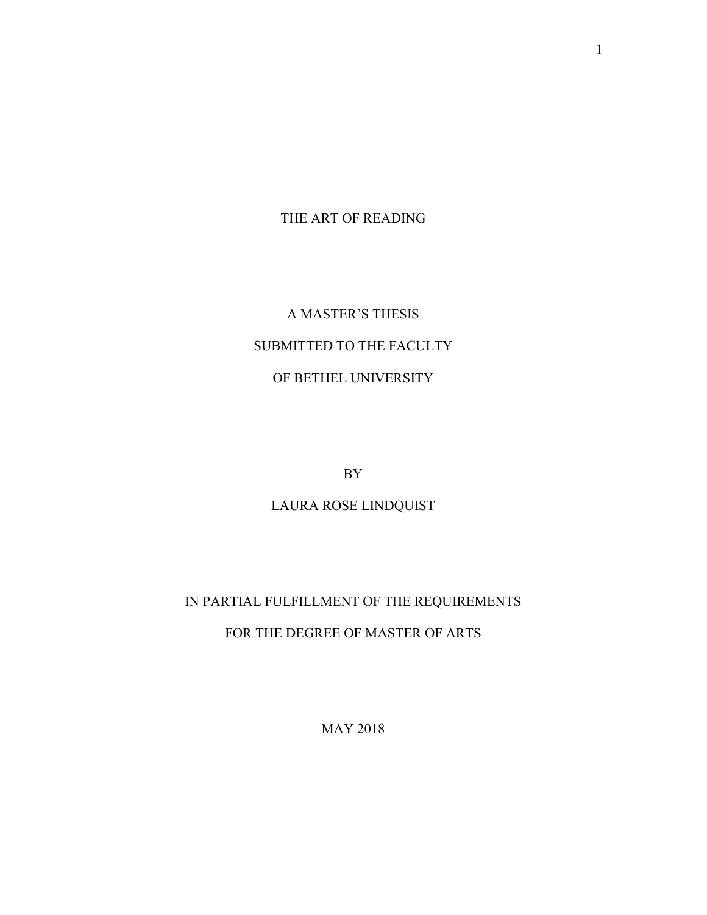THE ART OF READING

# A MASTER'S THESIS SUBMITTED TO THE FACULTY OF BETHEL UNIVERSITY

BY

LAURA ROSE LINDQUIST

## IN PARTIAL FULFILLMENT OF THE REQUIREMENTS

FOR THE DEGREE OF MASTER OF ARTS

MAY 2018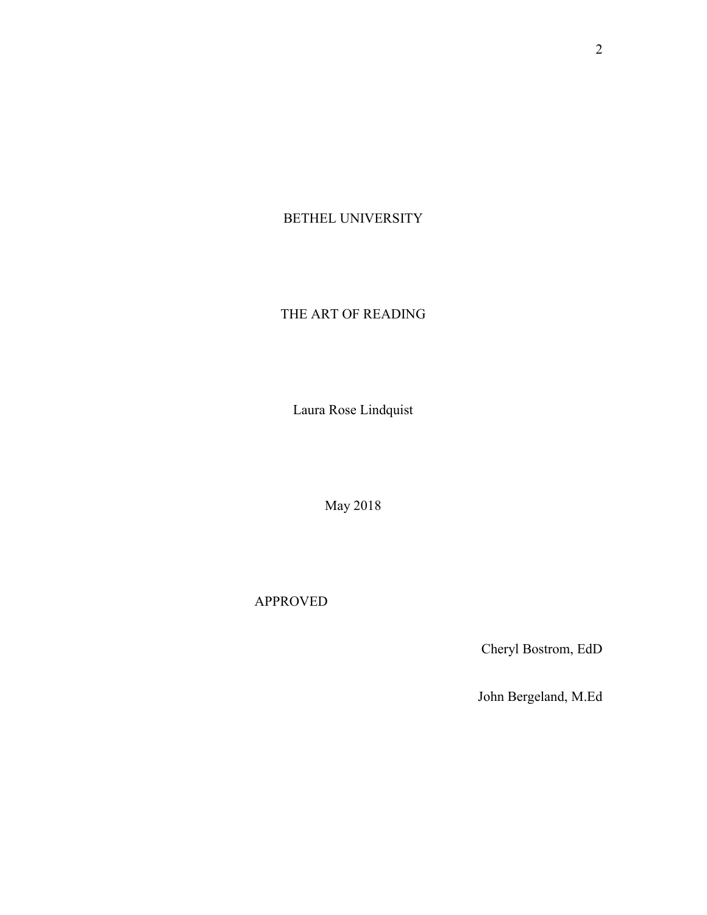## BETHEL UNIVERSITY

## THE ART OF READING

Laura Rose Lindquist

May 2018

APPROVED

Cheryl Bostrom, EdD

John Bergeland, M.Ed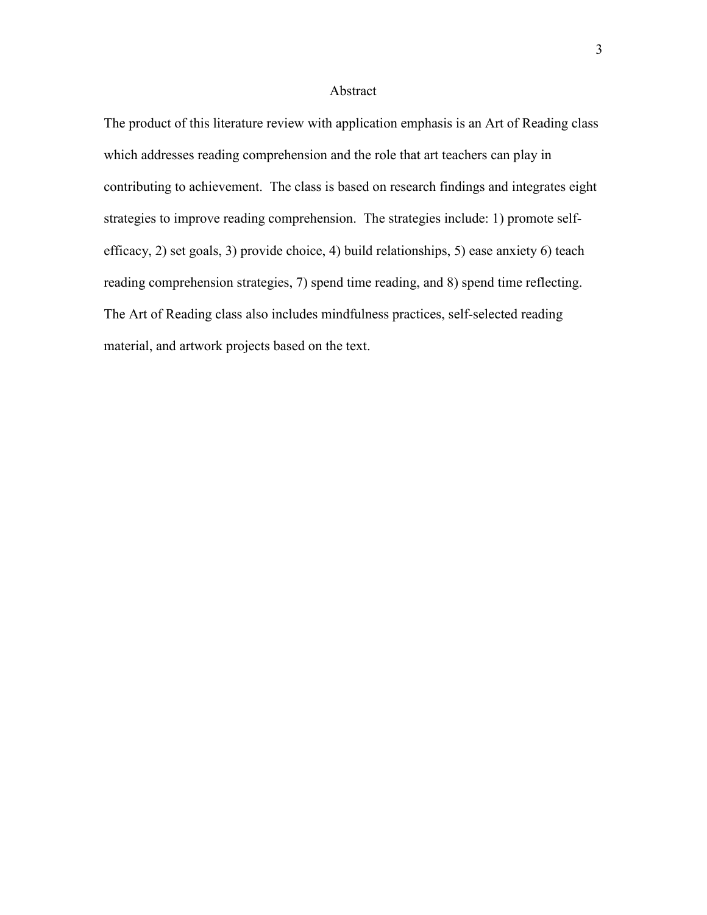#### Abstract

The product of this literature review with application emphasis is an Art of Reading class which addresses reading comprehension and the role that art teachers can play in contributing to achievement. The class is based on research findings and integrates eight strategies to improve reading comprehension. The strategies include: 1) promote selfefficacy, 2) set goals, 3) provide choice, 4) build relationships, 5) ease anxiety 6) teach reading comprehension strategies, 7) spend time reading, and 8) spend time reflecting. The Art of Reading class also includes mindfulness practices, self-selected reading material, and artwork projects based on the text.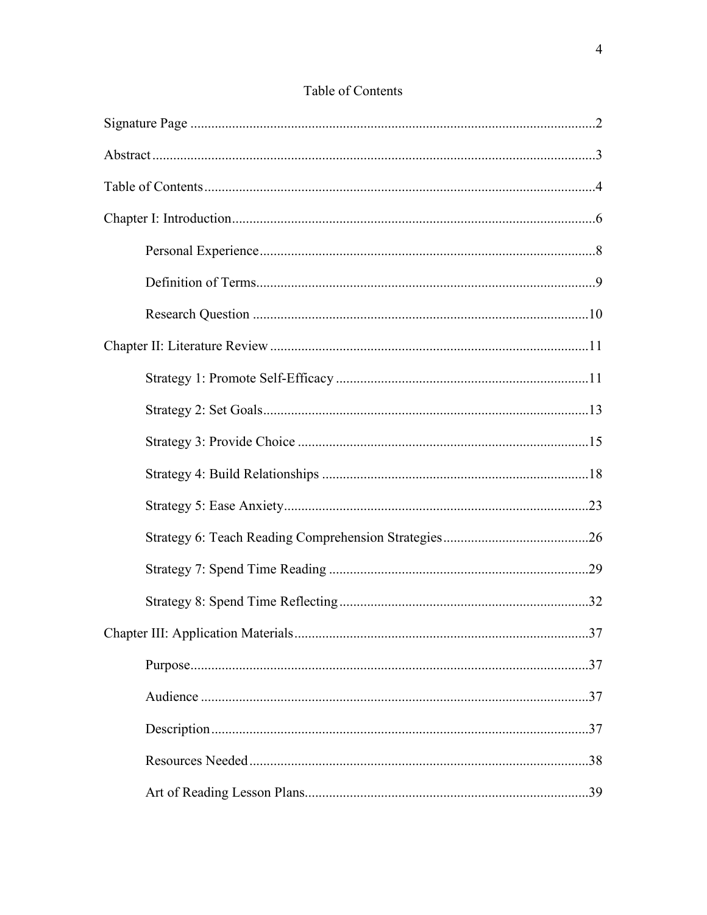## Table of Contents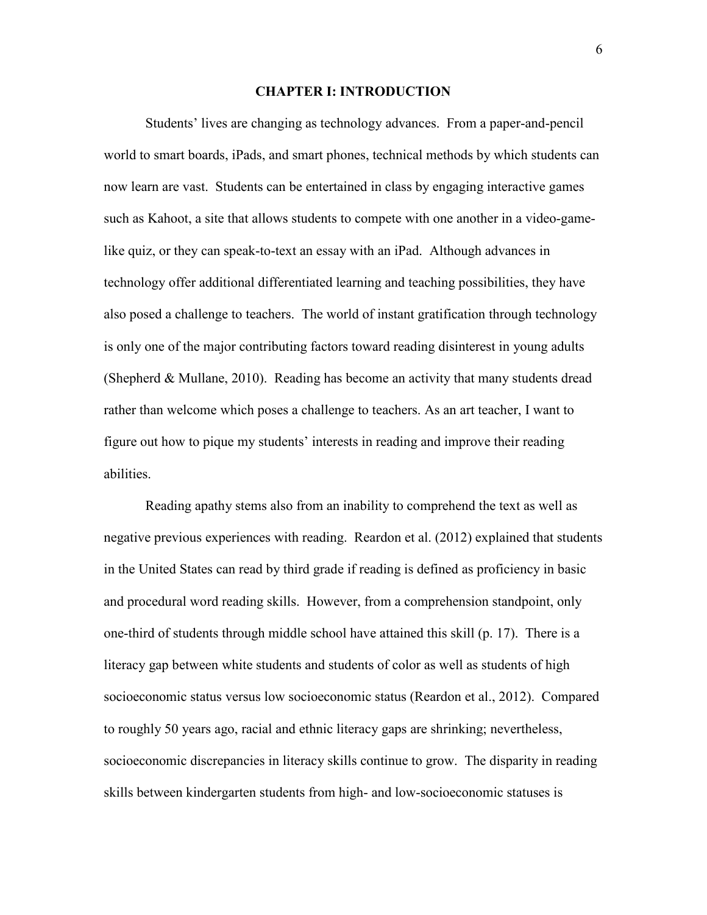#### **CHAPTER I: INTRODUCTION**

 Students' lives are changing as technology advances. From a paper-and-pencil world to smart boards, iPads, and smart phones, technical methods by which students can now learn are vast. Students can be entertained in class by engaging interactive games such as Kahoot, a site that allows students to compete with one another in a video-gamelike quiz, or they can speak-to-text an essay with an iPad. Although advances in technology offer additional differentiated learning and teaching possibilities, they have also posed a challenge to teachers. The world of instant gratification through technology is only one of the major contributing factors toward reading disinterest in young adults (Shepherd & Mullane, 2010). Reading has become an activity that many students dread rather than welcome which poses a challenge to teachers. As an art teacher, I want to figure out how to pique my students' interests in reading and improve their reading abilities.

Reading apathy stems also from an inability to comprehend the text as well as negative previous experiences with reading. Reardon et al. (2012) explained that students in the United States can read by third grade if reading is defined as proficiency in basic and procedural word reading skills. However, from a comprehension standpoint, only one-third of students through middle school have attained this skill (p. 17). There is a literacy gap between white students and students of color as well as students of high socioeconomic status versus low socioeconomic status (Reardon et al., 2012). Compared to roughly 50 years ago, racial and ethnic literacy gaps are shrinking; nevertheless, socioeconomic discrepancies in literacy skills continue to grow. The disparity in reading skills between kindergarten students from high- and low-socioeconomic statuses is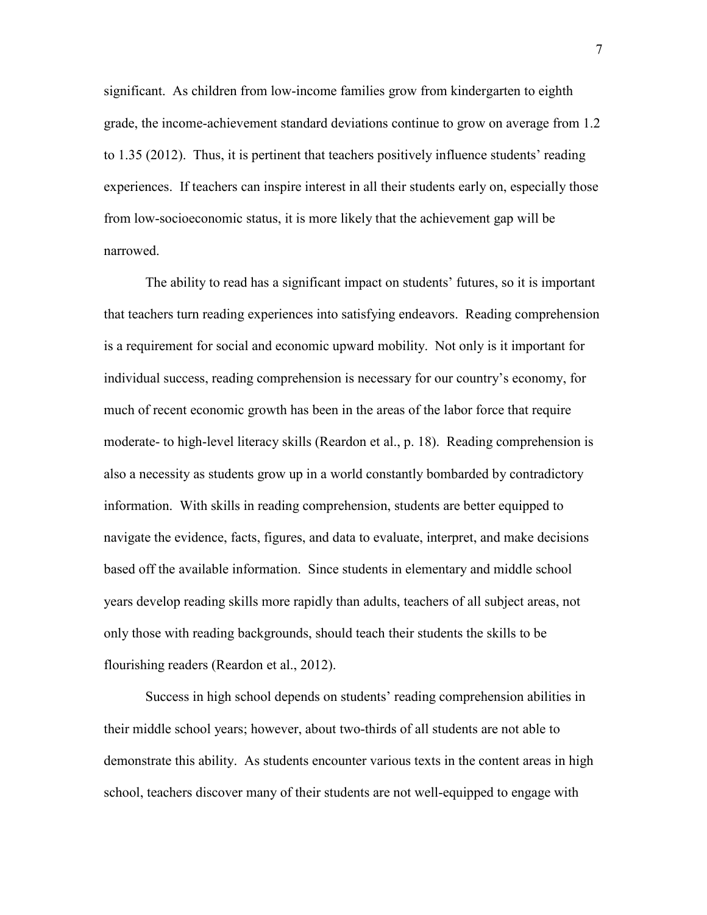significant. As children from low-income families grow from kindergarten to eighth grade, the income-achievement standard deviations continue to grow on average from 1.2 to 1.35 (2012). Thus, it is pertinent that teachers positively influence students' reading experiences. If teachers can inspire interest in all their students early on, especially those from low-socioeconomic status, it is more likely that the achievement gap will be narrowed.

The ability to read has a significant impact on students' futures, so it is important that teachers turn reading experiences into satisfying endeavors. Reading comprehension is a requirement for social and economic upward mobility. Not only is it important for individual success, reading comprehension is necessary for our country's economy, for much of recent economic growth has been in the areas of the labor force that require moderate- to high-level literacy skills (Reardon et al., p. 18). Reading comprehension is also a necessity as students grow up in a world constantly bombarded by contradictory information. With skills in reading comprehension, students are better equipped to navigate the evidence, facts, figures, and data to evaluate, interpret, and make decisions based off the available information. Since students in elementary and middle school years develop reading skills more rapidly than adults, teachers of all subject areas, not only those with reading backgrounds, should teach their students the skills to be flourishing readers (Reardon et al., 2012).

 Success in high school depends on students' reading comprehension abilities in their middle school years; however, about two-thirds of all students are not able to demonstrate this ability. As students encounter various texts in the content areas in high school, teachers discover many of their students are not well-equipped to engage with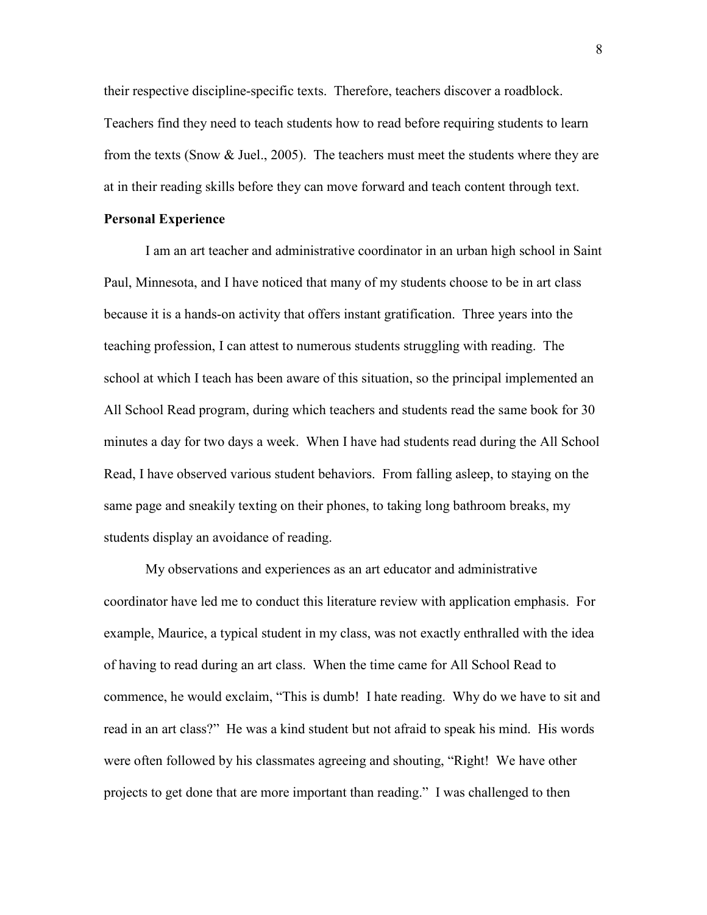their respective discipline-specific texts. Therefore, teachers discover a roadblock. Teachers find they need to teach students how to read before requiring students to learn from the texts (Snow & Juel., 2005). The teachers must meet the students where they are at in their reading skills before they can move forward and teach content through text.

#### **Personal Experience**

I am an art teacher and administrative coordinator in an urban high school in Saint Paul, Minnesota, and I have noticed that many of my students choose to be in art class because it is a hands-on activity that offers instant gratification. Three years into the teaching profession, I can attest to numerous students struggling with reading. The school at which I teach has been aware of this situation, so the principal implemented an All School Read program, during which teachers and students read the same book for 30 minutes a day for two days a week. When I have had students read during the All School Read, I have observed various student behaviors. From falling asleep, to staying on the same page and sneakily texting on their phones, to taking long bathroom breaks, my students display an avoidance of reading.

My observations and experiences as an art educator and administrative coordinator have led me to conduct this literature review with application emphasis. For example, Maurice, a typical student in my class, was not exactly enthralled with the idea of having to read during an art class. When the time came for All School Read to commence, he would exclaim, "This is dumb! I hate reading. Why do we have to sit and read in an art class?" He was a kind student but not afraid to speak his mind. His words were often followed by his classmates agreeing and shouting, "Right! We have other projects to get done that are more important than reading." I was challenged to then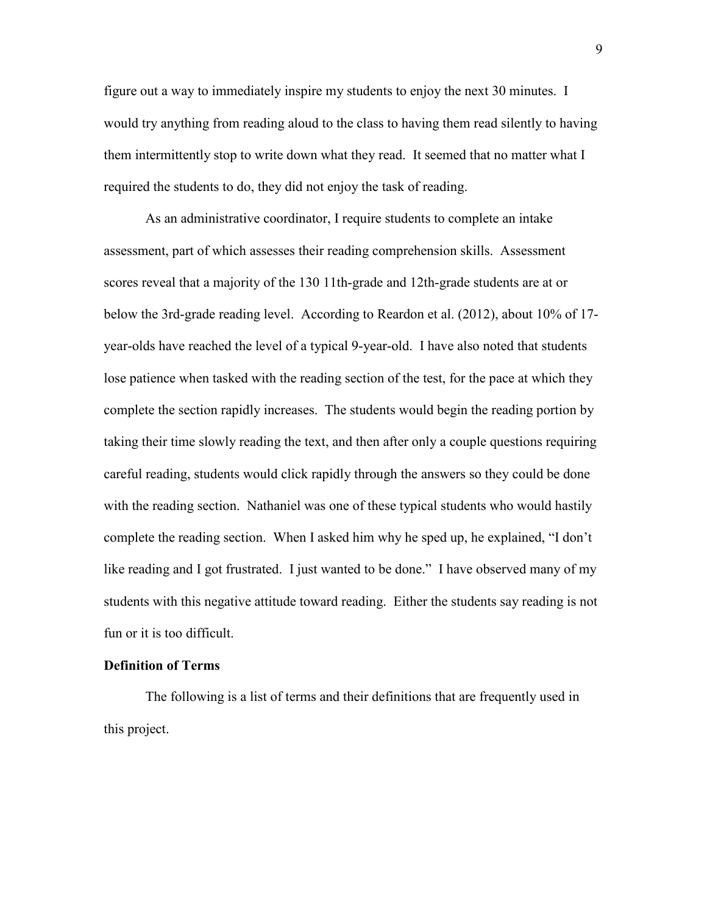figure out a way to immediately inspire my students to enjoy the next 30 minutes. I would try anything from reading aloud to the class to having them read silently to having them intermittently stop to write down what they read. It seemed that no matter what I required the students to do, they did not enjoy the task of reading.

As an administrative coordinator, I require students to complete an intake assessment, part of which assesses their reading comprehension skills. Assessment scores reveal that a majority of the 130 11th-grade and 12th-grade students are at or below the 3rd-grade reading level. According to Reardon et al. (2012), about 10% of 17 year-olds have reached the level of a typical 9-year-old. I have also noted that students lose patience when tasked with the reading section of the test, for the pace at which they complete the section rapidly increases. The students would begin the reading portion by taking their time slowly reading the text, and then after only a couple questions requiring careful reading, students would click rapidly through the answers so they could be done with the reading section. Nathaniel was one of these typical students who would hastily complete the reading section. When I asked him why he sped up, he explained, "I don't like reading and I got frustrated. I just wanted to be done." I have observed many of my students with this negative attitude toward reading. Either the students say reading is not fun or it is too difficult.

#### **Definition of Terms**

The following is a list of terms and their definitions that are frequently used in this project.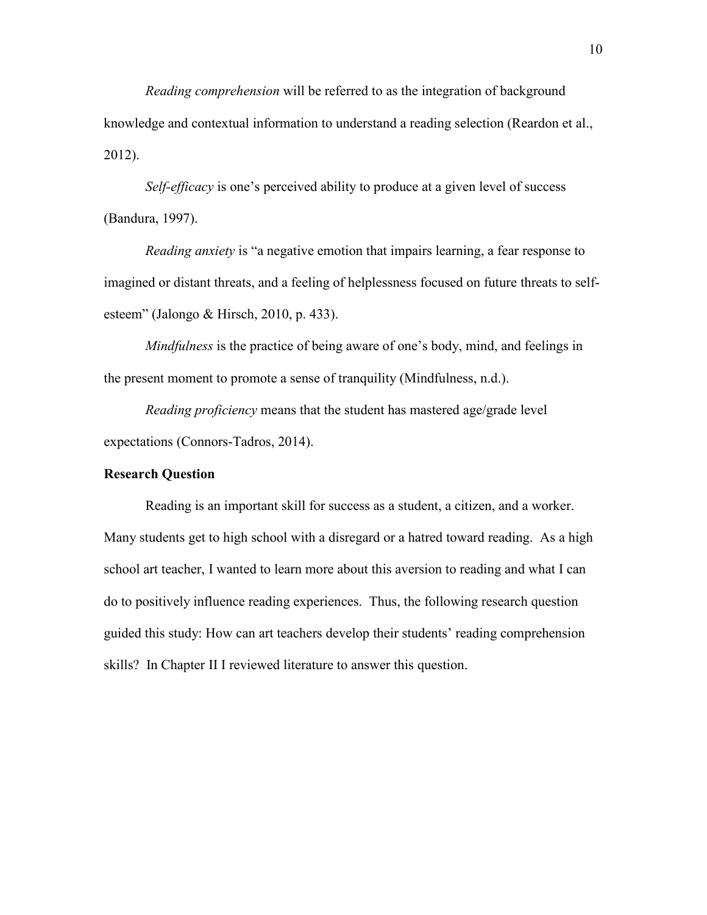*Reading comprehension* will be referred to as the integration of background knowledge and contextual information to understand a reading selection (Reardon et al., 2012).

*Self-efficacy* is one's perceived ability to produce at a given level of success (Bandura, 1997).

*Reading anxiety* is "a negative emotion that impairs learning, a fear response to imagined or distant threats, and a feeling of helplessness focused on future threats to selfesteem" (Jalongo & Hirsch, 2010, p. 433).

*Mindfulness* is the practice of being aware of one's body, mind, and feelings in the present moment to promote a sense of tranquility (Mindfulness, n.d.).

*Reading proficiency* means that the student has mastered age/grade level expectations (Connors-Tadros, 2014).

#### **Research Question**

 Reading is an important skill for success as a student, a citizen, and a worker. Many students get to high school with a disregard or a hatred toward reading. As a high school art teacher, I wanted to learn more about this aversion to reading and what I can do to positively influence reading experiences. Thus, the following research question guided this study: How can art teachers develop their students' reading comprehension skills? In Chapter II I reviewed literature to answer this question.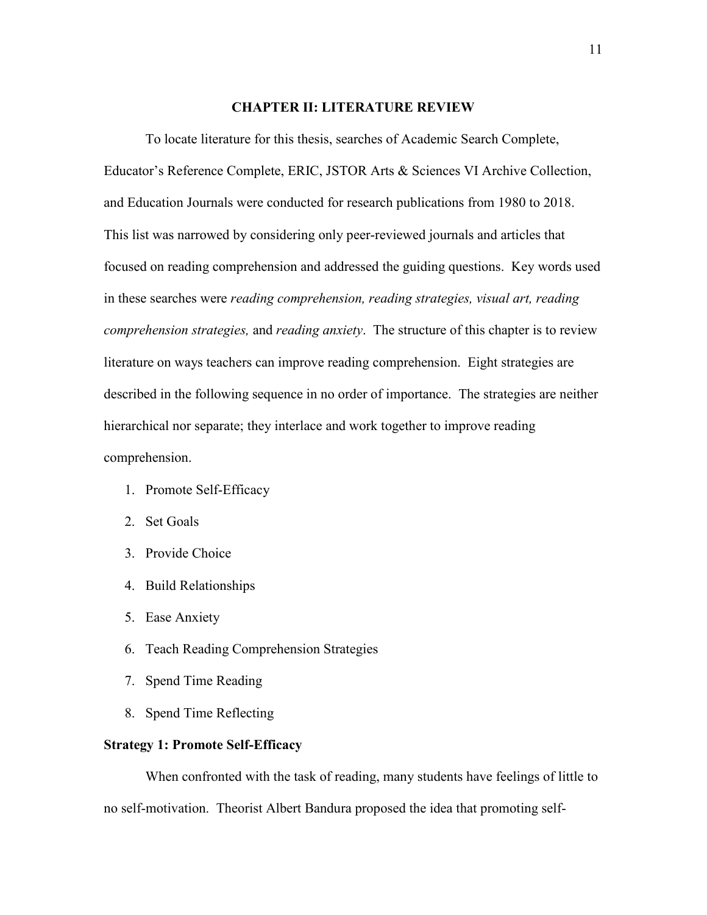#### **CHAPTER II: LITERATURE REVIEW**

To locate literature for this thesis, searches of Academic Search Complete, Educator's Reference Complete, ERIC, JSTOR Arts & Sciences VI Archive Collection, and Education Journals were conducted for research publications from 1980 to 2018. This list was narrowed by considering only peer-reviewed journals and articles that focused on reading comprehension and addressed the guiding questions. Key words used in these searches were *reading comprehension, reading strategies, visual art, reading comprehension strategies,* and *reading anxiety*. The structure of this chapter is to review literature on ways teachers can improve reading comprehension. Eight strategies are described in the following sequence in no order of importance. The strategies are neither hierarchical nor separate; they interlace and work together to improve reading comprehension.

- 1. Promote Self-Efficacy
- 2. Set Goals
- 3. Provide Choice
- 4. Build Relationships
- 5. Ease Anxiety
- 6. Teach Reading Comprehension Strategies
- 7. Spend Time Reading
- 8. Spend Time Reflecting

#### **Strategy 1: Promote Self-Efficacy**

 When confronted with the task of reading, many students have feelings of little to no self-motivation. Theorist Albert Bandura proposed the idea that promoting self-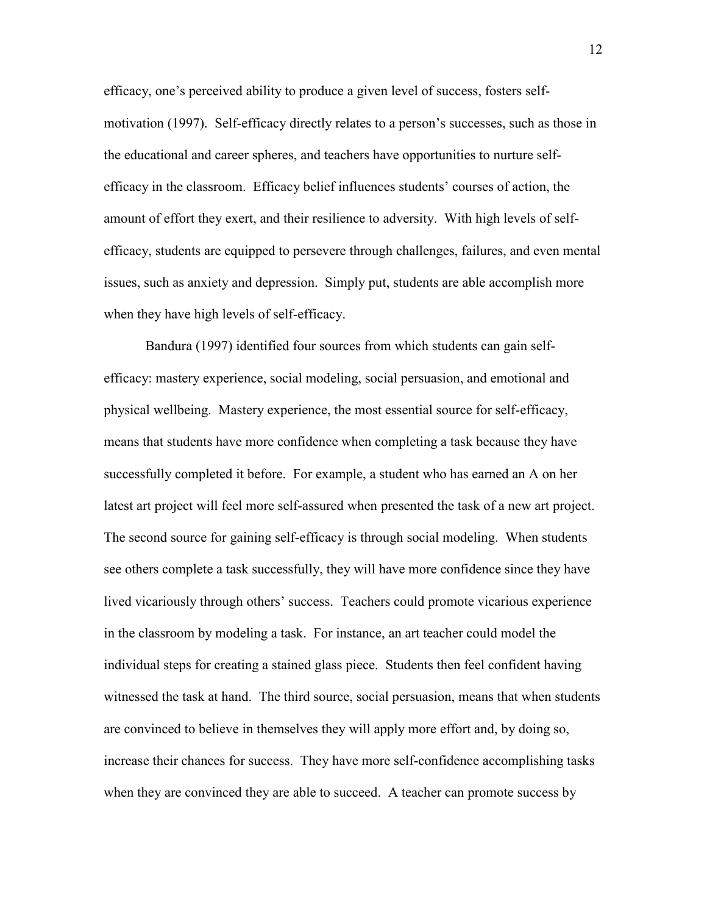efficacy, one's perceived ability to produce a given level of success, fosters selfmotivation (1997). Self-efficacy directly relates to a person's successes, such as those in the educational and career spheres, and teachers have opportunities to nurture selfefficacy in the classroom. Efficacy belief influences students' courses of action, the amount of effort they exert, and their resilience to adversity. With high levels of selfefficacy, students are equipped to persevere through challenges, failures, and even mental issues, such as anxiety and depression. Simply put, students are able accomplish more when they have high levels of self-efficacy.

 Bandura (1997) identified four sources from which students can gain selfefficacy: mastery experience, social modeling, social persuasion, and emotional and physical wellbeing. Mastery experience, the most essential source for self-efficacy, means that students have more confidence when completing a task because they have successfully completed it before. For example, a student who has earned an A on her latest art project will feel more self-assured when presented the task of a new art project. The second source for gaining self-efficacy is through social modeling. When students see others complete a task successfully, they will have more confidence since they have lived vicariously through others' success. Teachers could promote vicarious experience in the classroom by modeling a task. For instance, an art teacher could model the individual steps for creating a stained glass piece. Students then feel confident having witnessed the task at hand. The third source, social persuasion, means that when students are convinced to believe in themselves they will apply more effort and, by doing so, increase their chances for success. They have more self-confidence accomplishing tasks when they are convinced they are able to succeed. A teacher can promote success by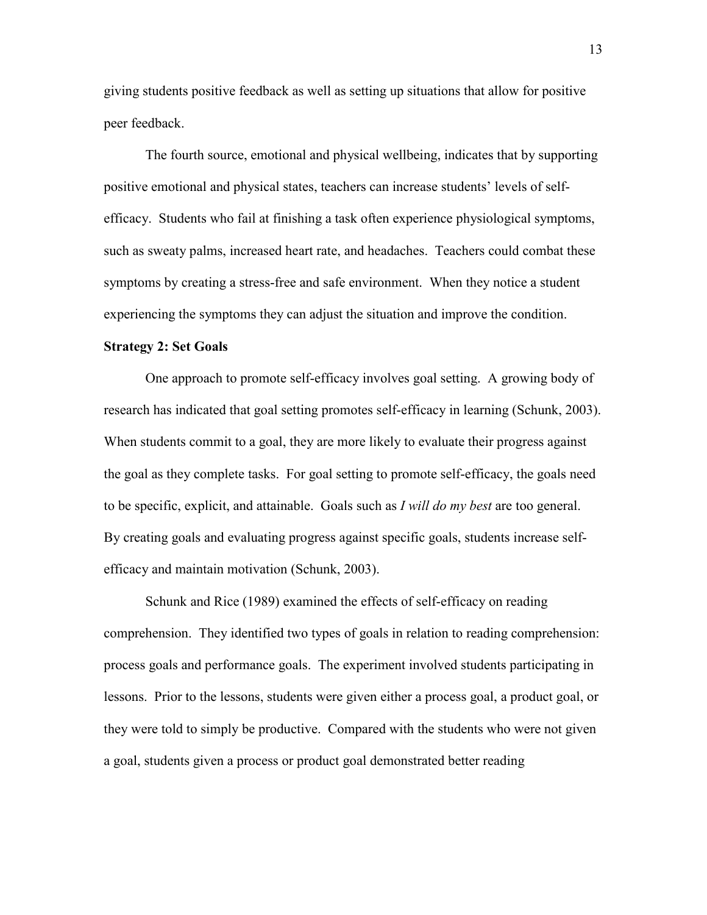giving students positive feedback as well as setting up situations that allow for positive peer feedback.

 The fourth source, emotional and physical wellbeing, indicates that by supporting positive emotional and physical states, teachers can increase students' levels of selfefficacy. Students who fail at finishing a task often experience physiological symptoms, such as sweaty palms, increased heart rate, and headaches. Teachers could combat these symptoms by creating a stress-free and safe environment. When they notice a student experiencing the symptoms they can adjust the situation and improve the condition.

#### **Strategy 2: Set Goals**

 One approach to promote self-efficacy involves goal setting. A growing body of research has indicated that goal setting promotes self-efficacy in learning (Schunk, 2003). When students commit to a goal, they are more likely to evaluate their progress against the goal as they complete tasks. For goal setting to promote self-efficacy, the goals need to be specific, explicit, and attainable. Goals such as *I will do my best* are too general. By creating goals and evaluating progress against specific goals, students increase selfefficacy and maintain motivation (Schunk, 2003).

 Schunk and Rice (1989) examined the effects of self-efficacy on reading comprehension. They identified two types of goals in relation to reading comprehension: process goals and performance goals. The experiment involved students participating in lessons. Prior to the lessons, students were given either a process goal, a product goal, or they were told to simply be productive. Compared with the students who were not given a goal, students given a process or product goal demonstrated better reading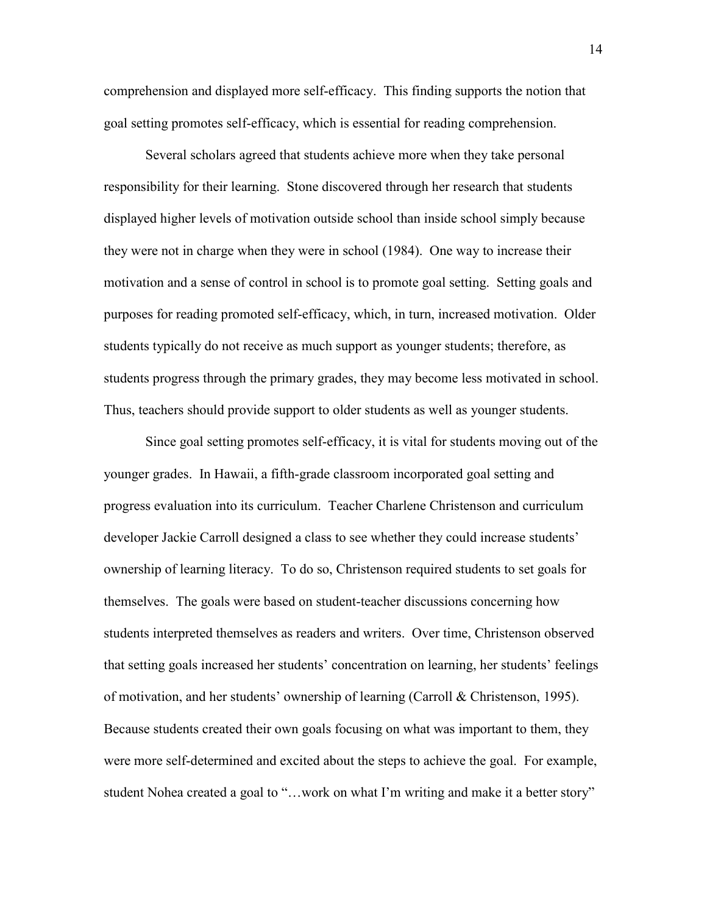comprehension and displayed more self-efficacy. This finding supports the notion that goal setting promotes self-efficacy, which is essential for reading comprehension.

 Several scholars agreed that students achieve more when they take personal responsibility for their learning. Stone discovered through her research that students displayed higher levels of motivation outside school than inside school simply because they were not in charge when they were in school (1984). One way to increase their motivation and a sense of control in school is to promote goal setting. Setting goals and purposes for reading promoted self-efficacy, which, in turn, increased motivation. Older students typically do not receive as much support as younger students; therefore, as students progress through the primary grades, they may become less motivated in school. Thus, teachers should provide support to older students as well as younger students.

Since goal setting promotes self-efficacy, it is vital for students moving out of the younger grades. In Hawaii, a fifth-grade classroom incorporated goal setting and progress evaluation into its curriculum. Teacher Charlene Christenson and curriculum developer Jackie Carroll designed a class to see whether they could increase students' ownership of learning literacy. To do so, Christenson required students to set goals for themselves. The goals were based on student-teacher discussions concerning how students interpreted themselves as readers and writers. Over time, Christenson observed that setting goals increased her students' concentration on learning, her students' feelings of motivation, and her students' ownership of learning (Carroll & Christenson, 1995). Because students created their own goals focusing on what was important to them, they were more self-determined and excited about the steps to achieve the goal. For example, student Nohea created a goal to "…work on what I'm writing and make it a better story"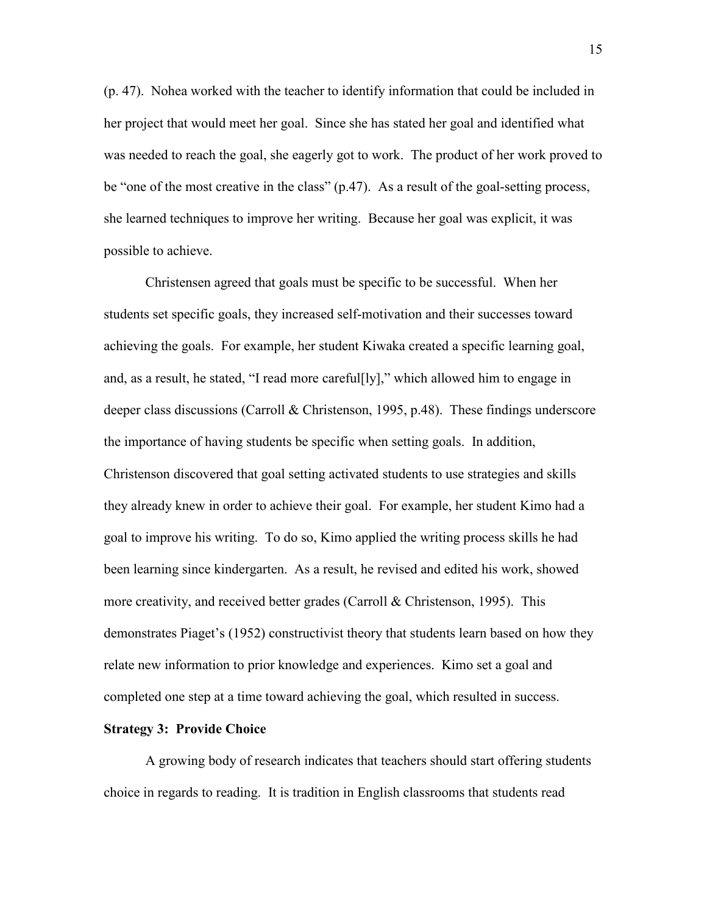(p. 47). Nohea worked with the teacher to identify information that could be included in her project that would meet her goal. Since she has stated her goal and identified what was needed to reach the goal, she eagerly got to work. The product of her work proved to be "one of the most creative in the class"  $(p.47)$ . As a result of the goal-setting process, she learned techniques to improve her writing. Because her goal was explicit, it was possible to achieve.

 Christensen agreed that goals must be specific to be successful. When her students set specific goals, they increased self-motivation and their successes toward achieving the goals. For example, her student Kiwaka created a specific learning goal, and, as a result, he stated, "I read more careful[ly]," which allowed him to engage in deeper class discussions (Carroll & Christenson, 1995, p.48). These findings underscore the importance of having students be specific when setting goals. In addition, Christenson discovered that goal setting activated students to use strategies and skills they already knew in order to achieve their goal. For example, her student Kimo had a goal to improve his writing. To do so, Kimo applied the writing process skills he had been learning since kindergarten. As a result, he revised and edited his work, showed more creativity, and received better grades (Carroll & Christenson, 1995). This demonstrates Piaget's (1952) constructivist theory that students learn based on how they relate new information to prior knowledge and experiences. Kimo set a goal and completed one step at a time toward achieving the goal, which resulted in success.

#### **Strategy 3: Provide Choice**

 A growing body of research indicates that teachers should start offering students choice in regards to reading. It is tradition in English classrooms that students read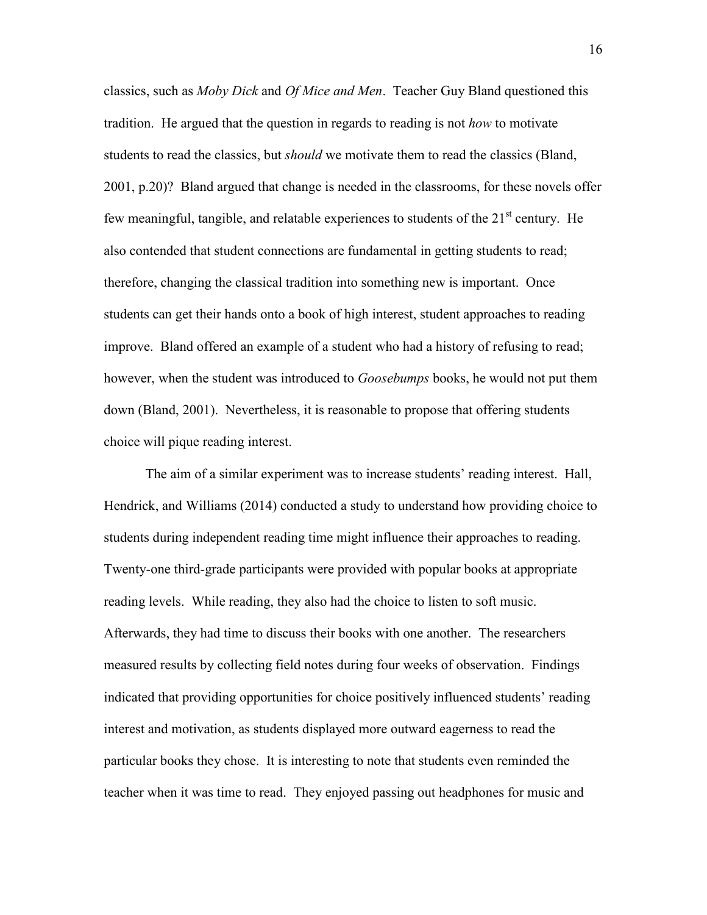classics, such as *Moby Dick* and *Of Mice and Men*. Teacher Guy Bland questioned this tradition. He argued that the question in regards to reading is not *how* to motivate students to read the classics, but *should* we motivate them to read the classics (Bland, 2001, p.20)? Bland argued that change is needed in the classrooms, for these novels offer few meaningful, tangible, and relatable experiences to students of the  $21<sup>st</sup>$  century. He also contended that student connections are fundamental in getting students to read; therefore, changing the classical tradition into something new is important. Once students can get their hands onto a book of high interest, student approaches to reading improve. Bland offered an example of a student who had a history of refusing to read; however, when the student was introduced to *Goosebumps* books, he would not put them down (Bland, 2001). Nevertheless, it is reasonable to propose that offering students choice will pique reading interest.

The aim of a similar experiment was to increase students' reading interest. Hall, Hendrick, and Williams (2014) conducted a study to understand how providing choice to students during independent reading time might influence their approaches to reading. Twenty-one third-grade participants were provided with popular books at appropriate reading levels. While reading, they also had the choice to listen to soft music. Afterwards, they had time to discuss their books with one another. The researchers measured results by collecting field notes during four weeks of observation. Findings indicated that providing opportunities for choice positively influenced students' reading interest and motivation, as students displayed more outward eagerness to read the particular books they chose. It is interesting to note that students even reminded the teacher when it was time to read. They enjoyed passing out headphones for music and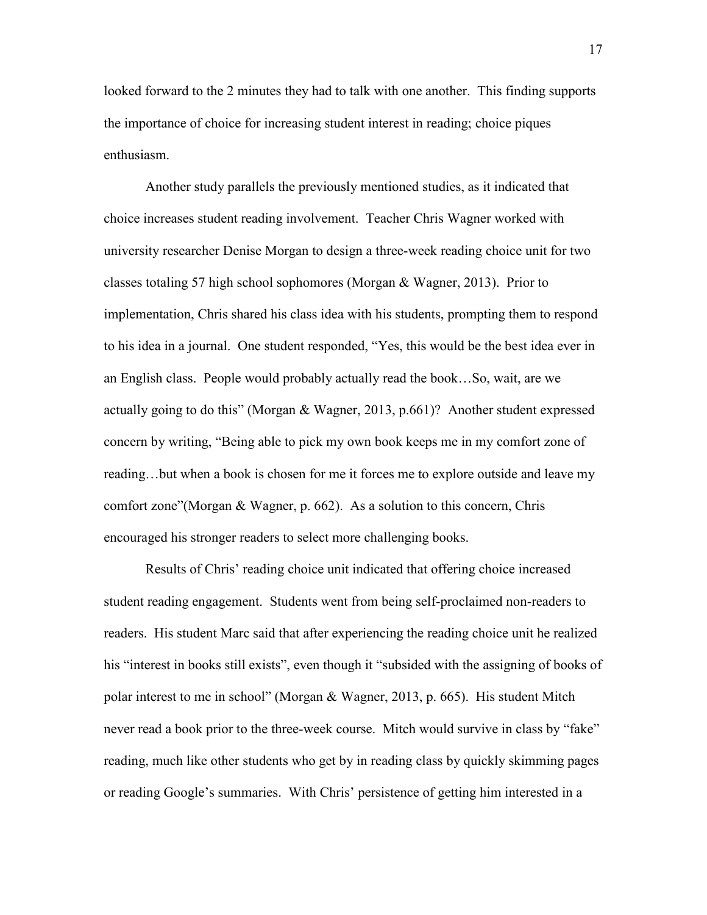looked forward to the 2 minutes they had to talk with one another. This finding supports the importance of choice for increasing student interest in reading; choice piques enthusiasm.

 Another study parallels the previously mentioned studies, as it indicated that choice increases student reading involvement. Teacher Chris Wagner worked with university researcher Denise Morgan to design a three-week reading choice unit for two classes totaling 57 high school sophomores (Morgan & Wagner, 2013). Prior to implementation, Chris shared his class idea with his students, prompting them to respond to his idea in a journal. One student responded, "Yes, this would be the best idea ever in an English class. People would probably actually read the book…So, wait, are we actually going to do this" (Morgan & Wagner, 2013, p.661)? Another student expressed concern by writing, "Being able to pick my own book keeps me in my comfort zone of reading…but when a book is chosen for me it forces me to explore outside and leave my comfort zone"(Morgan & Wagner, p. 662). As a solution to this concern, Chris encouraged his stronger readers to select more challenging books.

 Results of Chris' reading choice unit indicated that offering choice increased student reading engagement. Students went from being self-proclaimed non-readers to readers. His student Marc said that after experiencing the reading choice unit he realized his "interest in books still exists", even though it "subsided with the assigning of books of polar interest to me in school" (Morgan & Wagner, 2013, p. 665). His student Mitch never read a book prior to the three-week course. Mitch would survive in class by "fake" reading, much like other students who get by in reading class by quickly skimming pages or reading Google's summaries. With Chris' persistence of getting him interested in a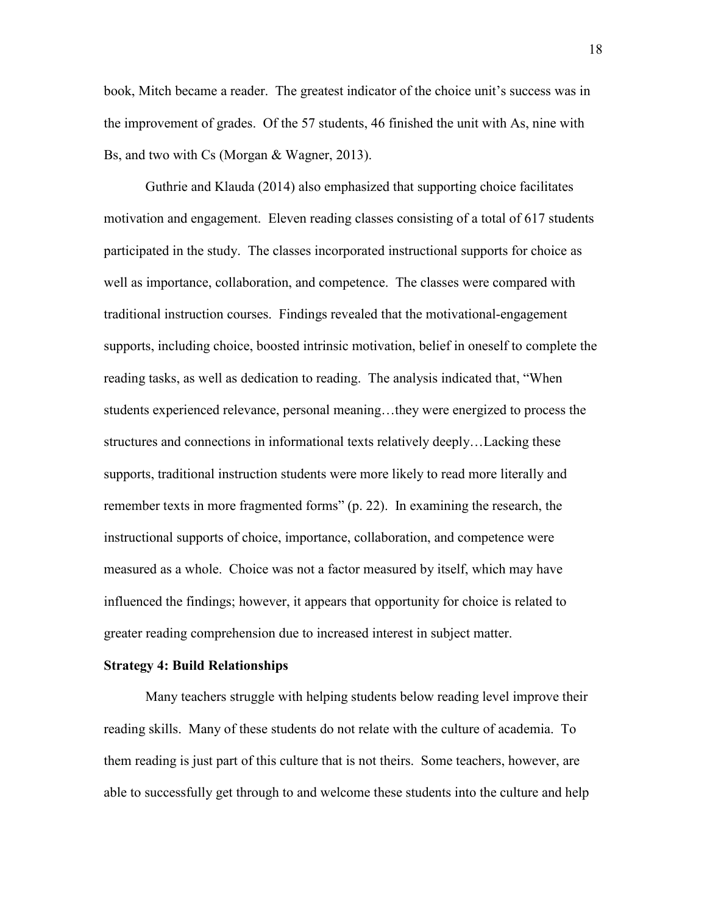book, Mitch became a reader. The greatest indicator of the choice unit's success was in the improvement of grades. Of the 57 students, 46 finished the unit with As, nine with Bs, and two with Cs (Morgan & Wagner, 2013).

 Guthrie and Klauda (2014) also emphasized that supporting choice facilitates motivation and engagement. Eleven reading classes consisting of a total of 617 students participated in the study. The classes incorporated instructional supports for choice as well as importance, collaboration, and competence. The classes were compared with traditional instruction courses. Findings revealed that the motivational-engagement supports, including choice, boosted intrinsic motivation, belief in oneself to complete the reading tasks, as well as dedication to reading. The analysis indicated that, "When students experienced relevance, personal meaning…they were energized to process the structures and connections in informational texts relatively deeply…Lacking these supports, traditional instruction students were more likely to read more literally and remember texts in more fragmented forms" (p. 22). In examining the research, the instructional supports of choice, importance, collaboration, and competence were measured as a whole. Choice was not a factor measured by itself, which may have influenced the findings; however, it appears that opportunity for choice is related to greater reading comprehension due to increased interest in subject matter.

#### **Strategy 4: Build Relationships**

Many teachers struggle with helping students below reading level improve their reading skills. Many of these students do not relate with the culture of academia. To them reading is just part of this culture that is not theirs. Some teachers, however, are able to successfully get through to and welcome these students into the culture and help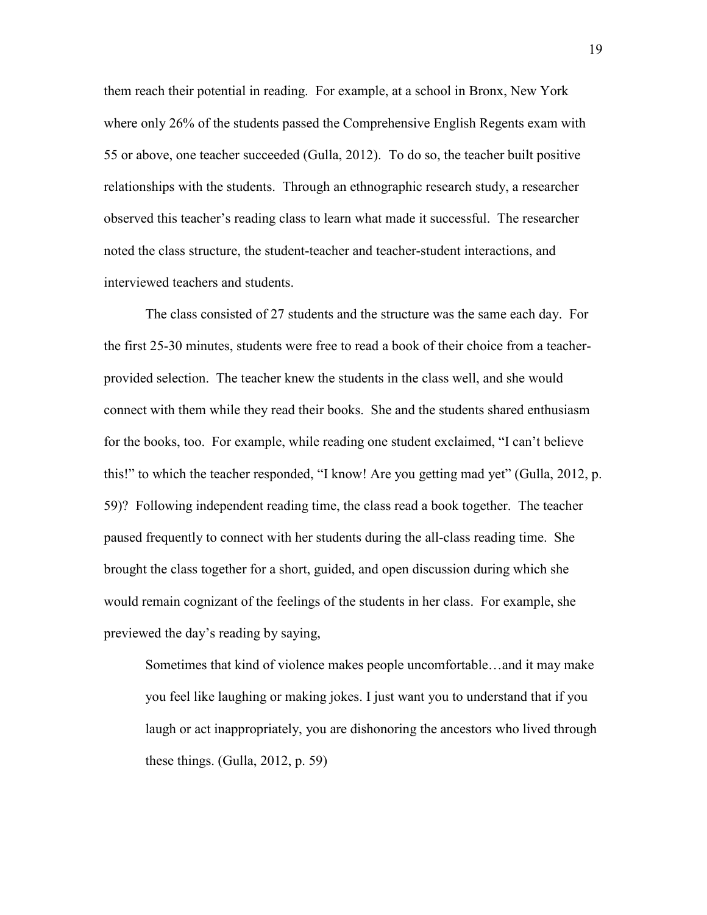them reach their potential in reading. For example, at a school in Bronx, New York where only 26% of the students passed the Comprehensive English Regents exam with 55 or above, one teacher succeeded (Gulla, 2012). To do so, the teacher built positive relationships with the students. Through an ethnographic research study, a researcher observed this teacher's reading class to learn what made it successful. The researcher noted the class structure, the student-teacher and teacher-student interactions, and interviewed teachers and students.

The class consisted of 27 students and the structure was the same each day. For the first 25-30 minutes, students were free to read a book of their choice from a teacherprovided selection. The teacher knew the students in the class well, and she would connect with them while they read their books. She and the students shared enthusiasm for the books, too. For example, while reading one student exclaimed, "I can't believe this!" to which the teacher responded, "I know! Are you getting mad yet" (Gulla, 2012, p. 59)? Following independent reading time, the class read a book together. The teacher paused frequently to connect with her students during the all-class reading time. She brought the class together for a short, guided, and open discussion during which she would remain cognizant of the feelings of the students in her class. For example, she previewed the day's reading by saying,

Sometimes that kind of violence makes people uncomfortable…and it may make you feel like laughing or making jokes. I just want you to understand that if you laugh or act inappropriately, you are dishonoring the ancestors who lived through these things. (Gulla, 2012, p. 59)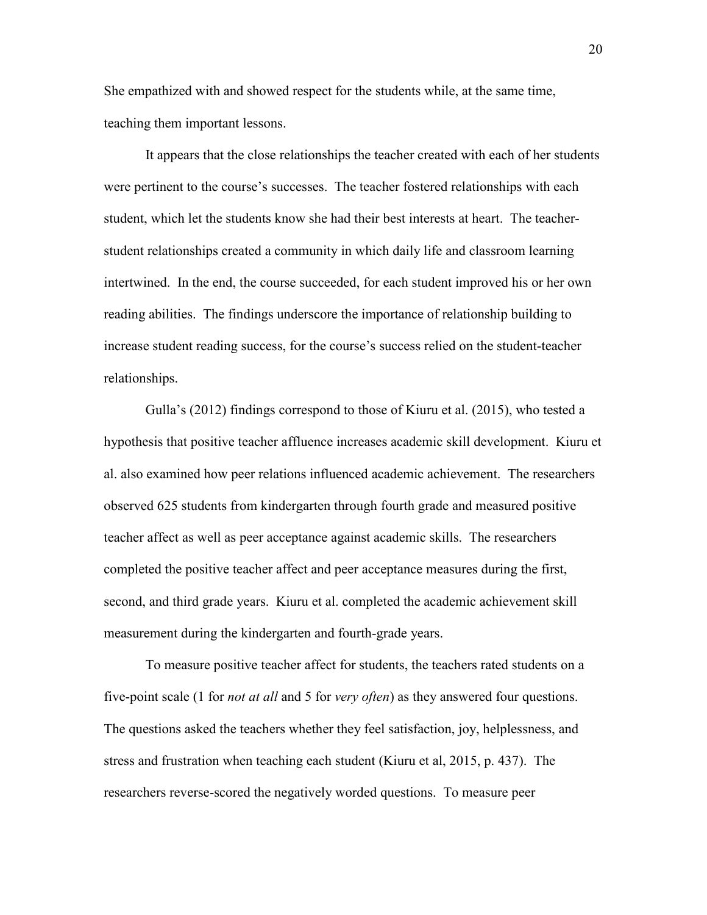She empathized with and showed respect for the students while, at the same time, teaching them important lessons.

It appears that the close relationships the teacher created with each of her students were pertinent to the course's successes. The teacher fostered relationships with each student, which let the students know she had their best interests at heart. The teacherstudent relationships created a community in which daily life and classroom learning intertwined. In the end, the course succeeded, for each student improved his or her own reading abilities. The findings underscore the importance of relationship building to increase student reading success, for the course's success relied on the student-teacher relationships.

Gulla's (2012) findings correspond to those of Kiuru et al. (2015), who tested a hypothesis that positive teacher affluence increases academic skill development. Kiuru et al. also examined how peer relations influenced academic achievement. The researchers observed 625 students from kindergarten through fourth grade and measured positive teacher affect as well as peer acceptance against academic skills. The researchers completed the positive teacher affect and peer acceptance measures during the first, second, and third grade years. Kiuru et al. completed the academic achievement skill measurement during the kindergarten and fourth-grade years.

To measure positive teacher affect for students, the teachers rated students on a five-point scale (1 for *not at all* and 5 for *very often*) as they answered four questions. The questions asked the teachers whether they feel satisfaction, joy, helplessness, and stress and frustration when teaching each student (Kiuru et al, 2015, p. 437). The researchers reverse-scored the negatively worded questions. To measure peer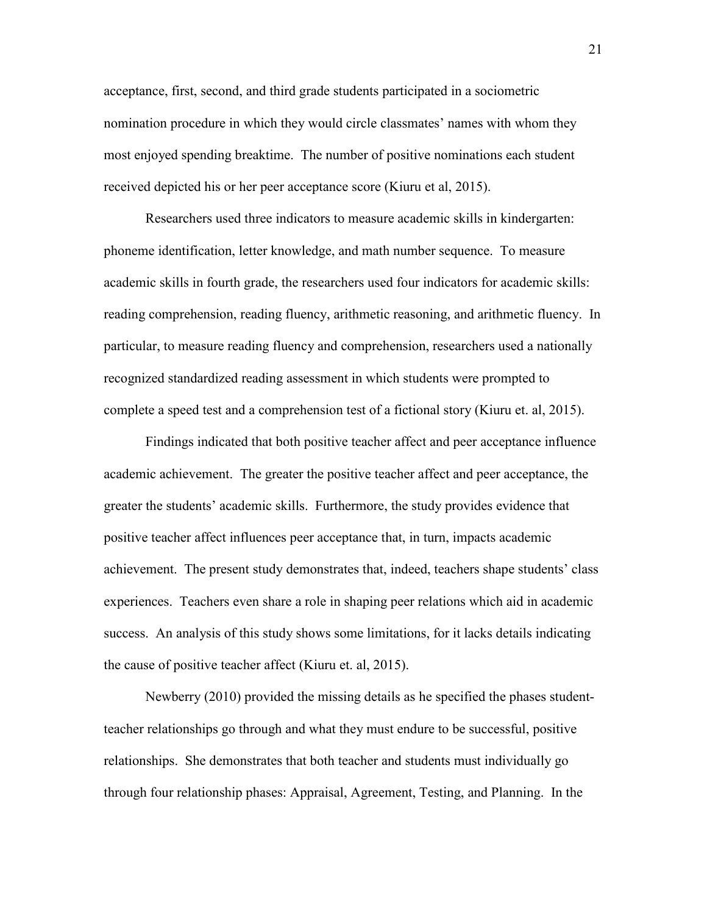acceptance, first, second, and third grade students participated in a sociometric nomination procedure in which they would circle classmates' names with whom they most enjoyed spending breaktime. The number of positive nominations each student received depicted his or her peer acceptance score (Kiuru et al, 2015).

Researchers used three indicators to measure academic skills in kindergarten: phoneme identification, letter knowledge, and math number sequence. To measure academic skills in fourth grade, the researchers used four indicators for academic skills: reading comprehension, reading fluency, arithmetic reasoning, and arithmetic fluency. In particular, to measure reading fluency and comprehension, researchers used a nationally recognized standardized reading assessment in which students were prompted to complete a speed test and a comprehension test of a fictional story (Kiuru et. al, 2015).

Findings indicated that both positive teacher affect and peer acceptance influence academic achievement. The greater the positive teacher affect and peer acceptance, the greater the students' academic skills. Furthermore, the study provides evidence that positive teacher affect influences peer acceptance that, in turn, impacts academic achievement. The present study demonstrates that, indeed, teachers shape students' class experiences. Teachers even share a role in shaping peer relations which aid in academic success. An analysis of this study shows some limitations, for it lacks details indicating the cause of positive teacher affect (Kiuru et. al, 2015).

Newberry (2010) provided the missing details as he specified the phases studentteacher relationships go through and what they must endure to be successful, positive relationships. She demonstrates that both teacher and students must individually go through four relationship phases: Appraisal, Agreement, Testing, and Planning. In the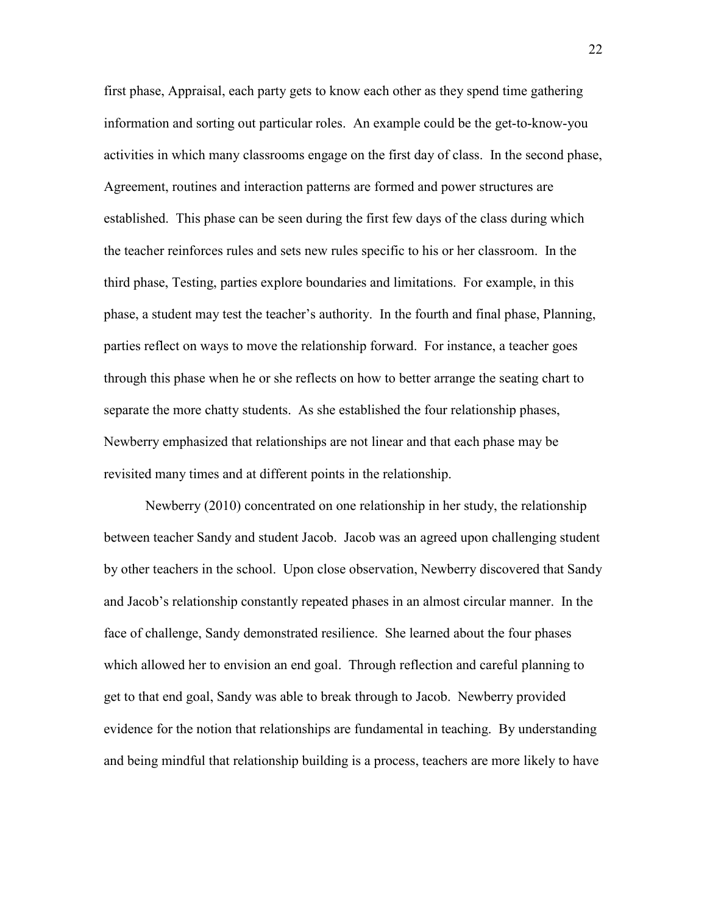first phase, Appraisal, each party gets to know each other as they spend time gathering information and sorting out particular roles. An example could be the get-to-know-you activities in which many classrooms engage on the first day of class. In the second phase, Agreement, routines and interaction patterns are formed and power structures are established. This phase can be seen during the first few days of the class during which the teacher reinforces rules and sets new rules specific to his or her classroom. In the third phase, Testing, parties explore boundaries and limitations. For example, in this phase, a student may test the teacher's authority. In the fourth and final phase, Planning, parties reflect on ways to move the relationship forward. For instance, a teacher goes through this phase when he or she reflects on how to better arrange the seating chart to separate the more chatty students. As she established the four relationship phases, Newberry emphasized that relationships are not linear and that each phase may be revisited many times and at different points in the relationship.

Newberry (2010) concentrated on one relationship in her study, the relationship between teacher Sandy and student Jacob. Jacob was an agreed upon challenging student by other teachers in the school. Upon close observation, Newberry discovered that Sandy and Jacob's relationship constantly repeated phases in an almost circular manner. In the face of challenge, Sandy demonstrated resilience. She learned about the four phases which allowed her to envision an end goal. Through reflection and careful planning to get to that end goal, Sandy was able to break through to Jacob. Newberry provided evidence for the notion that relationships are fundamental in teaching. By understanding and being mindful that relationship building is a process, teachers are more likely to have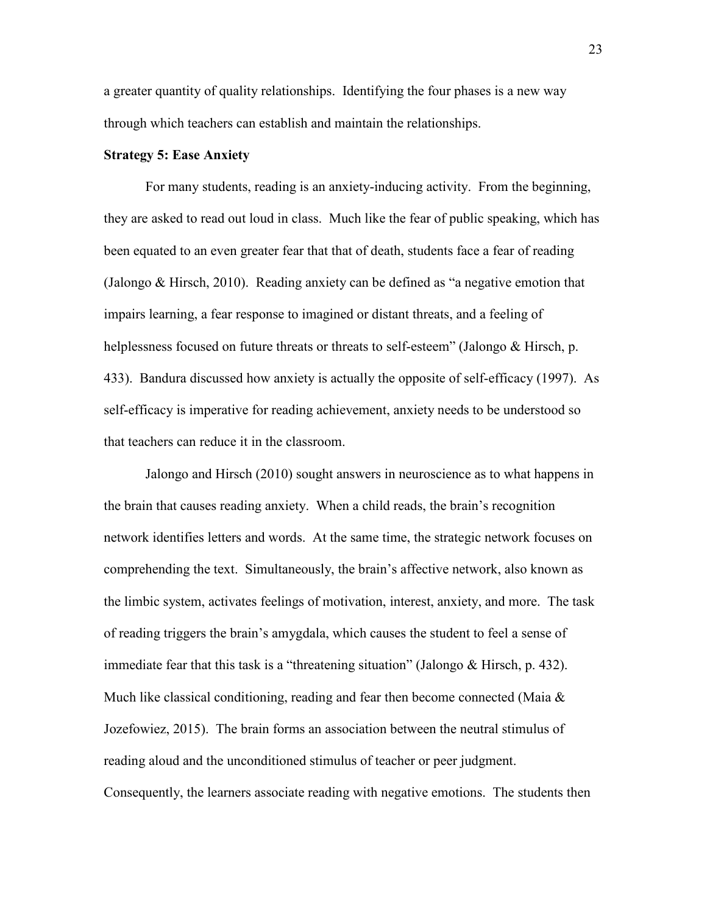a greater quantity of quality relationships. Identifying the four phases is a new way through which teachers can establish and maintain the relationships.

#### **Strategy 5: Ease Anxiety**

 For many students, reading is an anxiety-inducing activity. From the beginning, they are asked to read out loud in class. Much like the fear of public speaking, which has been equated to an even greater fear that that of death, students face a fear of reading (Jalongo & Hirsch, 2010). Reading anxiety can be defined as "a negative emotion that impairs learning, a fear response to imagined or distant threats, and a feeling of helplessness focused on future threats or threats to self-esteem" (Jalongo & Hirsch, p. 433). Bandura discussed how anxiety is actually the opposite of self-efficacy (1997). As self-efficacy is imperative for reading achievement, anxiety needs to be understood so that teachers can reduce it in the classroom.

 Jalongo and Hirsch (2010) sought answers in neuroscience as to what happens in the brain that causes reading anxiety. When a child reads, the brain's recognition network identifies letters and words. At the same time, the strategic network focuses on comprehending the text. Simultaneously, the brain's affective network, also known as the limbic system, activates feelings of motivation, interest, anxiety, and more. The task of reading triggers the brain's amygdala, which causes the student to feel a sense of immediate fear that this task is a "threatening situation" (Jalongo & Hirsch, p. 432). Much like classical conditioning, reading and fear then become connected (Maia  $\&$ Jozefowiez, 2015). The brain forms an association between the neutral stimulus of reading aloud and the unconditioned stimulus of teacher or peer judgment. Consequently, the learners associate reading with negative emotions. The students then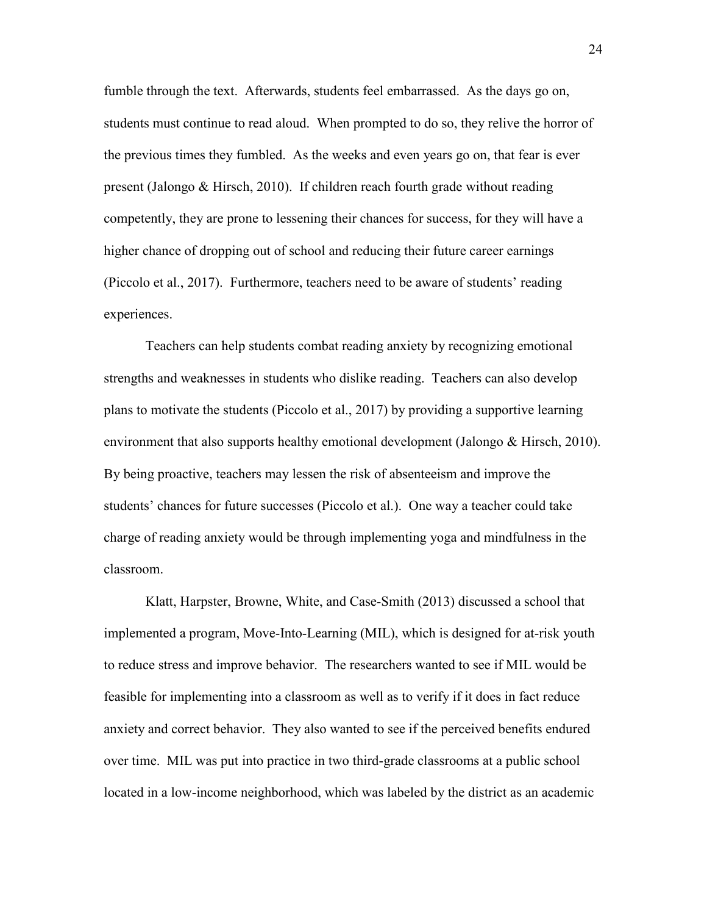fumble through the text. Afterwards, students feel embarrassed. As the days go on, students must continue to read aloud. When prompted to do so, they relive the horror of the previous times they fumbled. As the weeks and even years go on, that fear is ever present (Jalongo & Hirsch, 2010). If children reach fourth grade without reading competently, they are prone to lessening their chances for success, for they will have a higher chance of dropping out of school and reducing their future career earnings (Piccolo et al., 2017). Furthermore, teachers need to be aware of students' reading experiences.

Teachers can help students combat reading anxiety by recognizing emotional strengths and weaknesses in students who dislike reading. Teachers can also develop plans to motivate the students (Piccolo et al., 2017) by providing a supportive learning environment that also supports healthy emotional development (Jalongo & Hirsch, 2010). By being proactive, teachers may lessen the risk of absenteeism and improve the students' chances for future successes (Piccolo et al.). One way a teacher could take charge of reading anxiety would be through implementing yoga and mindfulness in the classroom.

 Klatt, Harpster, Browne, White, and Case-Smith (2013) discussed a school that implemented a program, Move-Into-Learning (MIL), which is designed for at-risk youth to reduce stress and improve behavior. The researchers wanted to see if MIL would be feasible for implementing into a classroom as well as to verify if it does in fact reduce anxiety and correct behavior. They also wanted to see if the perceived benefits endured over time. MIL was put into practice in two third-grade classrooms at a public school located in a low-income neighborhood, which was labeled by the district as an academic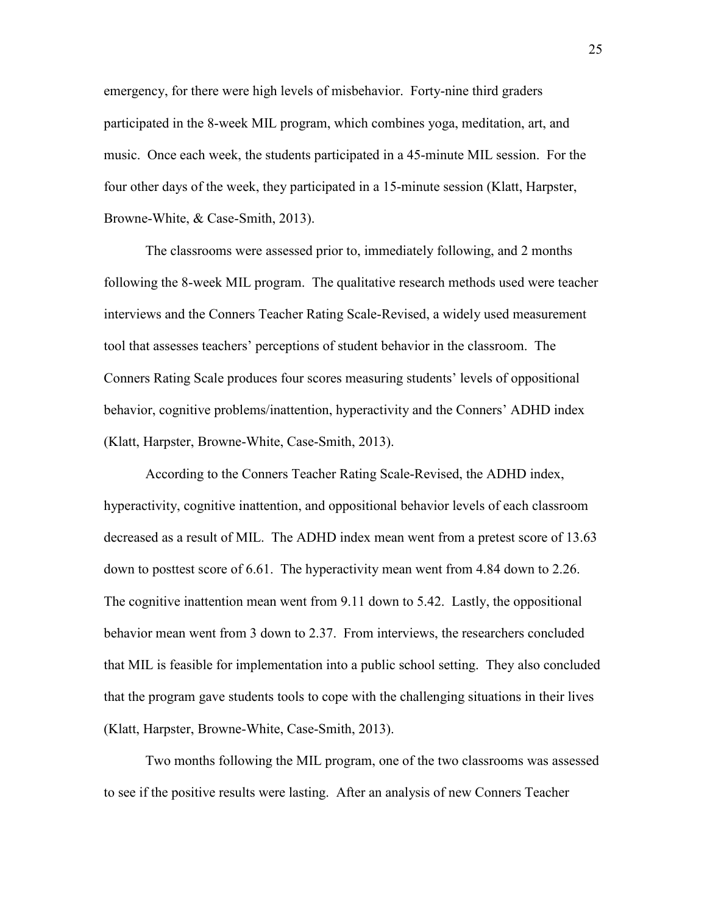emergency, for there were high levels of misbehavior. Forty-nine third graders participated in the 8-week MIL program, which combines yoga, meditation, art, and music. Once each week, the students participated in a 45-minute MIL session. For the four other days of the week, they participated in a 15-minute session (Klatt, Harpster, Browne-White, & Case-Smith, 2013).

The classrooms were assessed prior to, immediately following, and 2 months following the 8-week MIL program. The qualitative research methods used were teacher interviews and the Conners Teacher Rating Scale-Revised, a widely used measurement tool that assesses teachers' perceptions of student behavior in the classroom. The Conners Rating Scale produces four scores measuring students' levels of oppositional behavior, cognitive problems/inattention, hyperactivity and the Conners' ADHD index (Klatt, Harpster, Browne-White, Case-Smith, 2013).

According to the Conners Teacher Rating Scale-Revised, the ADHD index, hyperactivity, cognitive inattention, and oppositional behavior levels of each classroom decreased as a result of MIL. The ADHD index mean went from a pretest score of 13.63 down to posttest score of 6.61. The hyperactivity mean went from 4.84 down to 2.26. The cognitive inattention mean went from 9.11 down to 5.42. Lastly, the oppositional behavior mean went from 3 down to 2.37. From interviews, the researchers concluded that MIL is feasible for implementation into a public school setting. They also concluded that the program gave students tools to cope with the challenging situations in their lives (Klatt, Harpster, Browne-White, Case-Smith, 2013).

Two months following the MIL program, one of the two classrooms was assessed to see if the positive results were lasting. After an analysis of new Conners Teacher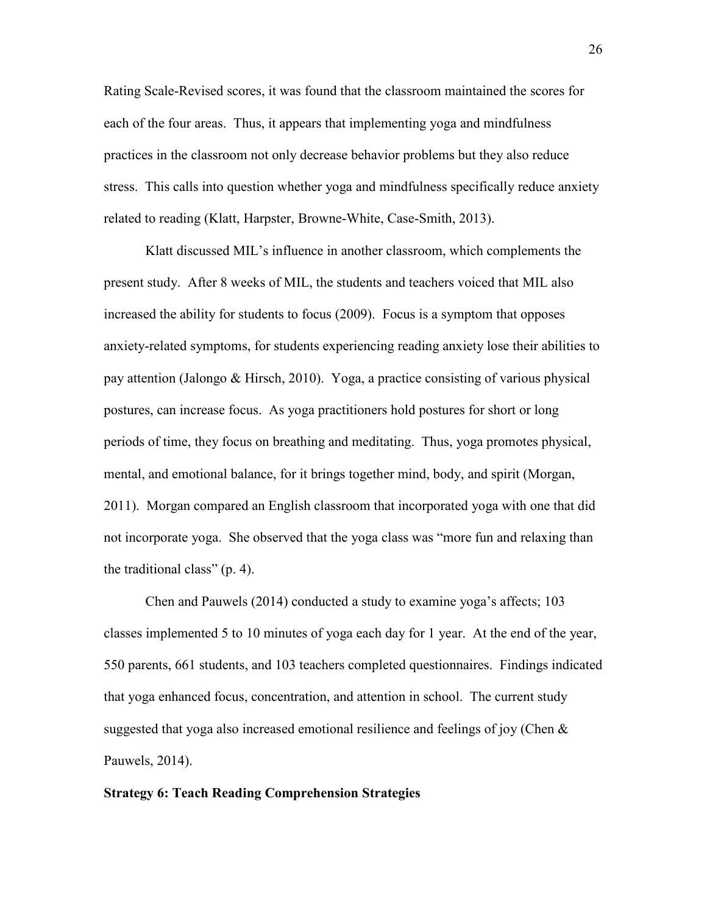Rating Scale-Revised scores, it was found that the classroom maintained the scores for each of the four areas. Thus, it appears that implementing yoga and mindfulness practices in the classroom not only decrease behavior problems but they also reduce stress. This calls into question whether yoga and mindfulness specifically reduce anxiety related to reading (Klatt, Harpster, Browne-White, Case-Smith, 2013).

Klatt discussed MIL's influence in another classroom, which complements the present study. After 8 weeks of MIL, the students and teachers voiced that MIL also increased the ability for students to focus (2009). Focus is a symptom that opposes anxiety-related symptoms, for students experiencing reading anxiety lose their abilities to pay attention (Jalongo & Hirsch, 2010). Yoga, a practice consisting of various physical postures, can increase focus. As yoga practitioners hold postures for short or long periods of time, they focus on breathing and meditating. Thus, yoga promotes physical, mental, and emotional balance, for it brings together mind, body, and spirit (Morgan, 2011). Morgan compared an English classroom that incorporated yoga with one that did not incorporate yoga. She observed that the yoga class was "more fun and relaxing than the traditional class" (p. 4).

 Chen and Pauwels (2014) conducted a study to examine yoga's affects; 103 classes implemented 5 to 10 minutes of yoga each day for 1 year. At the end of the year, 550 parents, 661 students, and 103 teachers completed questionnaires. Findings indicated that yoga enhanced focus, concentration, and attention in school. The current study suggested that yoga also increased emotional resilience and feelings of joy (Chen  $\&$ Pauwels, 2014).

#### **Strategy 6: Teach Reading Comprehension Strategies**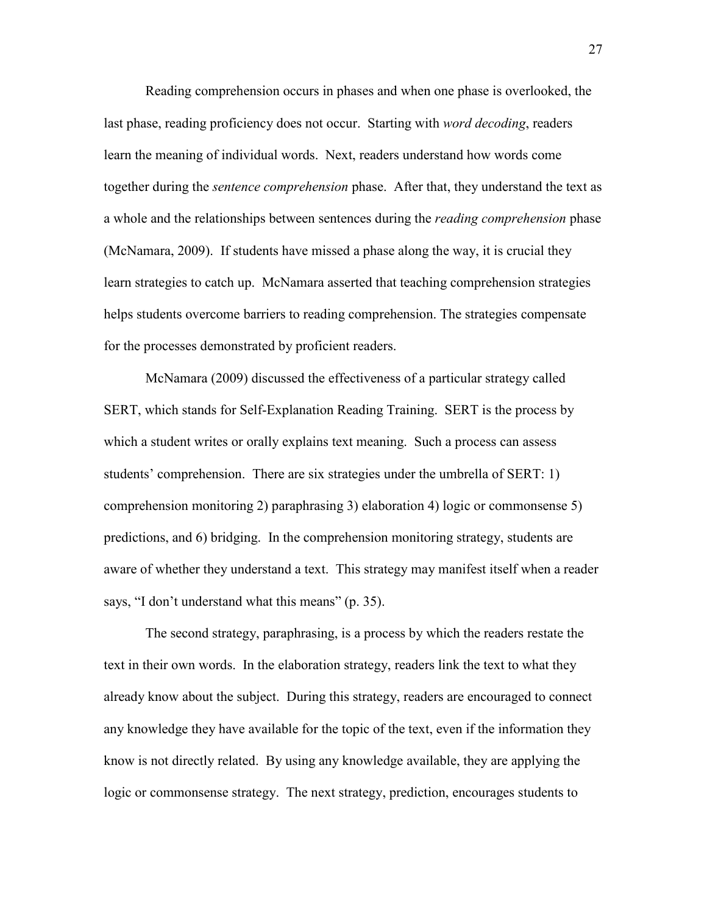Reading comprehension occurs in phases and when one phase is overlooked, the last phase, reading proficiency does not occur. Starting with *word decoding*, readers learn the meaning of individual words. Next, readers understand how words come together during the *sentence comprehension* phase. After that, they understand the text as a whole and the relationships between sentences during the *reading comprehension* phase (McNamara, 2009). If students have missed a phase along the way, it is crucial they learn strategies to catch up. McNamara asserted that teaching comprehension strategies helps students overcome barriers to reading comprehension. The strategies compensate for the processes demonstrated by proficient readers.

McNamara (2009) discussed the effectiveness of a particular strategy called SERT, which stands for Self-Explanation Reading Training. SERT is the process by which a student writes or orally explains text meaning. Such a process can assess students' comprehension. There are six strategies under the umbrella of SERT: 1) comprehension monitoring 2) paraphrasing 3) elaboration 4) logic or commonsense 5) predictions, and 6) bridging. In the comprehension monitoring strategy, students are aware of whether they understand a text. This strategy may manifest itself when a reader says, "I don't understand what this means" (p. 35).

The second strategy, paraphrasing, is a process by which the readers restate the text in their own words. In the elaboration strategy, readers link the text to what they already know about the subject. During this strategy, readers are encouraged to connect any knowledge they have available for the topic of the text, even if the information they know is not directly related. By using any knowledge available, they are applying the logic or commonsense strategy. The next strategy, prediction, encourages students to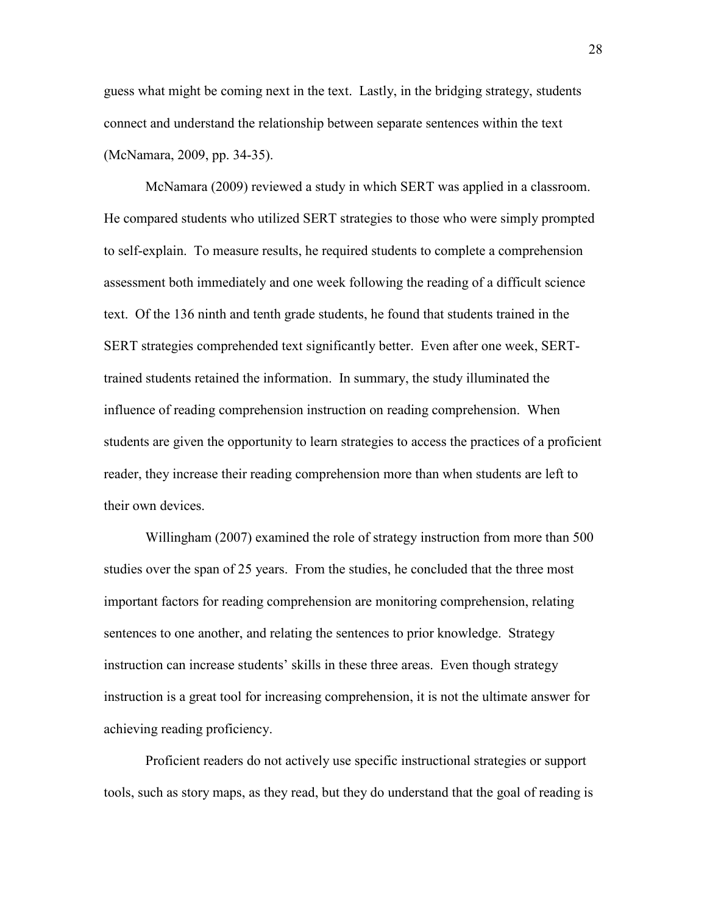guess what might be coming next in the text. Lastly, in the bridging strategy, students connect and understand the relationship between separate sentences within the text (McNamara, 2009, pp. 34-35).

McNamara (2009) reviewed a study in which SERT was applied in a classroom. He compared students who utilized SERT strategies to those who were simply prompted to self-explain. To measure results, he required students to complete a comprehension assessment both immediately and one week following the reading of a difficult science text. Of the 136 ninth and tenth grade students, he found that students trained in the SERT strategies comprehended text significantly better. Even after one week, SERTtrained students retained the information. In summary, the study illuminated the influence of reading comprehension instruction on reading comprehension. When students are given the opportunity to learn strategies to access the practices of a proficient reader, they increase their reading comprehension more than when students are left to their own devices.

 Willingham (2007) examined the role of strategy instruction from more than 500 studies over the span of 25 years. From the studies, he concluded that the three most important factors for reading comprehension are monitoring comprehension, relating sentences to one another, and relating the sentences to prior knowledge. Strategy instruction can increase students' skills in these three areas. Even though strategy instruction is a great tool for increasing comprehension, it is not the ultimate answer for achieving reading proficiency.

Proficient readers do not actively use specific instructional strategies or support tools, such as story maps, as they read, but they do understand that the goal of reading is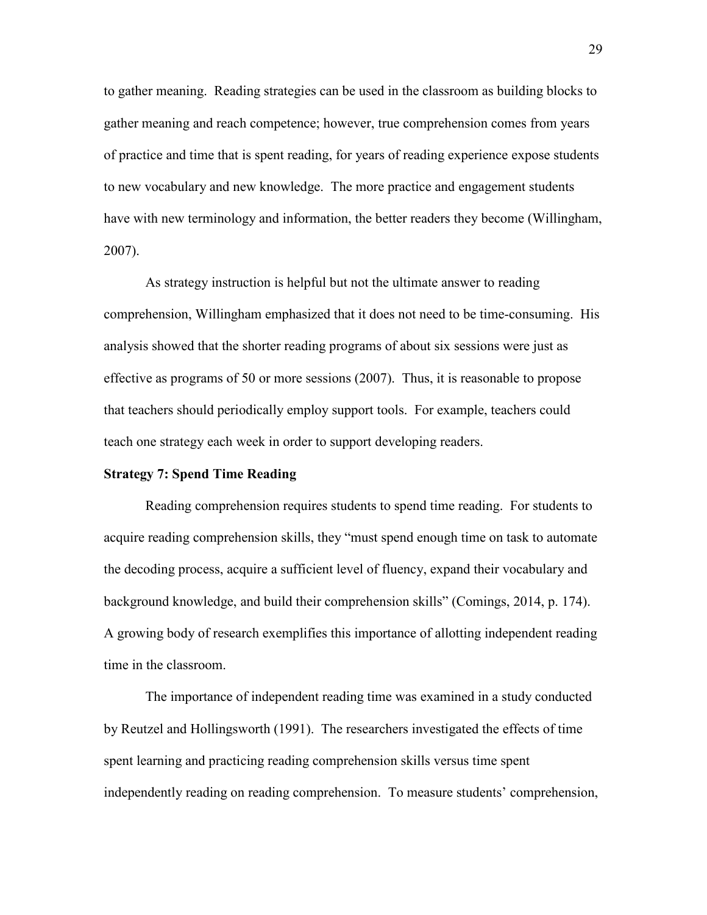to gather meaning. Reading strategies can be used in the classroom as building blocks to gather meaning and reach competence; however, true comprehension comes from years of practice and time that is spent reading, for years of reading experience expose students to new vocabulary and new knowledge. The more practice and engagement students have with new terminology and information, the better readers they become (Willingham, 2007).

As strategy instruction is helpful but not the ultimate answer to reading comprehension, Willingham emphasized that it does not need to be time-consuming. His analysis showed that the shorter reading programs of about six sessions were just as effective as programs of 50 or more sessions (2007). Thus, it is reasonable to propose that teachers should periodically employ support tools. For example, teachers could teach one strategy each week in order to support developing readers.

#### **Strategy 7: Spend Time Reading**

 Reading comprehension requires students to spend time reading. For students to acquire reading comprehension skills, they "must spend enough time on task to automate the decoding process, acquire a sufficient level of fluency, expand their vocabulary and background knowledge, and build their comprehension skills" (Comings, 2014, p. 174). A growing body of research exemplifies this importance of allotting independent reading time in the classroom.

 The importance of independent reading time was examined in a study conducted by Reutzel and Hollingsworth (1991). The researchers investigated the effects of time spent learning and practicing reading comprehension skills versus time spent independently reading on reading comprehension. To measure students' comprehension,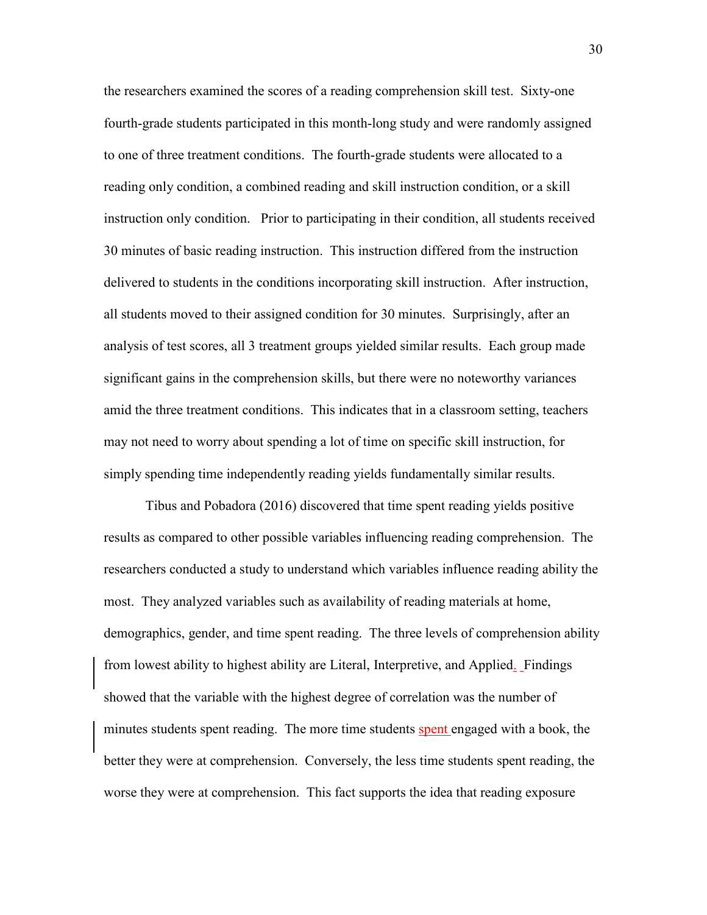the researchers examined the scores of a reading comprehension skill test. Sixty-one fourth-grade students participated in this month-long study and were randomly assigned to one of three treatment conditions. The fourth-grade students were allocated to a reading only condition, a combined reading and skill instruction condition, or a skill instruction only condition. Prior to participating in their condition, all students received 30 minutes of basic reading instruction. This instruction differed from the instruction delivered to students in the conditions incorporating skill instruction. After instruction, all students moved to their assigned condition for 30 minutes. Surprisingly, after an analysis of test scores, all 3 treatment groups yielded similar results. Each group made significant gains in the comprehension skills, but there were no noteworthy variances amid the three treatment conditions. This indicates that in a classroom setting, teachers may not need to worry about spending a lot of time on specific skill instruction, for simply spending time independently reading yields fundamentally similar results.

 Tibus and Pobadora (2016) discovered that time spent reading yields positive results as compared to other possible variables influencing reading comprehension. The researchers conducted a study to understand which variables influence reading ability the most. They analyzed variables such as availability of reading materials at home, demographics, gender, and time spent reading. The three levels of comprehension ability from lowest ability to highest ability are Literal, Interpretive, and Applied. Findings showed that the variable with the highest degree of correlation was the number of minutes students spent reading. The more time students spent engaged with a book, the better they were at comprehension. Conversely, the less time students spent reading, the worse they were at comprehension. This fact supports the idea that reading exposure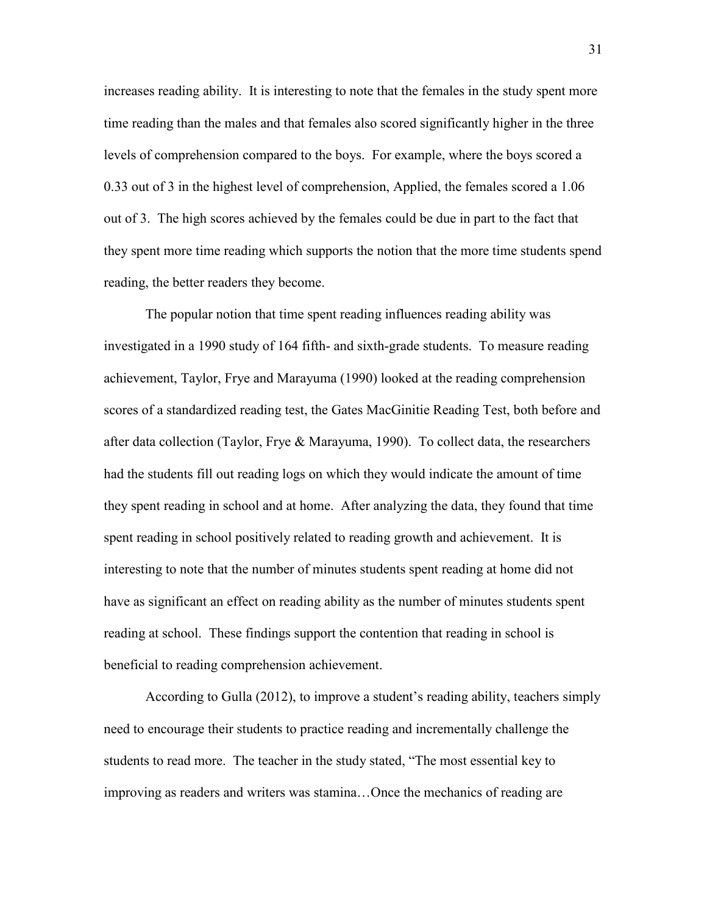increases reading ability. It is interesting to note that the females in the study spent more time reading than the males and that females also scored significantly higher in the three levels of comprehension compared to the boys. For example, where the boys scored a 0.33 out of 3 in the highest level of comprehension, Applied, the females scored a 1.06 out of 3. The high scores achieved by the females could be due in part to the fact that they spent more time reading which supports the notion that the more time students spend reading, the better readers they become.

 The popular notion that time spent reading influences reading ability was investigated in a 1990 study of 164 fifth- and sixth-grade students. To measure reading achievement, Taylor, Frye and Marayuma (1990) looked at the reading comprehension scores of a standardized reading test, the Gates MacGinitie Reading Test, both before and after data collection (Taylor, Frye & Marayuma, 1990). To collect data, the researchers had the students fill out reading logs on which they would indicate the amount of time they spent reading in school and at home. After analyzing the data, they found that time spent reading in school positively related to reading growth and achievement. It is interesting to note that the number of minutes students spent reading at home did not have as significant an effect on reading ability as the number of minutes students spent reading at school. These findings support the contention that reading in school is beneficial to reading comprehension achievement.

 According to Gulla (2012), to improve a student's reading ability, teachers simply need to encourage their students to practice reading and incrementally challenge the students to read more. The teacher in the study stated, "The most essential key to improving as readers and writers was stamina…Once the mechanics of reading are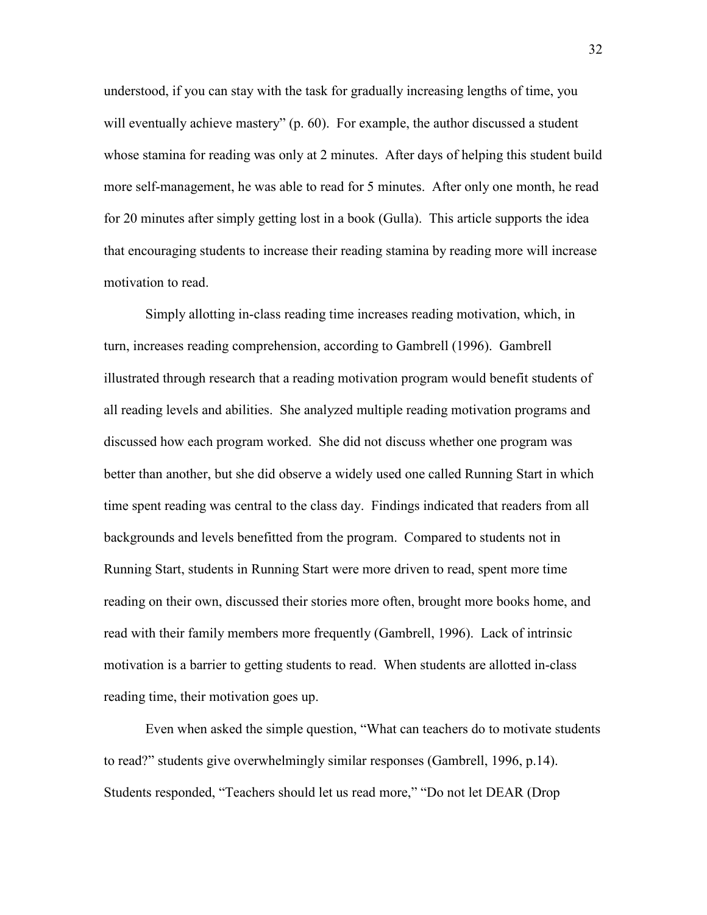understood, if you can stay with the task for gradually increasing lengths of time, you will eventually achieve mastery" (p. 60). For example, the author discussed a student whose stamina for reading was only at 2 minutes. After days of helping this student build more self-management, he was able to read for 5 minutes. After only one month, he read for 20 minutes after simply getting lost in a book (Gulla). This article supports the idea that encouraging students to increase their reading stamina by reading more will increase motivation to read.

Simply allotting in-class reading time increases reading motivation, which, in turn, increases reading comprehension, according to Gambrell (1996). Gambrell illustrated through research that a reading motivation program would benefit students of all reading levels and abilities. She analyzed multiple reading motivation programs and discussed how each program worked. She did not discuss whether one program was better than another, but she did observe a widely used one called Running Start in which time spent reading was central to the class day. Findings indicated that readers from all backgrounds and levels benefitted from the program. Compared to students not in Running Start, students in Running Start were more driven to read, spent more time reading on their own, discussed their stories more often, brought more books home, and read with their family members more frequently (Gambrell, 1996). Lack of intrinsic motivation is a barrier to getting students to read. When students are allotted in-class reading time, their motivation goes up.

 Even when asked the simple question, "What can teachers do to motivate students to read?" students give overwhelmingly similar responses (Gambrell, 1996, p.14). Students responded, "Teachers should let us read more," "Do not let DEAR (Drop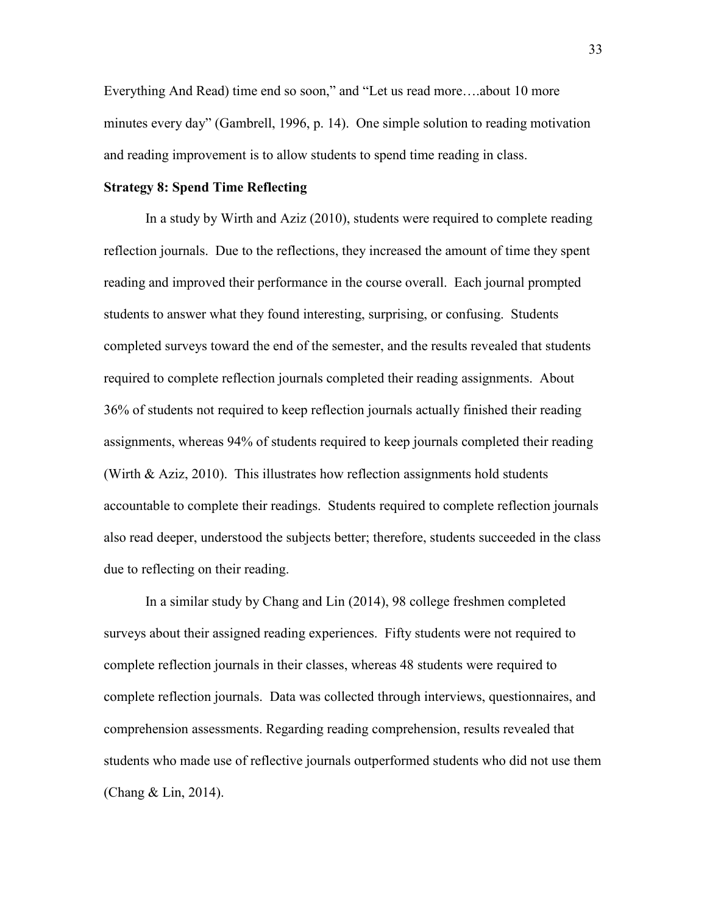Everything And Read) time end so soon," and "Let us read more….about 10 more minutes every day" (Gambrell, 1996, p. 14). One simple solution to reading motivation and reading improvement is to allow students to spend time reading in class.

#### **Strategy 8: Spend Time Reflecting**

 In a study by Wirth and Aziz (2010), students were required to complete reading reflection journals. Due to the reflections, they increased the amount of time they spent reading and improved their performance in the course overall. Each journal prompted students to answer what they found interesting, surprising, or confusing. Students completed surveys toward the end of the semester, and the results revealed that students required to complete reflection journals completed their reading assignments. About 36% of students not required to keep reflection journals actually finished their reading assignments, whereas 94% of students required to keep journals completed their reading (Wirth & Aziz, 2010). This illustrates how reflection assignments hold students accountable to complete their readings. Students required to complete reflection journals also read deeper, understood the subjects better; therefore, students succeeded in the class due to reflecting on their reading.

In a similar study by Chang and Lin (2014), 98 college freshmen completed surveys about their assigned reading experiences. Fifty students were not required to complete reflection journals in their classes, whereas 48 students were required to complete reflection journals. Data was collected through interviews, questionnaires, and comprehension assessments. Regarding reading comprehension, results revealed that students who made use of reflective journals outperformed students who did not use them (Chang & Lin, 2014).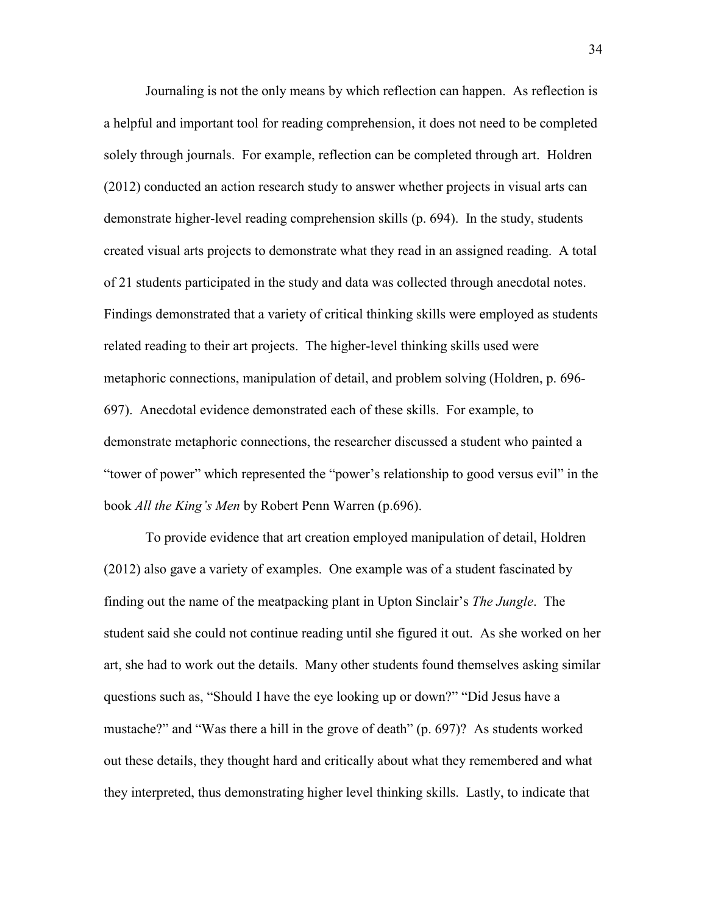Journaling is not the only means by which reflection can happen. As reflection is a helpful and important tool for reading comprehension, it does not need to be completed solely through journals. For example, reflection can be completed through art. Holdren (2012) conducted an action research study to answer whether projects in visual arts can demonstrate higher-level reading comprehension skills (p. 694). In the study, students created visual arts projects to demonstrate what they read in an assigned reading. A total of 21 students participated in the study and data was collected through anecdotal notes. Findings demonstrated that a variety of critical thinking skills were employed as students related reading to their art projects. The higher-level thinking skills used were metaphoric connections, manipulation of detail, and problem solving (Holdren, p. 696- 697). Anecdotal evidence demonstrated each of these skills. For example, to demonstrate metaphoric connections, the researcher discussed a student who painted a "tower of power" which represented the "power's relationship to good versus evil" in the book *All the King's Men* by Robert Penn Warren (p.696).

 To provide evidence that art creation employed manipulation of detail, Holdren (2012) also gave a variety of examples. One example was of a student fascinated by finding out the name of the meatpacking plant in Upton Sinclair's *The Jungle*. The student said she could not continue reading until she figured it out. As she worked on her art, she had to work out the details. Many other students found themselves asking similar questions such as, "Should I have the eye looking up or down?" "Did Jesus have a mustache?" and "Was there a hill in the grove of death" (p. 697)? As students worked out these details, they thought hard and critically about what they remembered and what they interpreted, thus demonstrating higher level thinking skills. Lastly, to indicate that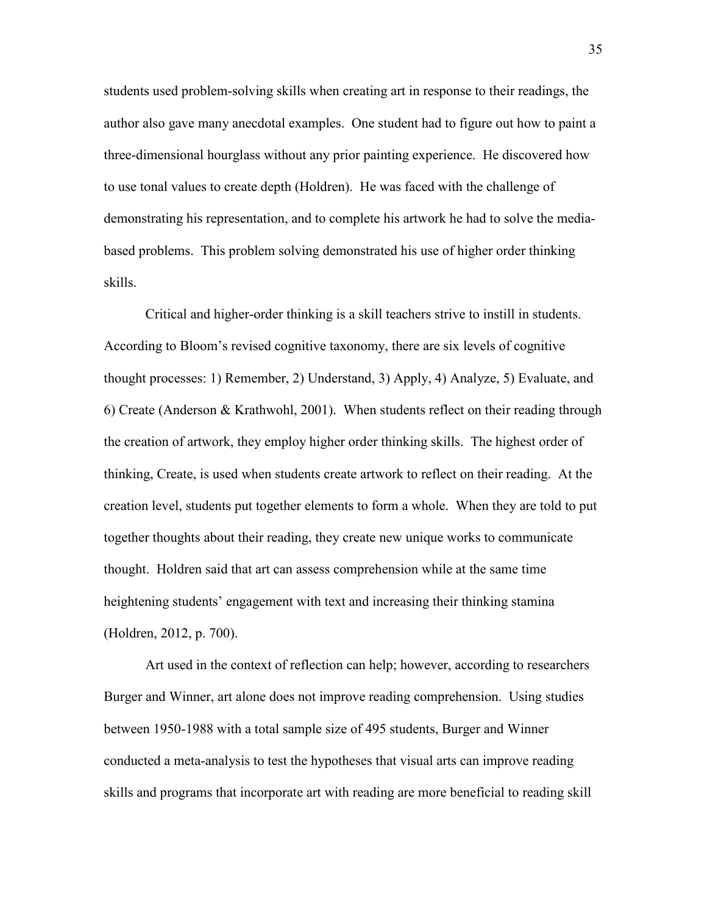students used problem-solving skills when creating art in response to their readings, the author also gave many anecdotal examples. One student had to figure out how to paint a three-dimensional hourglass without any prior painting experience. He discovered how to use tonal values to create depth (Holdren). He was faced with the challenge of demonstrating his representation, and to complete his artwork he had to solve the mediabased problems. This problem solving demonstrated his use of higher order thinking skills.

Critical and higher-order thinking is a skill teachers strive to instill in students. According to Bloom's revised cognitive taxonomy, there are six levels of cognitive thought processes: 1) Remember, 2) Understand, 3) Apply, 4) Analyze, 5) Evaluate, and 6) Create (Anderson & Krathwohl, 2001). When students reflect on their reading through the creation of artwork, they employ higher order thinking skills. The highest order of thinking, Create, is used when students create artwork to reflect on their reading. At the creation level, students put together elements to form a whole. When they are told to put together thoughts about their reading, they create new unique works to communicate thought. Holdren said that art can assess comprehension while at the same time heightening students' engagement with text and increasing their thinking stamina (Holdren, 2012, p. 700).

 Art used in the context of reflection can help; however, according to researchers Burger and Winner, art alone does not improve reading comprehension. Using studies between 1950-1988 with a total sample size of 495 students, Burger and Winner conducted a meta-analysis to test the hypotheses that visual arts can improve reading skills and programs that incorporate art with reading are more beneficial to reading skill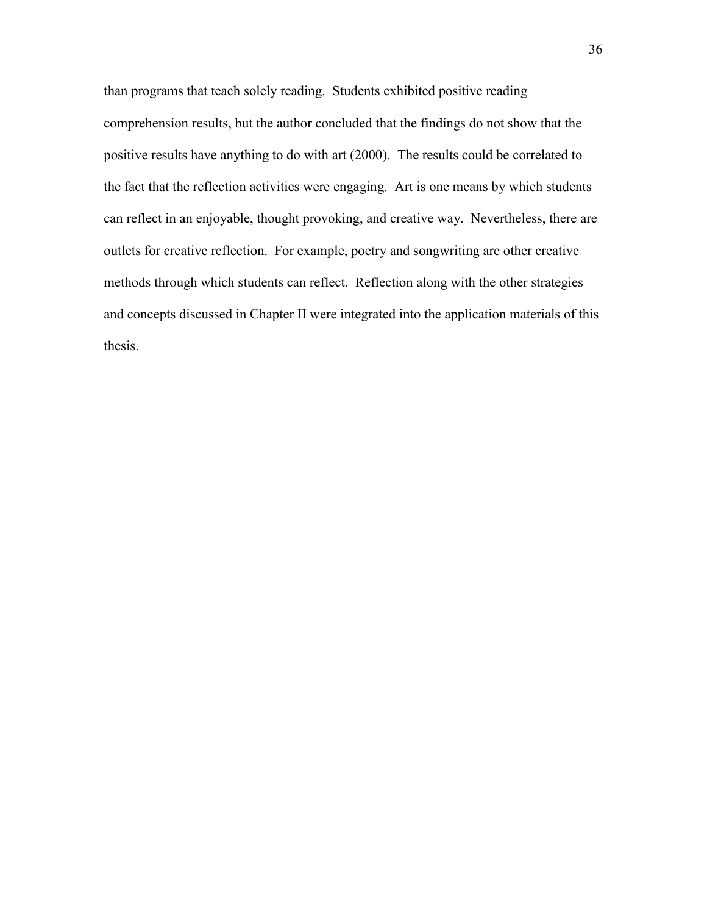than programs that teach solely reading. Students exhibited positive reading comprehension results, but the author concluded that the findings do not show that the positive results have anything to do with art (2000). The results could be correlated to the fact that the reflection activities were engaging. Art is one means by which students can reflect in an enjoyable, thought provoking, and creative way. Nevertheless, there are outlets for creative reflection. For example, poetry and songwriting are other creative methods through which students can reflect. Reflection along with the other strategies and concepts discussed in Chapter II were integrated into the application materials of this thesis.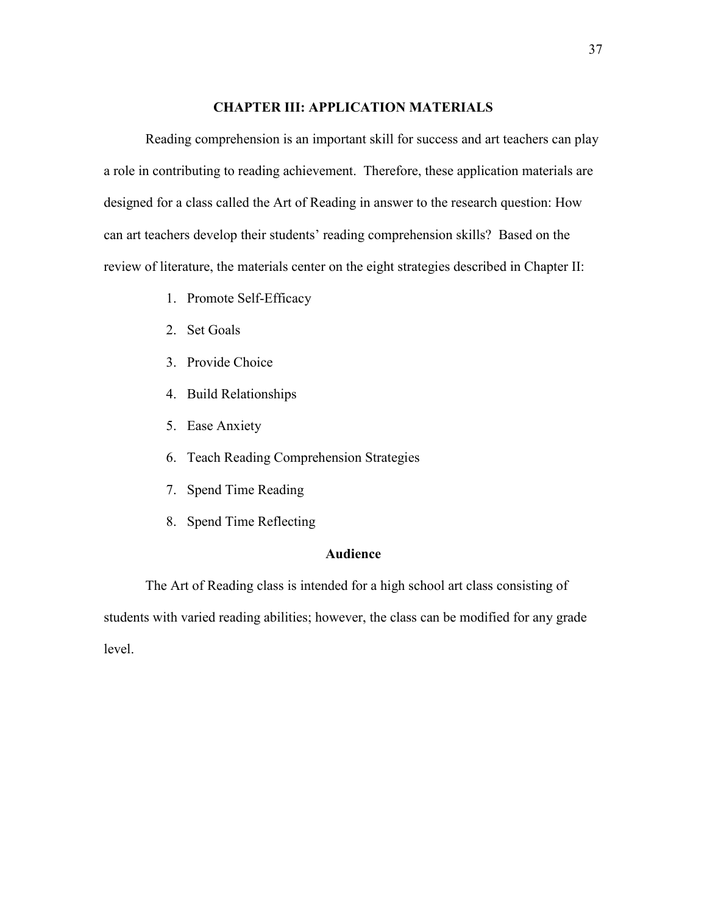#### **CHAPTER III: APPLICATION MATERIALS**

Reading comprehension is an important skill for success and art teachers can play a role in contributing to reading achievement. Therefore, these application materials are designed for a class called the Art of Reading in answer to the research question: How can art teachers develop their students' reading comprehension skills? Based on the review of literature, the materials center on the eight strategies described in Chapter II:

- 1. Promote Self-Efficacy
- 2. Set Goals
- 3. Provide Choice
- 4. Build Relationships
- 5. Ease Anxiety
- 6. Teach Reading Comprehension Strategies
- 7. Spend Time Reading
- 8. Spend Time Reflecting

# **Audience**

The Art of Reading class is intended for a high school art class consisting of students with varied reading abilities; however, the class can be modified for any grade level.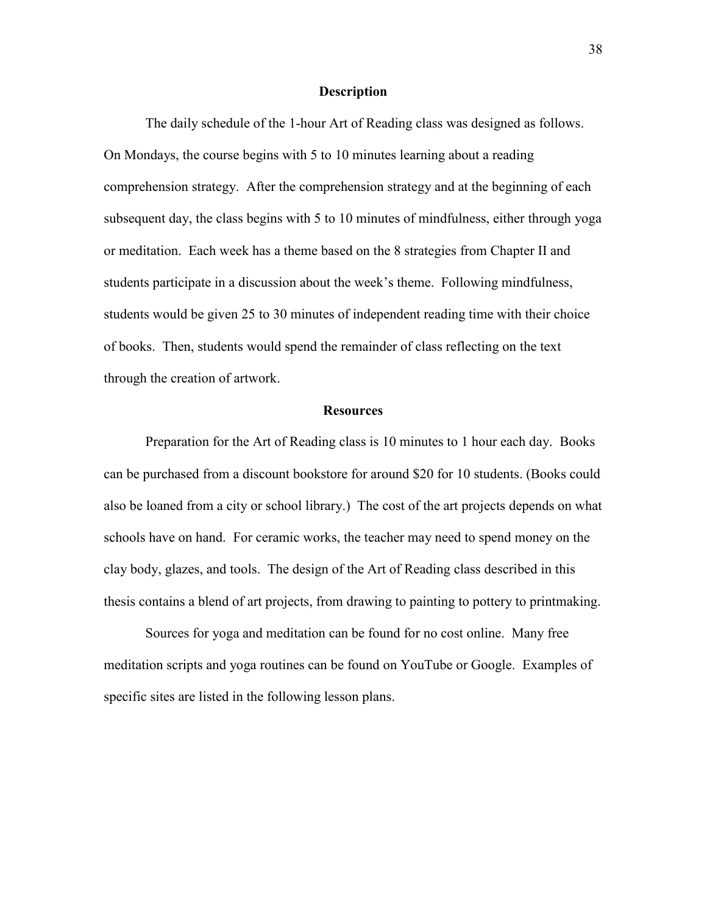#### **Description**

The daily schedule of the 1-hour Art of Reading class was designed as follows. On Mondays, the course begins with 5 to 10 minutes learning about a reading comprehension strategy. After the comprehension strategy and at the beginning of each subsequent day, the class begins with 5 to 10 minutes of mindfulness, either through yoga or meditation. Each week has a theme based on the 8 strategies from Chapter II and students participate in a discussion about the week's theme. Following mindfulness, students would be given 25 to 30 minutes of independent reading time with their choice of books. Then, students would spend the remainder of class reflecting on the text through the creation of artwork.

#### **Resources**

Preparation for the Art of Reading class is 10 minutes to 1 hour each day. Books can be purchased from a discount bookstore for around \$20 for 10 students. (Books could also be loaned from a city or school library.) The cost of the art projects depends on what schools have on hand. For ceramic works, the teacher may need to spend money on the clay body, glazes, and tools. The design of the Art of Reading class described in this thesis contains a blend of art projects, from drawing to painting to pottery to printmaking.

 Sources for yoga and meditation can be found for no cost online. Many free meditation scripts and yoga routines can be found on YouTube or Google. Examples of specific sites are listed in the following lesson plans.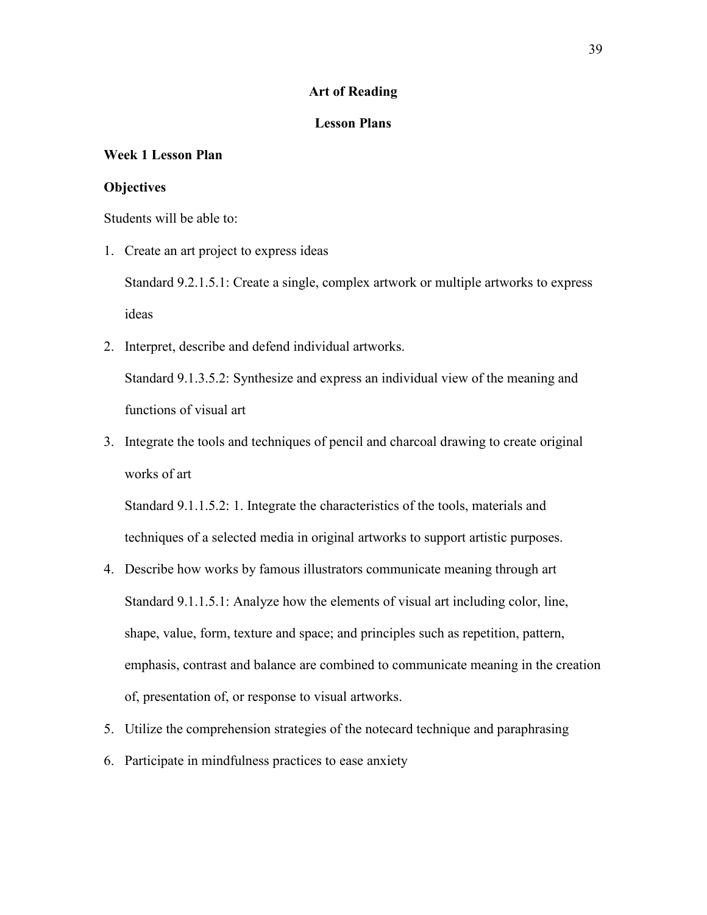### **Art of Reading**

# **Lesson Plans**

# **Week 1 Lesson Plan**

### **Objectives**

Students will be able to:

1. Create an art project to express ideas

Standard 9.2.1.5.1: Create a single, complex artwork or multiple artworks to express ideas

2. Interpret, describe and defend individual artworks.

Standard 9.1.3.5.2: Synthesize and express an individual view of the meaning and functions of visual art

3. Integrate the tools and techniques of pencil and charcoal drawing to create original works of art

Standard 9.1.1.5.2: 1. Integrate the characteristics of the tools, materials and techniques of a selected media in original artworks to support artistic purposes.

- 4. Describe how works by famous illustrators communicate meaning through art Standard 9.1.1.5.1: Analyze how the elements of visual art including color, line, shape, value, form, texture and space; and principles such as repetition, pattern, emphasis, contrast and balance are combined to communicate meaning in the creation of, presentation of, or response to visual artworks.
- 5. Utilize the comprehension strategies of the notecard technique and paraphrasing
- 6. Participate in mindfulness practices to ease anxiety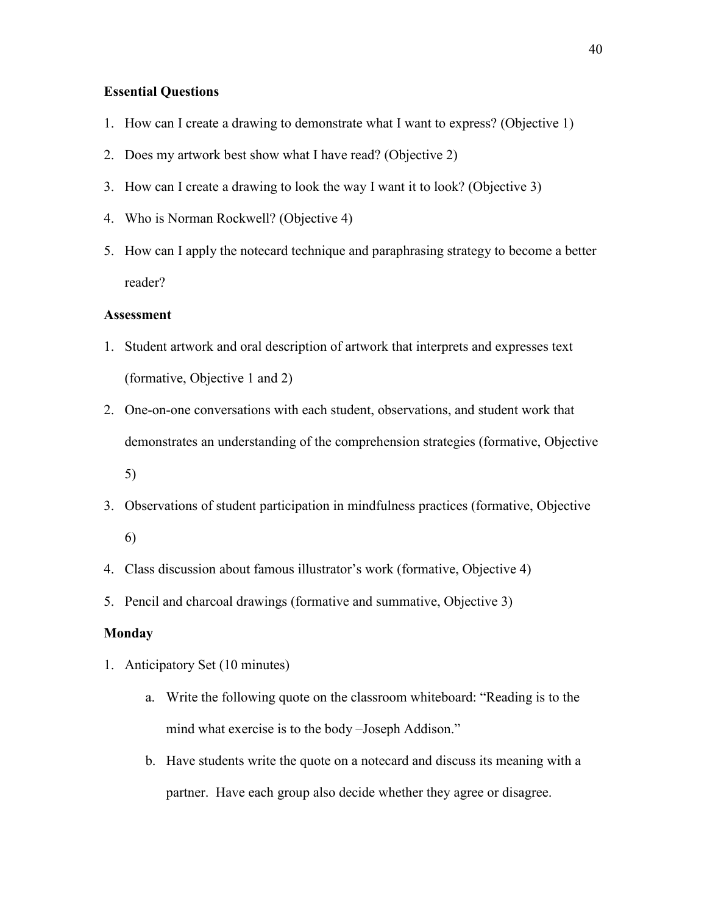# **Essential Questions**

- 1. How can I create a drawing to demonstrate what I want to express? (Objective 1)
- 2. Does my artwork best show what I have read? (Objective 2)
- 3. How can I create a drawing to look the way I want it to look? (Objective 3)
- 4. Who is Norman Rockwell? (Objective 4)
- 5. How can I apply the notecard technique and paraphrasing strategy to become a better reader?

#### **Assessment**

- 1. Student artwork and oral description of artwork that interprets and expresses text (formative, Objective 1 and 2)
- 2. One-on-one conversations with each student, observations, and student work that demonstrates an understanding of the comprehension strategies (formative, Objective 5)
- 3. Observations of student participation in mindfulness practices (formative, Objective
	- 6)
- 4. Class discussion about famous illustrator's work (formative, Objective 4)
- 5. Pencil and charcoal drawings (formative and summative, Objective 3)

# **Monday**

- 1. Anticipatory Set (10 minutes)
	- a. Write the following quote on the classroom whiteboard: "Reading is to the mind what exercise is to the body –Joseph Addison."
	- b. Have students write the quote on a notecard and discuss its meaning with a partner. Have each group also decide whether they agree or disagree.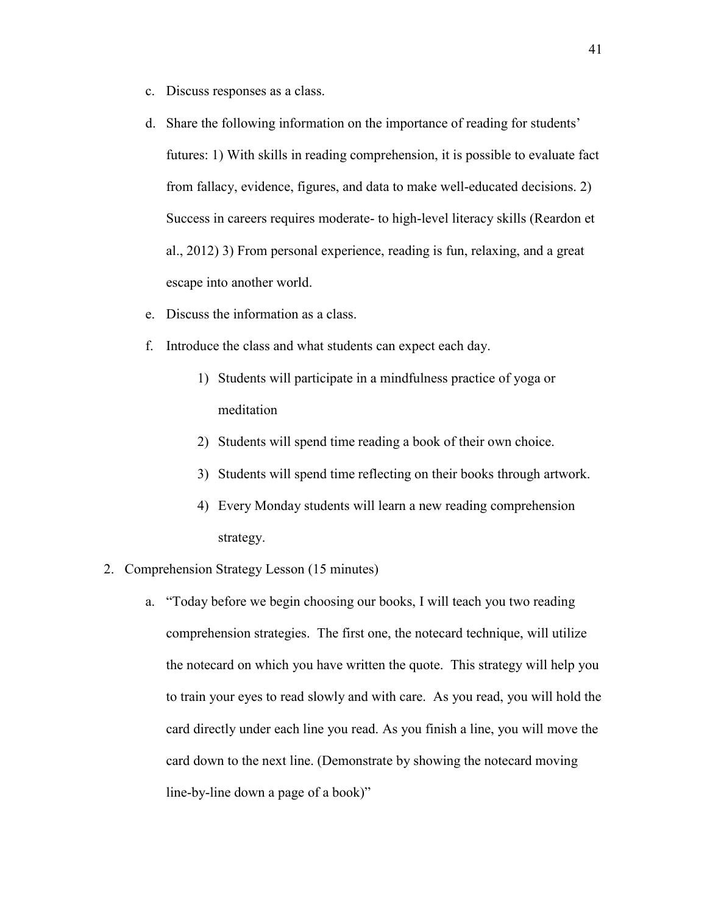- c. Discuss responses as a class.
- d. Share the following information on the importance of reading for students' futures: 1) With skills in reading comprehension, it is possible to evaluate fact from fallacy, evidence, figures, and data to make well-educated decisions. 2) Success in careers requires moderate- to high-level literacy skills (Reardon et al., 2012) 3) From personal experience, reading is fun, relaxing, and a great escape into another world.
- e. Discuss the information as a class.
- f. Introduce the class and what students can expect each day.
	- 1) Students will participate in a mindfulness practice of yoga or meditation
	- 2) Students will spend time reading a book of their own choice.
	- 3) Students will spend time reflecting on their books through artwork.
	- 4) Every Monday students will learn a new reading comprehension strategy.
- 2. Comprehension Strategy Lesson (15 minutes)
	- a. "Today before we begin choosing our books, I will teach you two reading comprehension strategies. The first one, the notecard technique, will utilize the notecard on which you have written the quote. This strategy will help you to train your eyes to read slowly and with care. As you read, you will hold the card directly under each line you read. As you finish a line, you will move the card down to the next line. (Demonstrate by showing the notecard moving line-by-line down a page of a book)"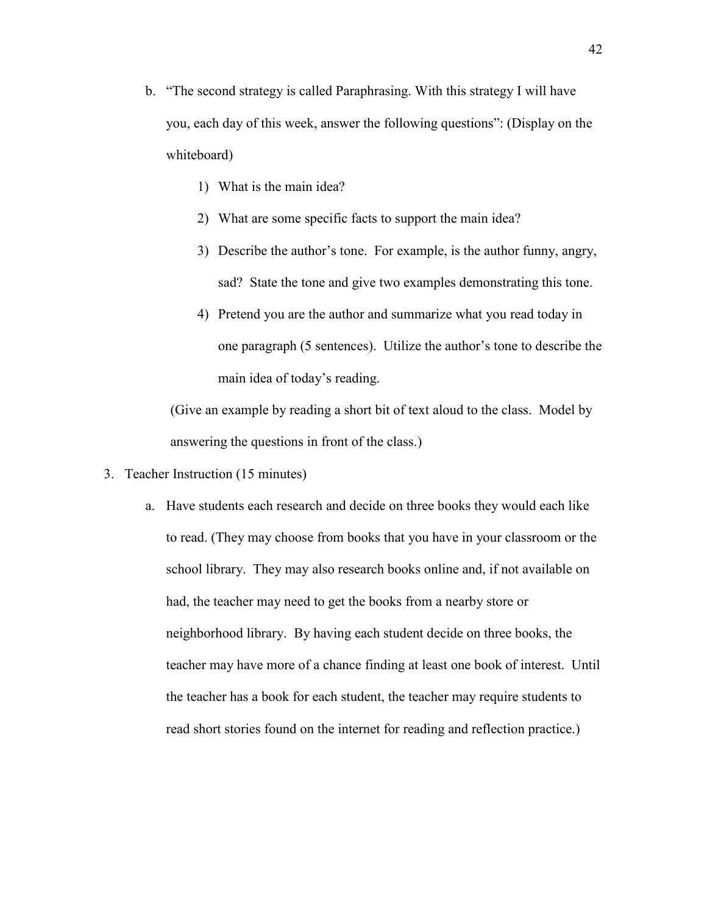- b. "The second strategy is called Paraphrasing. With this strategy I will have you, each day of this week, answer the following questions": (Display on the whiteboard)
	- 1) What is the main idea?
	- 2) What are some specific facts to support the main idea?
	- 3) Describe the author's tone. For example, is the author funny, angry, sad? State the tone and give two examples demonstrating this tone.
	- 4) Pretend you are the author and summarize what you read today in one paragraph (5 sentences). Utilize the author's tone to describe the main idea of today's reading.

(Give an example by reading a short bit of text aloud to the class. Model by answering the questions in front of the class.)

- 3. Teacher Instruction (15 minutes)
	- a. Have students each research and decide on three books they would each like to read. (They may choose from books that you have in your classroom or the school library. They may also research books online and, if not available on had, the teacher may need to get the books from a nearby store or neighborhood library. By having each student decide on three books, the teacher may have more of a chance finding at least one book of interest. Until the teacher has a book for each student, the teacher may require students to read short stories found on the internet for reading and reflection practice.)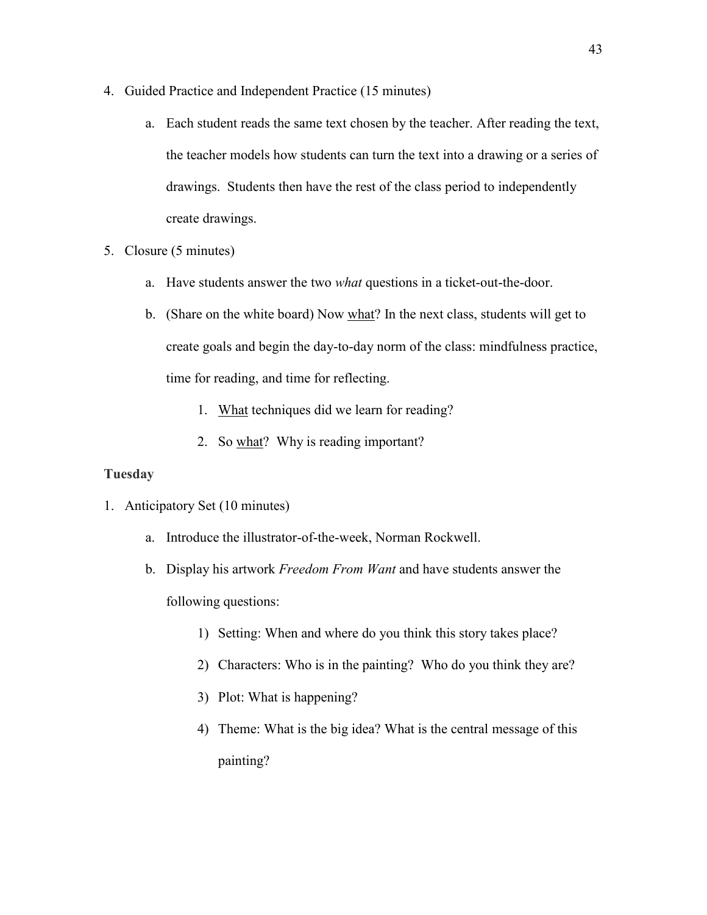- 4. Guided Practice and Independent Practice (15 minutes)
	- a. Each student reads the same text chosen by the teacher. After reading the text, the teacher models how students can turn the text into a drawing or a series of drawings. Students then have the rest of the class period to independently create drawings.
- 5. Closure (5 minutes)
	- a. Have students answer the two *what* questions in a ticket-out-the-door.
	- b. (Share on the white board) Now what? In the next class, students will get to create goals and begin the day-to-day norm of the class: mindfulness practice, time for reading, and time for reflecting.
		- 1. What techniques did we learn for reading?
		- 2. So what? Why is reading important?

# **Tuesday**

- 1. Anticipatory Set (10 minutes)
	- a. Introduce the illustrator-of-the-week, Norman Rockwell.
	- b. Display his artwork *Freedom From Want* and have students answer the following questions:
		- 1) Setting: When and where do you think this story takes place?
		- 2) Characters: Who is in the painting? Who do you think they are?
		- 3) Plot: What is happening?
		- 4) Theme: What is the big idea? What is the central message of this painting?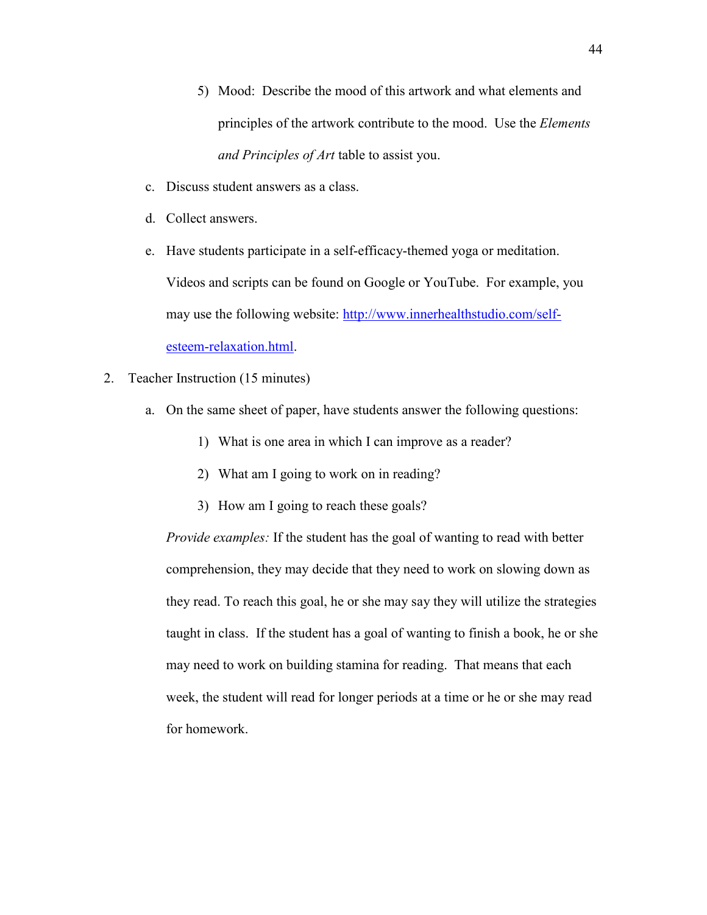- 5) Mood: Describe the mood of this artwork and what elements and principles of the artwork contribute to the mood. Use the *Elements and Principles of Art* table to assist you.
- c. Discuss student answers as a class.
- d. Collect answers.
- e. Have students participate in a self-efficacy-themed yoga or meditation. Videos and scripts can be found on Google or YouTube. For example, you may use the following website: [http://www.innerhealthstudio.com/self](http://www.innerhealthstudio.com/self-esteem-relaxation.html)[esteem-relaxation.html.](http://www.innerhealthstudio.com/self-esteem-relaxation.html)
- 2. Teacher Instruction (15 minutes)
	- a. On the same sheet of paper, have students answer the following questions:
		- 1) What is one area in which I can improve as a reader?
		- 2) What am I going to work on in reading?
		- 3) How am I going to reach these goals?

*Provide examples:* If the student has the goal of wanting to read with better comprehension, they may decide that they need to work on slowing down as they read. To reach this goal, he or she may say they will utilize the strategies taught in class. If the student has a goal of wanting to finish a book, he or she may need to work on building stamina for reading. That means that each week, the student will read for longer periods at a time or he or she may read for homework.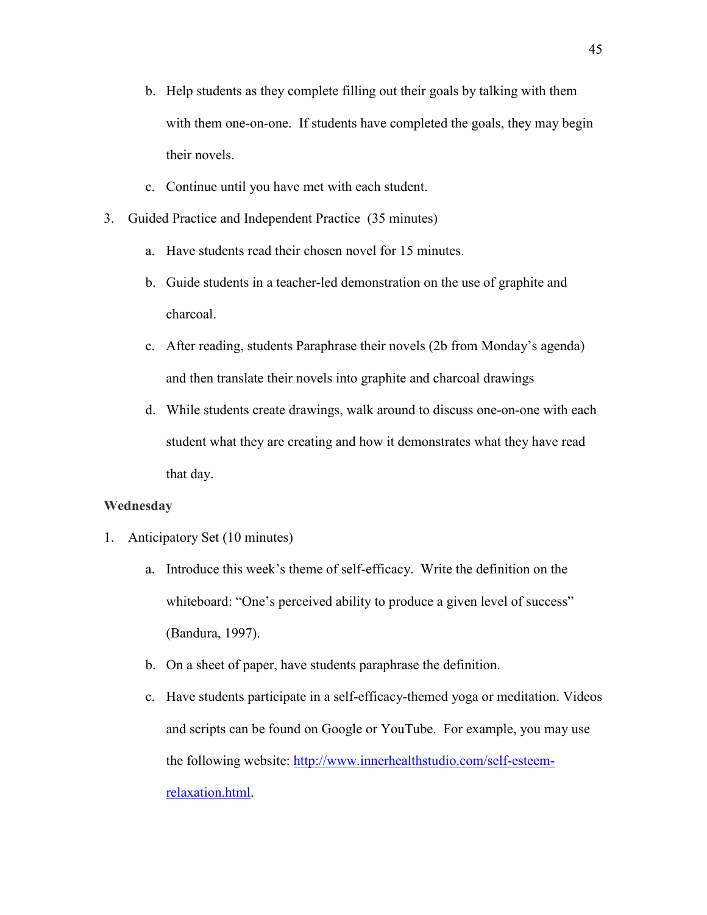- b. Help students as they complete filling out their goals by talking with them with them one-on-one. If students have completed the goals, they may begin their novels.
- c. Continue until you have met with each student.
- 3. Guided Practice and Independent Practice (35 minutes)
	- a. Have students read their chosen novel for 15 minutes.
	- b. Guide students in a teacher-led demonstration on the use of graphite and charcoal.
	- c. After reading, students Paraphrase their novels (2b from Monday's agenda) and then translate their novels into graphite and charcoal drawings
	- d. While students create drawings, walk around to discuss one-on-one with each student what they are creating and how it demonstrates what they have read that day.

## **Wednesday**

- 1. Anticipatory Set (10 minutes)
	- a. Introduce this week's theme of self-efficacy. Write the definition on the whiteboard: "One's perceived ability to produce a given level of success" (Bandura, 1997).
	- b. On a sheet of paper, have students paraphrase the definition.
	- c. Have students participate in a self-efficacy-themed yoga or meditation. Videos and scripts can be found on Google or YouTube. For example, you may use the following website: [http://www.innerhealthstudio.com/self-esteem](http://www.innerhealthstudio.com/self-esteem-relaxation.html)[relaxation.html.](http://www.innerhealthstudio.com/self-esteem-relaxation.html)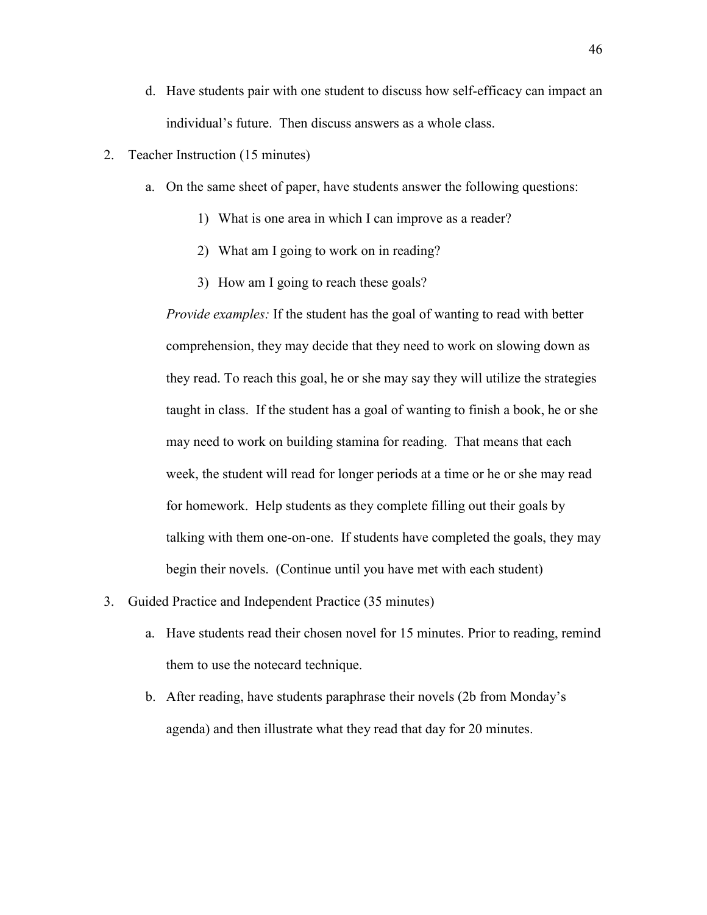- d. Have students pair with one student to discuss how self-efficacy can impact an individual's future. Then discuss answers as a whole class.
- 2. Teacher Instruction (15 minutes)
	- a. On the same sheet of paper, have students answer the following questions:
		- 1) What is one area in which I can improve as a reader?
		- 2) What am I going to work on in reading?
		- 3) How am I going to reach these goals?

*Provide examples:* If the student has the goal of wanting to read with better comprehension, they may decide that they need to work on slowing down as they read. To reach this goal, he or she may say they will utilize the strategies taught in class. If the student has a goal of wanting to finish a book, he or she may need to work on building stamina for reading. That means that each week, the student will read for longer periods at a time or he or she may read for homework. Help students as they complete filling out their goals by talking with them one-on-one. If students have completed the goals, they may begin their novels. (Continue until you have met with each student)

- 3. Guided Practice and Independent Practice (35 minutes)
	- a. Have students read their chosen novel for 15 minutes. Prior to reading, remind them to use the notecard technique.
	- b. After reading, have students paraphrase their novels (2b from Monday's agenda) and then illustrate what they read that day for 20 minutes.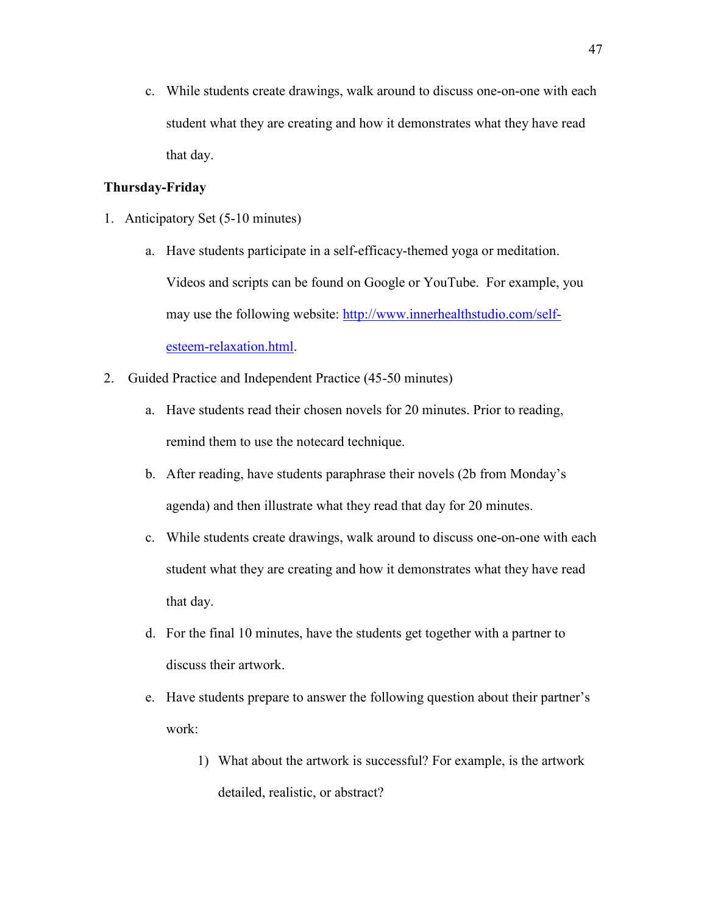c. While students create drawings, walk around to discuss one-on-one with each student what they are creating and how it demonstrates what they have read that day.

# **Thursday-Friday**

- 1. Anticipatory Set (5-10 minutes)
	- a. Have students participate in a self-efficacy-themed yoga or meditation. Videos and scripts can be found on Google or YouTube. For example, you may use the following website: [http://www.innerhealthstudio.com/self](http://www.innerhealthstudio.com/self-esteem-relaxation.html)[esteem-relaxation.html.](http://www.innerhealthstudio.com/self-esteem-relaxation.html)
- 2. Guided Practice and Independent Practice (45-50 minutes)
	- a. Have students read their chosen novels for 20 minutes. Prior to reading, remind them to use the notecard technique.
	- b. After reading, have students paraphrase their novels (2b from Monday's agenda) and then illustrate what they read that day for 20 minutes.
	- c. While students create drawings, walk around to discuss one-on-one with each student what they are creating and how it demonstrates what they have read that day.
	- d. For the final 10 minutes, have the students get together with a partner to discuss their artwork.
	- e. Have students prepare to answer the following question about their partner's work:
		- 1) What about the artwork is successful? For example, is the artwork detailed, realistic, or abstract?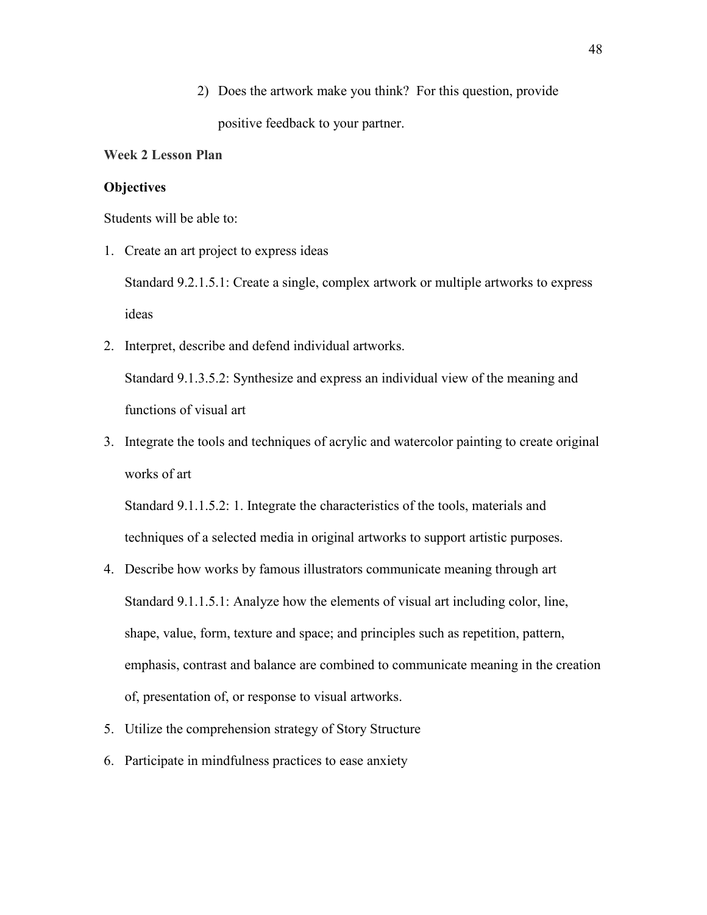2) Does the artwork make you think? For this question, provide positive feedback to your partner.

# **Week 2 Lesson Plan**

## **Objectives**

Students will be able to:

1. Create an art project to express ideas

Standard 9.2.1.5.1: Create a single, complex artwork or multiple artworks to express ideas

2. Interpret, describe and defend individual artworks.

Standard 9.1.3.5.2: Synthesize and express an individual view of the meaning and functions of visual art

3. Integrate the tools and techniques of acrylic and watercolor painting to create original works of art

Standard 9.1.1.5.2: 1. Integrate the characteristics of the tools, materials and techniques of a selected media in original artworks to support artistic purposes.

- 4. Describe how works by famous illustrators communicate meaning through art Standard 9.1.1.5.1: Analyze how the elements of visual art including color, line, shape, value, form, texture and space; and principles such as repetition, pattern, emphasis, contrast and balance are combined to communicate meaning in the creation of, presentation of, or response to visual artworks.
- 5. Utilize the comprehension strategy of Story Structure
- 6. Participate in mindfulness practices to ease anxiety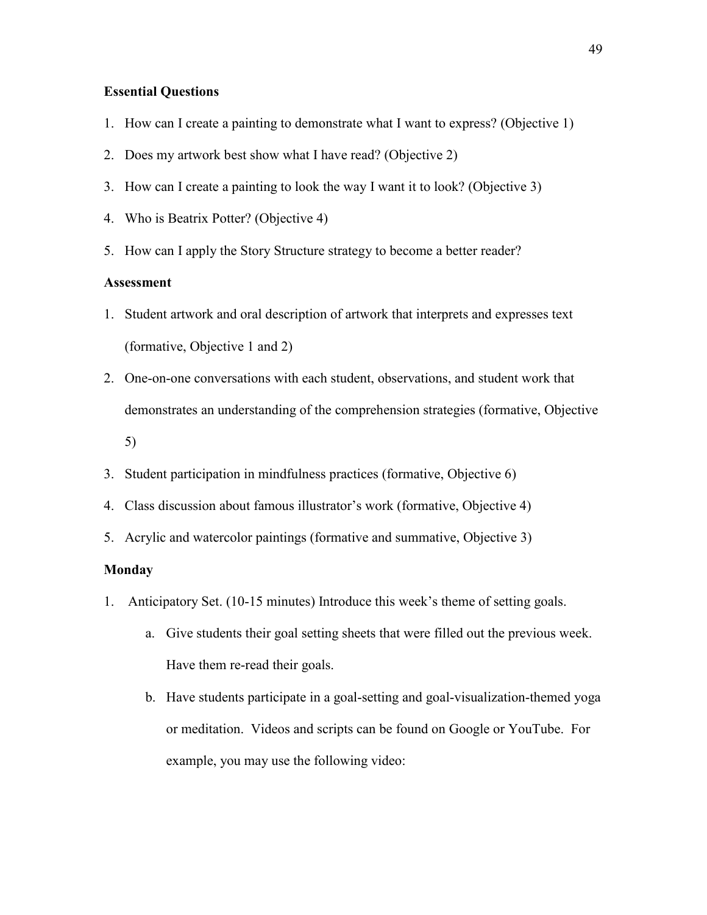## **Essential Questions**

- 1. How can I create a painting to demonstrate what I want to express? (Objective 1)
- 2. Does my artwork best show what I have read? (Objective 2)
- 3. How can I create a painting to look the way I want it to look? (Objective 3)
- 4. Who is Beatrix Potter? (Objective 4)
- 5. How can I apply the Story Structure strategy to become a better reader?

# **Assessment**

- 1. Student artwork and oral description of artwork that interprets and expresses text (formative, Objective 1 and 2)
- 2. One-on-one conversations with each student, observations, and student work that demonstrates an understanding of the comprehension strategies (formative, Objective 5)
- 3. Student participation in mindfulness practices (formative, Objective 6)
- 4. Class discussion about famous illustrator's work (formative, Objective 4)
- 5. Acrylic and watercolor paintings (formative and summative, Objective 3)

## **Monday**

- 1. Anticipatory Set. (10-15 minutes) Introduce this week's theme of setting goals.
	- a. Give students their goal setting sheets that were filled out the previous week. Have them re-read their goals.
	- b. Have students participate in a goal-setting and goal-visualization-themed yoga or meditation. Videos and scripts can be found on Google or YouTube. For example, you may use the following video: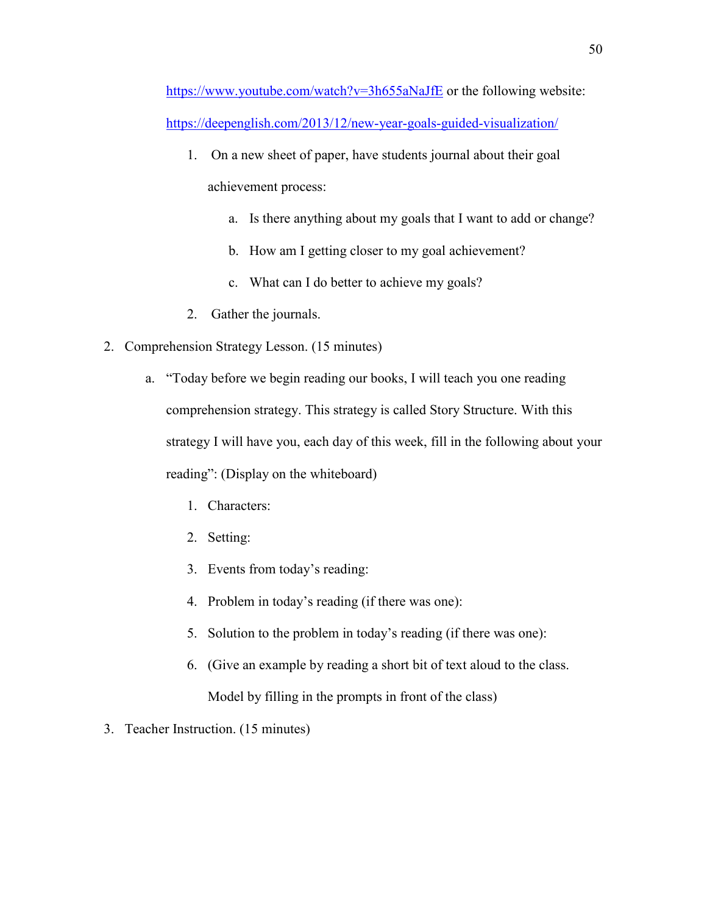<https://www.youtube.com/watch?v=3h655aNaJfE> or the following website: <https://deepenglish.com/2013/12/new-year-goals-guided-visualization/>

- 1. On a new sheet of paper, have students journal about their goal achievement process:
	- a. Is there anything about my goals that I want to add or change?
	- b. How am I getting closer to my goal achievement?
	- c. What can I do better to achieve my goals?
- 2. Gather the journals.
- 2. Comprehension Strategy Lesson. (15 minutes)
	- a. "Today before we begin reading our books, I will teach you one reading comprehension strategy. This strategy is called Story Structure. With this strategy I will have you, each day of this week, fill in the following about your reading": (Display on the whiteboard)
		- 1. Characters:
		- 2. Setting:
		- 3. Events from today's reading:
		- 4. Problem in today's reading (if there was one):
		- 5. Solution to the problem in today's reading (if there was one):
		- 6. (Give an example by reading a short bit of text aloud to the class.

Model by filling in the prompts in front of the class)

3. Teacher Instruction. (15 minutes)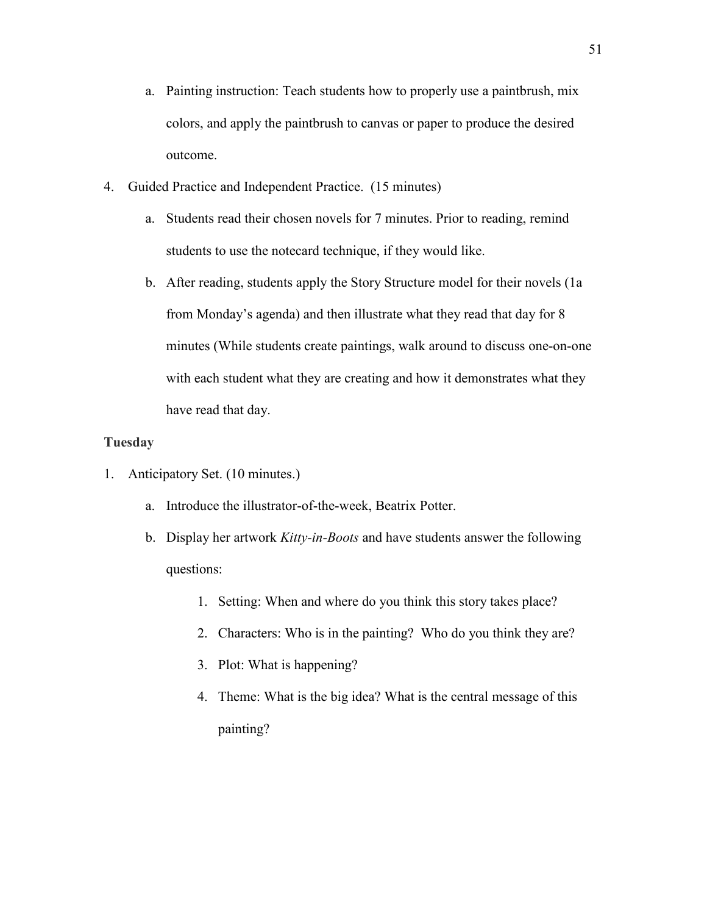- a. Painting instruction: Teach students how to properly use a paintbrush, mix colors, and apply the paintbrush to canvas or paper to produce the desired outcome.
- 4. Guided Practice and Independent Practice. (15 minutes)
	- a. Students read their chosen novels for 7 minutes. Prior to reading, remind students to use the notecard technique, if they would like.
	- b. After reading, students apply the Story Structure model for their novels (1a from Monday's agenda) and then illustrate what they read that day for 8 minutes (While students create paintings, walk around to discuss one-on-one with each student what they are creating and how it demonstrates what they have read that day.

# **Tuesday**

- 1. Anticipatory Set. (10 minutes.)
	- a. Introduce the illustrator-of-the-week, Beatrix Potter.
	- b. Display her artwork *Kitty-in-Boots* and have students answer the following questions:
		- 1. Setting: When and where do you think this story takes place?
		- 2. Characters: Who is in the painting? Who do you think they are?
		- 3. Plot: What is happening?
		- 4. Theme: What is the big idea? What is the central message of this painting?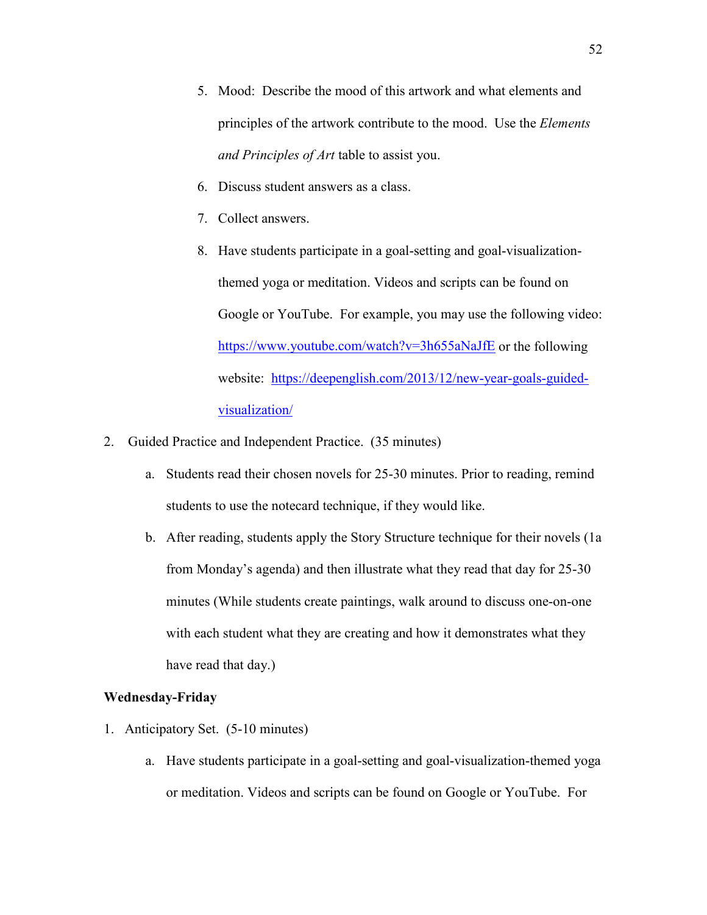- 5. Mood: Describe the mood of this artwork and what elements and principles of the artwork contribute to the mood. Use the *Elements and Principles of Art* table to assist you.
- 6. Discuss student answers as a class.
- 7. Collect answers.
- 8. Have students participate in a goal-setting and goal-visualizationthemed yoga or meditation. Videos and scripts can be found on Google or YouTube. For example, you may use the following video: <https://www.youtube.com/watch?v=3h655aNaJfE>or the following website: [https://deepenglish.com/2013/12/new-year-goals-guided](https://deepenglish.com/2013/12/new-year-goals-guided-visualization/)[visualization/](https://deepenglish.com/2013/12/new-year-goals-guided-visualization/)
- 2. Guided Practice and Independent Practice. (35 minutes)
	- a. Students read their chosen novels for 25-30 minutes. Prior to reading, remind students to use the notecard technique, if they would like.
	- b. After reading, students apply the Story Structure technique for their novels (1a from Monday's agenda) and then illustrate what they read that day for 25-30 minutes (While students create paintings, walk around to discuss one-on-one with each student what they are creating and how it demonstrates what they have read that day.)

## **Wednesday-Friday**

- 1. Anticipatory Set. (5-10 minutes)
	- a. Have students participate in a goal-setting and goal-visualization-themed yoga or meditation. Videos and scripts can be found on Google or YouTube. For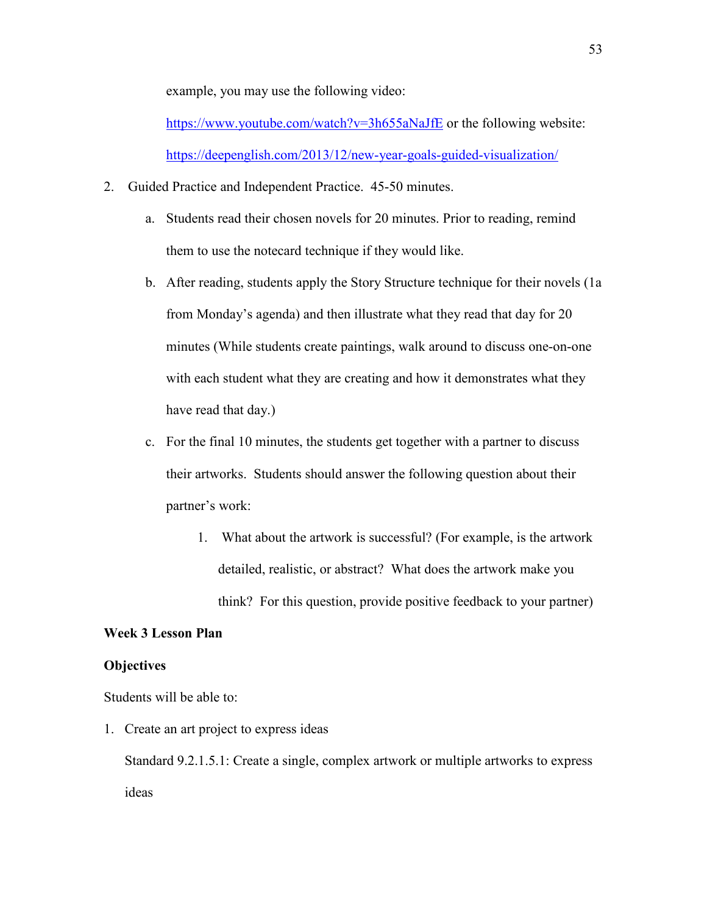example, you may use the following video:

<https://www.youtube.com/watch?v=3h655aNaJfE>or the following website: <https://deepenglish.com/2013/12/new-year-goals-guided-visualization/>

- 2. Guided Practice and Independent Practice. 45-50 minutes.
	- a. Students read their chosen novels for 20 minutes. Prior to reading, remind them to use the notecard technique if they would like.
	- b. After reading, students apply the Story Structure technique for their novels (1a from Monday's agenda) and then illustrate what they read that day for 20 minutes (While students create paintings, walk around to discuss one-on-one with each student what they are creating and how it demonstrates what they have read that day.)
	- c. For the final 10 minutes, the students get together with a partner to discuss their artworks. Students should answer the following question about their partner's work:
		- 1. What about the artwork is successful? (For example, is the artwork detailed, realistic, or abstract? What does the artwork make you think? For this question, provide positive feedback to your partner)

# **Week 3 Lesson Plan**

#### **Objectives**

Students will be able to:

1. Create an art project to express ideas

Standard 9.2.1.5.1: Create a single, complex artwork or multiple artworks to express ideas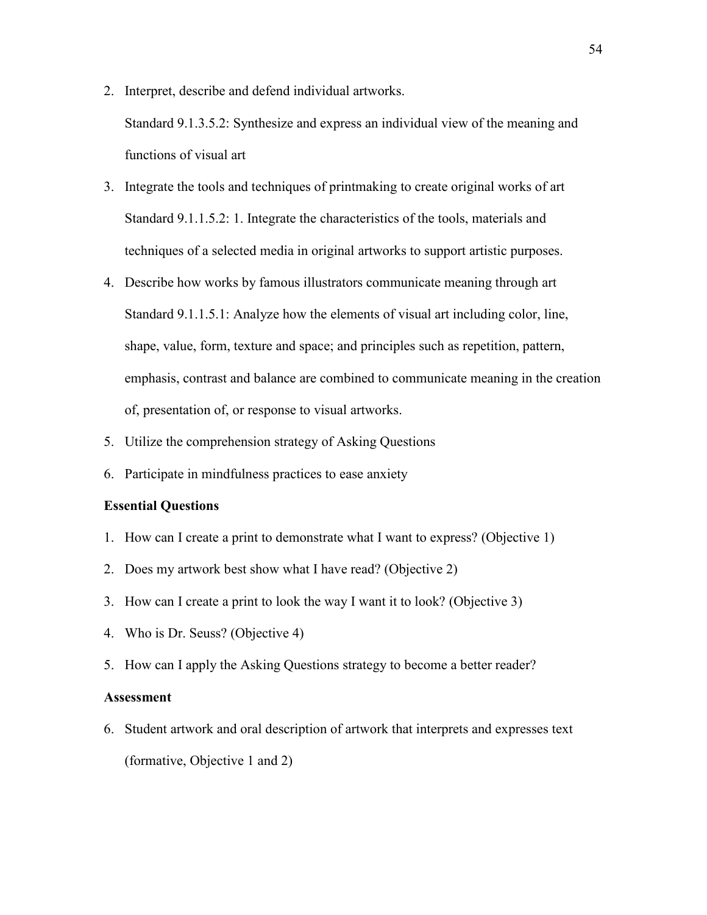- 2. Interpret, describe and defend individual artworks. Standard 9.1.3.5.2: Synthesize and express an individual view of the meaning and functions of visual art
- 3. Integrate the tools and techniques of printmaking to create original works of art Standard 9.1.1.5.2: 1. Integrate the characteristics of the tools, materials and techniques of a selected media in original artworks to support artistic purposes.
- 4. Describe how works by famous illustrators communicate meaning through art Standard 9.1.1.5.1: Analyze how the elements of visual art including color, line, shape, value, form, texture and space; and principles such as repetition, pattern, emphasis, contrast and balance are combined to communicate meaning in the creation of, presentation of, or response to visual artworks.
- 5. Utilize the comprehension strategy of Asking Questions
- 6. Participate in mindfulness practices to ease anxiety

### **Essential Questions**

- 1. How can I create a print to demonstrate what I want to express? (Objective 1)
- 2. Does my artwork best show what I have read? (Objective 2)
- 3. How can I create a print to look the way I want it to look? (Objective 3)
- 4. Who is Dr. Seuss? (Objective 4)
- 5. How can I apply the Asking Questions strategy to become a better reader?

## **Assessment**

6. Student artwork and oral description of artwork that interprets and expresses text (formative, Objective 1 and 2)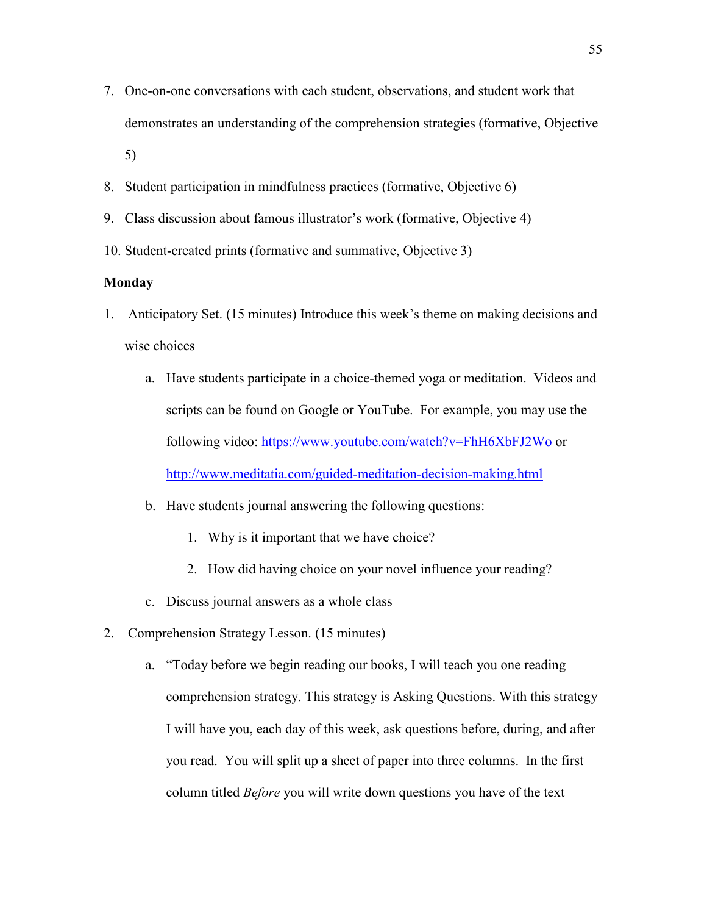- 7. One-on-one conversations with each student, observations, and student work that demonstrates an understanding of the comprehension strategies (formative, Objective 5)
- 8. Student participation in mindfulness practices (formative, Objective 6)
- 9. Class discussion about famous illustrator's work (formative, Objective 4)
- 10. Student-created prints (formative and summative, Objective 3)

# **Monday**

- 1. Anticipatory Set. (15 minutes) Introduce this week's theme on making decisions and wise choices
	- a. Have students participate in a choice-themed yoga or meditation. Videos and scripts can be found on Google or YouTube. For example, you may use the following video:<https://www.youtube.com/watch?v=FhH6XbFJ2Wo> or <http://www.meditatia.com/guided-meditation-decision-making.html>
	- b. Have students journal answering the following questions:
		- 1. Why is it important that we have choice?
		- 2. How did having choice on your novel influence your reading?
	- c. Discuss journal answers as a whole class
- 2. Comprehension Strategy Lesson. (15 minutes)
	- a. "Today before we begin reading our books, I will teach you one reading comprehension strategy. This strategy is Asking Questions. With this strategy I will have you, each day of this week, ask questions before, during, and after you read. You will split up a sheet of paper into three columns. In the first column titled *Before* you will write down questions you have of the text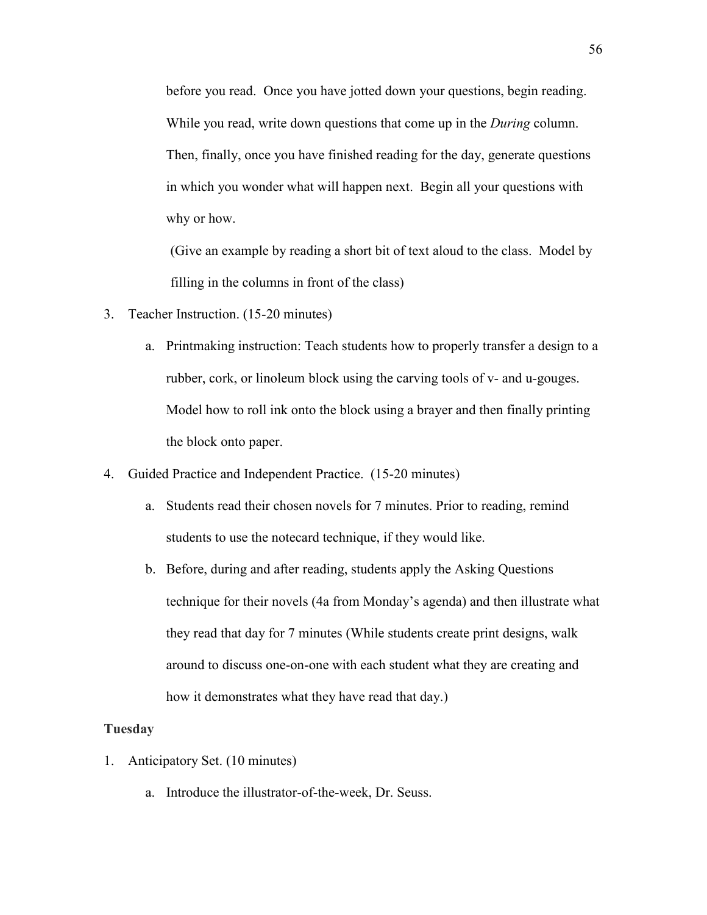before you read. Once you have jotted down your questions, begin reading. While you read, write down questions that come up in the *During* column. Then, finally, once you have finished reading for the day, generate questions in which you wonder what will happen next. Begin all your questions with why or how.

(Give an example by reading a short bit of text aloud to the class. Model by filling in the columns in front of the class)

- 3. Teacher Instruction. (15-20 minutes)
	- a. Printmaking instruction: Teach students how to properly transfer a design to a rubber, cork, or linoleum block using the carving tools of v- and u-gouges. Model how to roll ink onto the block using a brayer and then finally printing the block onto paper.
- 4. Guided Practice and Independent Practice. (15-20 minutes)
	- a. Students read their chosen novels for 7 minutes. Prior to reading, remind students to use the notecard technique, if they would like.
	- b. Before, during and after reading, students apply the Asking Questions technique for their novels (4a from Monday's agenda) and then illustrate what they read that day for 7 minutes (While students create print designs, walk around to discuss one-on-one with each student what they are creating and how it demonstrates what they have read that day.)

#### **Tuesday**

- 1. Anticipatory Set. (10 minutes)
	- a. Introduce the illustrator-of-the-week, Dr. Seuss.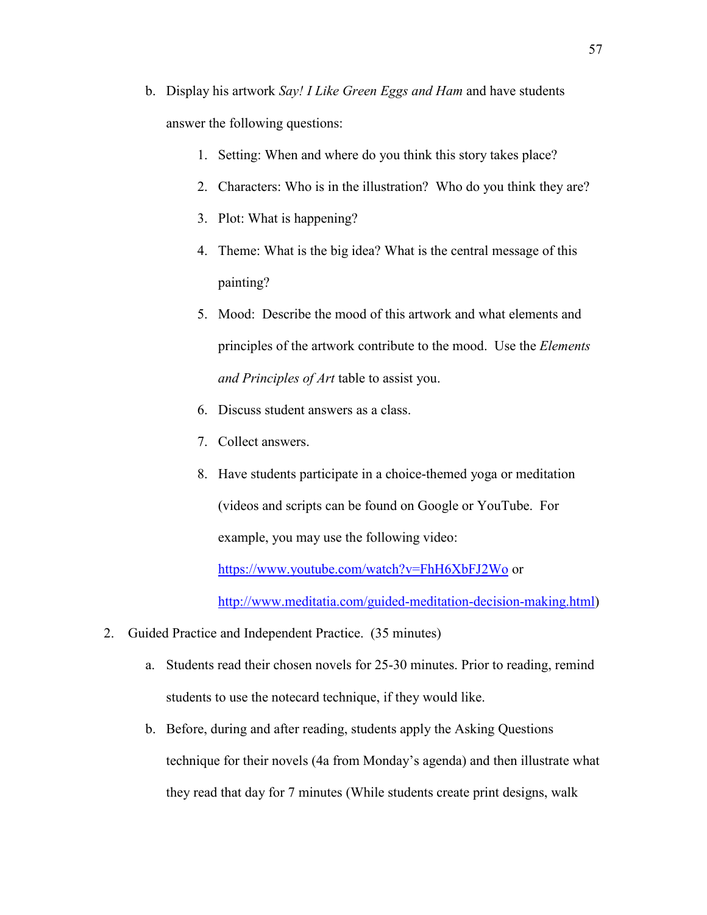- b. Display his artwork *Say! I Like Green Eggs and Ham* and have students answer the following questions:
	- 1. Setting: When and where do you think this story takes place?
	- 2. Characters: Who is in the illustration? Who do you think they are?
	- 3. Plot: What is happening?
	- 4. Theme: What is the big idea? What is the central message of this painting?
	- 5. Mood: Describe the mood of this artwork and what elements and principles of the artwork contribute to the mood. Use the *Elements and Principles of Art* table to assist you.
	- 6. Discuss student answers as a class.
	- 7. Collect answers.
	- 8. Have students participate in a choice-themed yoga or meditation (videos and scripts can be found on Google or YouTube. For example, you may use the following video:

<https://www.youtube.com/watch?v=FhH6XbFJ2Wo> or

[http://www.meditatia.com/guided-meditation-decision-making.html\)](http://www.meditatia.com/guided-meditation-decision-making.html)

- 2. Guided Practice and Independent Practice. (35 minutes)
	- a. Students read their chosen novels for 25-30 minutes. Prior to reading, remind students to use the notecard technique, if they would like.
	- b. Before, during and after reading, students apply the Asking Questions technique for their novels (4a from Monday's agenda) and then illustrate what they read that day for 7 minutes (While students create print designs, walk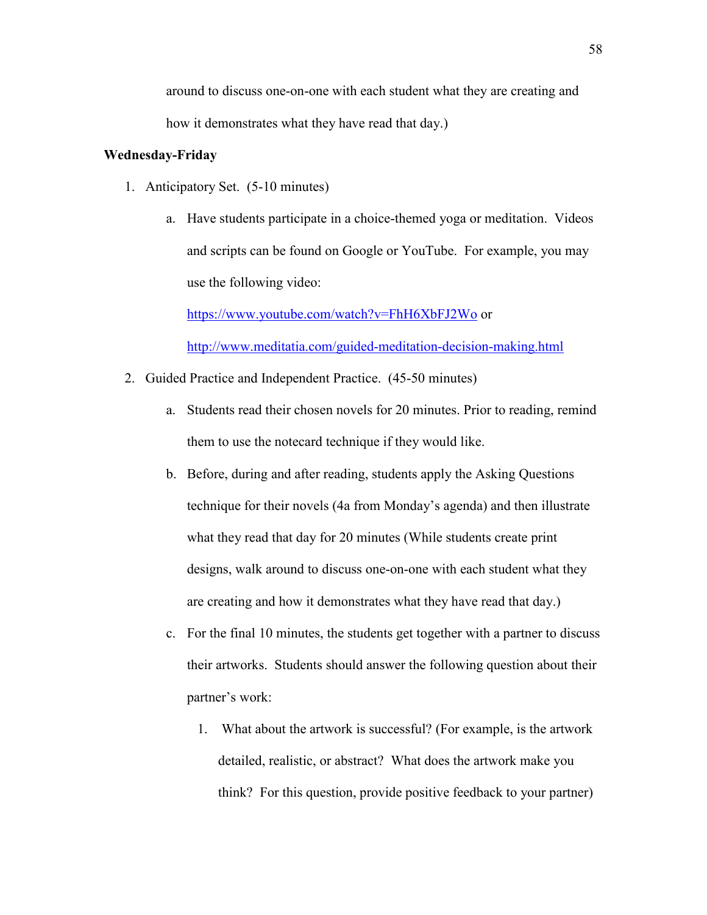around to discuss one-on-one with each student what they are creating and how it demonstrates what they have read that day.)

# **Wednesday-Friday**

- 1. Anticipatory Set. (5-10 minutes)
	- a. Have students participate in a choice-themed yoga or meditation. Videos and scripts can be found on Google or YouTube. For example, you may use the following video:

<https://www.youtube.com/watch?v=FhH6XbFJ2Wo> or <http://www.meditatia.com/guided-meditation-decision-making.html>

- 2. Guided Practice and Independent Practice. (45-50 minutes)
	- a. Students read their chosen novels for 20 minutes. Prior to reading, remind them to use the notecard technique if they would like.
	- b. Before, during and after reading, students apply the Asking Questions technique for their novels (4a from Monday's agenda) and then illustrate what they read that day for 20 minutes (While students create print designs, walk around to discuss one-on-one with each student what they are creating and how it demonstrates what they have read that day.)
	- c. For the final 10 minutes, the students get together with a partner to discuss their artworks. Students should answer the following question about their partner's work:
		- 1. What about the artwork is successful? (For example, is the artwork detailed, realistic, or abstract? What does the artwork make you think? For this question, provide positive feedback to your partner)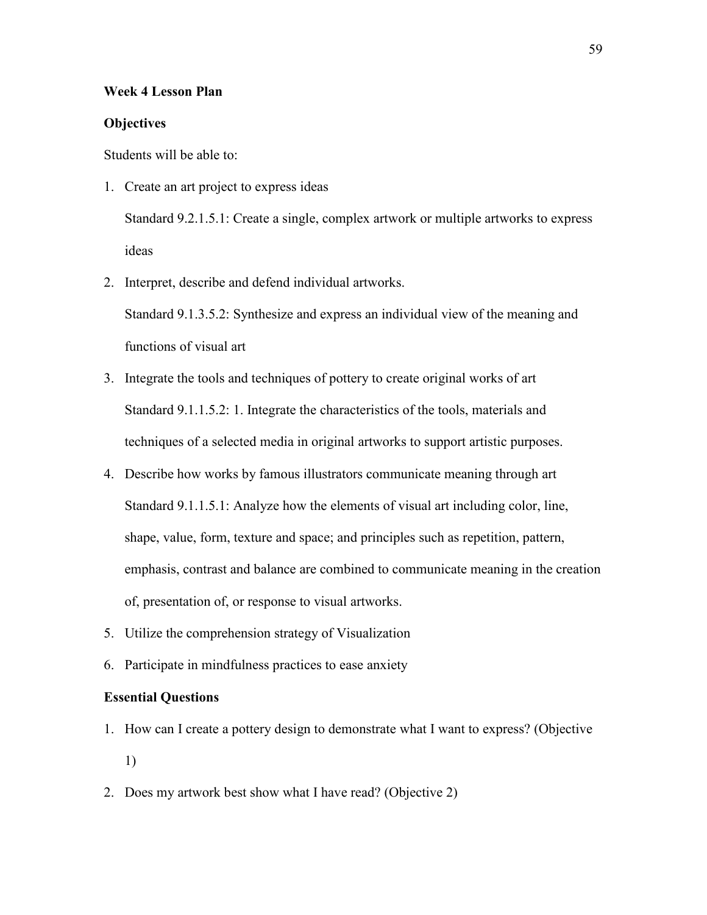### **Week 4 Lesson Plan**

### **Objectives**

Students will be able to:

- 1. Create an art project to express ideas Standard 9.2.1.5.1: Create a single, complex artwork or multiple artworks to express ideas
- 2. Interpret, describe and defend individual artworks.

Standard 9.1.3.5.2: Synthesize and express an individual view of the meaning and functions of visual art

- 3. Integrate the tools and techniques of pottery to create original works of art Standard 9.1.1.5.2: 1. Integrate the characteristics of the tools, materials and techniques of a selected media in original artworks to support artistic purposes.
- 4. Describe how works by famous illustrators communicate meaning through art Standard 9.1.1.5.1: Analyze how the elements of visual art including color, line, shape, value, form, texture and space; and principles such as repetition, pattern, emphasis, contrast and balance are combined to communicate meaning in the creation of, presentation of, or response to visual artworks.
- 5. Utilize the comprehension strategy of Visualization
- 6. Participate in mindfulness practices to ease anxiety

## **Essential Questions**

- 1. How can I create a pottery design to demonstrate what I want to express? (Objective 1)
- 2. Does my artwork best show what I have read? (Objective 2)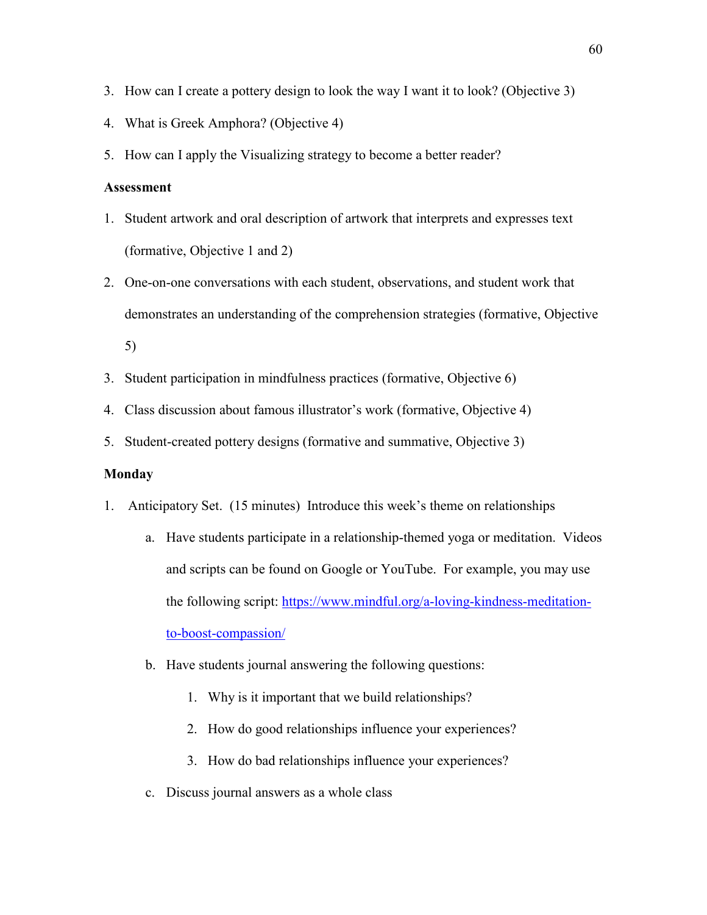- 3. How can I create a pottery design to look the way I want it to look? (Objective 3)
- 4. What is Greek Amphora? (Objective 4)
- 5. How can I apply the Visualizing strategy to become a better reader?

# **Assessment**

- 1. Student artwork and oral description of artwork that interprets and expresses text (formative, Objective 1 and 2)
- 2. One-on-one conversations with each student, observations, and student work that demonstrates an understanding of the comprehension strategies (formative, Objective 5)
- 3. Student participation in mindfulness practices (formative, Objective 6)
- 4. Class discussion about famous illustrator's work (formative, Objective 4)
- 5. Student-created pottery designs (formative and summative, Objective 3)

### **Monday**

- 1. Anticipatory Set. (15 minutes) Introduce this week's theme on relationships
	- a. Have students participate in a relationship-themed yoga or meditation. Videos and scripts can be found on Google or YouTube. For example, you may use the following script: [https://www.mindful.org/a-loving-kindness-meditation](https://www.mindful.org/a-loving-kindness-meditation-to-boost-compassion/)[to-boost-compassion/](https://www.mindful.org/a-loving-kindness-meditation-to-boost-compassion/)
	- b. Have students journal answering the following questions:
		- 1. Why is it important that we build relationships?
		- 2. How do good relationships influence your experiences?
		- 3. How do bad relationships influence your experiences?
	- c. Discuss journal answers as a whole class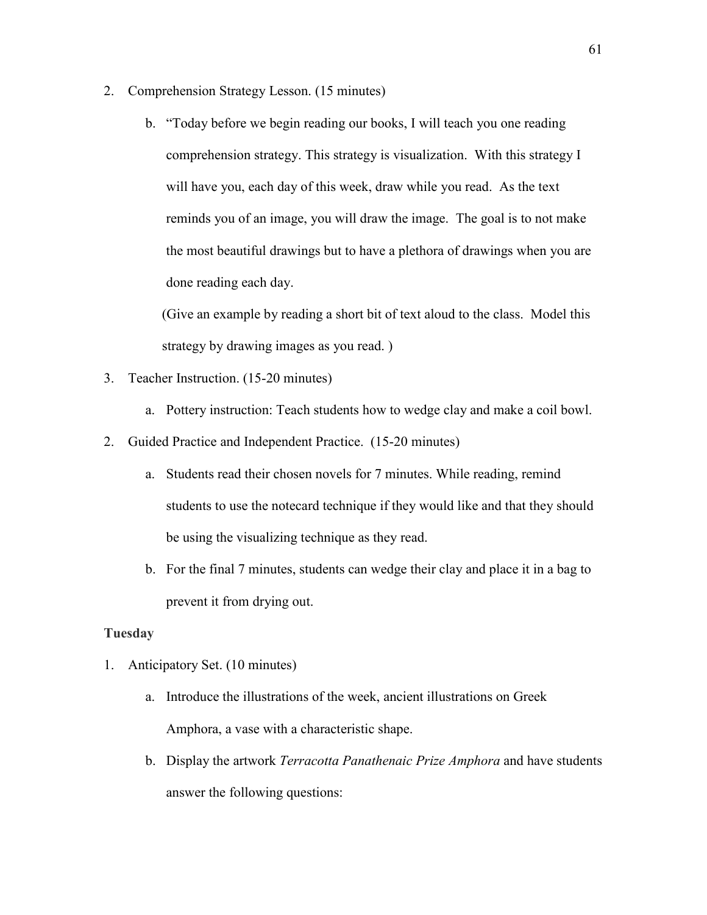- 2. Comprehension Strategy Lesson. (15 minutes)
	- b. "Today before we begin reading our books, I will teach you one reading comprehension strategy. This strategy is visualization. With this strategy I will have you, each day of this week, draw while you read. As the text reminds you of an image, you will draw the image. The goal is to not make the most beautiful drawings but to have a plethora of drawings when you are done reading each day.

(Give an example by reading a short bit of text aloud to the class. Model this strategy by drawing images as you read. )

- 3. Teacher Instruction. (15-20 minutes)
	- a. Pottery instruction: Teach students how to wedge clay and make a coil bowl.
- 2. Guided Practice and Independent Practice. (15-20 minutes)
	- a. Students read their chosen novels for 7 minutes. While reading, remind students to use the notecard technique if they would like and that they should be using the visualizing technique as they read.
	- b. For the final 7 minutes, students can wedge their clay and place it in a bag to prevent it from drying out.

# **Tuesday**

- 1. Anticipatory Set. (10 minutes)
	- a. Introduce the illustrations of the week, ancient illustrations on Greek Amphora, a vase with a characteristic shape.
	- b. Display the artwork *Terracotta Panathenaic Prize Amphora* and have students answer the following questions: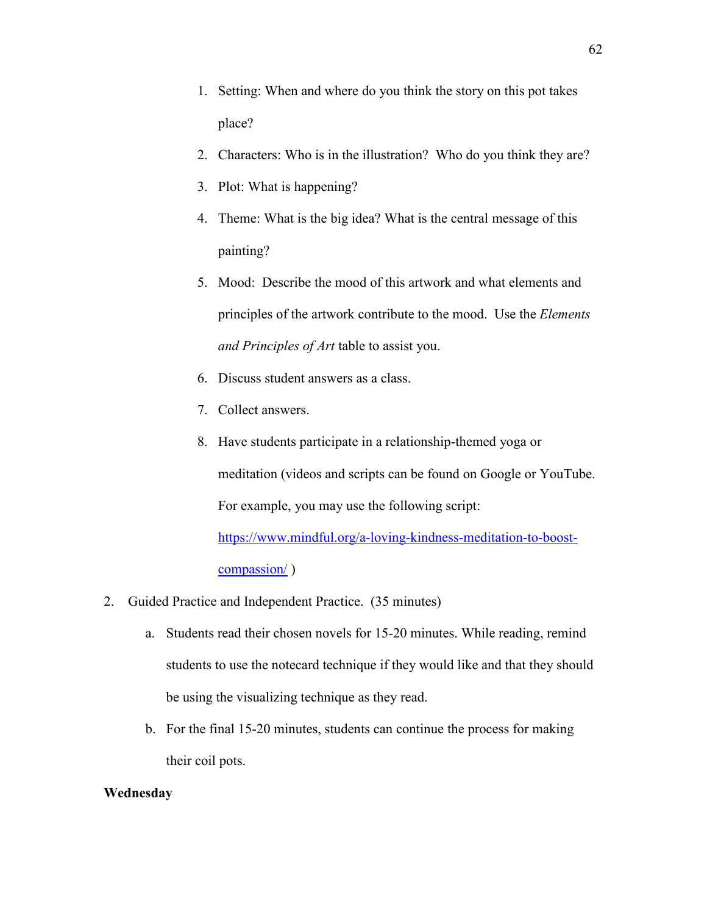- 1. Setting: When and where do you think the story on this pot takes place?
- 2. Characters: Who is in the illustration? Who do you think they are?
- 3. Plot: What is happening?
- 4. Theme: What is the big idea? What is the central message of this painting?
- 5. Mood: Describe the mood of this artwork and what elements and principles of the artwork contribute to the mood. Use the *Elements and Principles of Art* table to assist you.
- 6. Discuss student answers as a class.
- 7. Collect answers.
- 8. Have students participate in a relationship-themed yoga or meditation (videos and scripts can be found on Google or YouTube. For example, you may use the following script:

[https://www.mindful.org/a-loving-kindness-meditation-to-boost](https://www.mindful.org/a-loving-kindness-meditation-to-boost-compassion/)[compassion/](https://www.mindful.org/a-loving-kindness-meditation-to-boost-compassion/) )

- 2. Guided Practice and Independent Practice. (35 minutes)
	- a. Students read their chosen novels for 15-20 minutes. While reading, remind students to use the notecard technique if they would like and that they should be using the visualizing technique as they read.
	- b. For the final 15-20 minutes, students can continue the process for making their coil pots.

#### **Wednesday**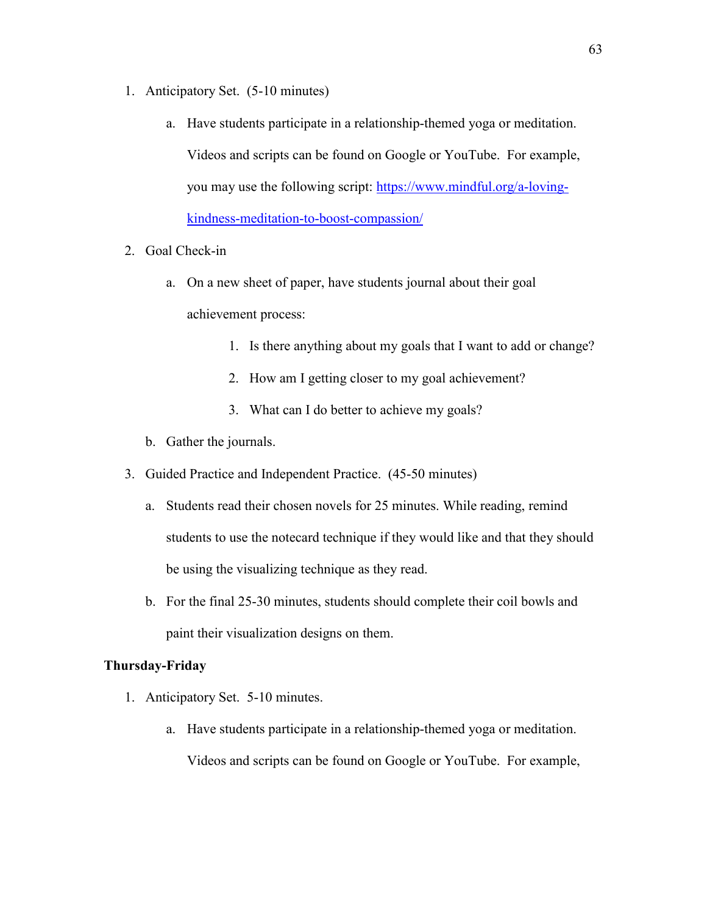- 1. Anticipatory Set. (5-10 minutes)
	- a. Have students participate in a relationship-themed yoga or meditation. Videos and scripts can be found on Google or YouTube. For example, you may use the following script: [https://www.mindful.org/a-loving](https://www.mindful.org/a-loving-kindness-meditation-to-boost-compassion/)[kindness-meditation-to-boost-compassion/](https://www.mindful.org/a-loving-kindness-meditation-to-boost-compassion/)
- 2. Goal Check-in
	- a. On a new sheet of paper, have students journal about their goal achievement process:
		- 1. Is there anything about my goals that I want to add or change?
		- 2. How am I getting closer to my goal achievement?
		- 3. What can I do better to achieve my goals?
	- b. Gather the journals.
- 3. Guided Practice and Independent Practice. (45-50 minutes)
	- a. Students read their chosen novels for 25 minutes. While reading, remind students to use the notecard technique if they would like and that they should be using the visualizing technique as they read.
	- b. For the final 25-30 minutes, students should complete their coil bowls and paint their visualization designs on them.

# **Thursday-Friday**

- 1. Anticipatory Set. 5-10 minutes.
	- a. Have students participate in a relationship-themed yoga or meditation. Videos and scripts can be found on Google or YouTube. For example,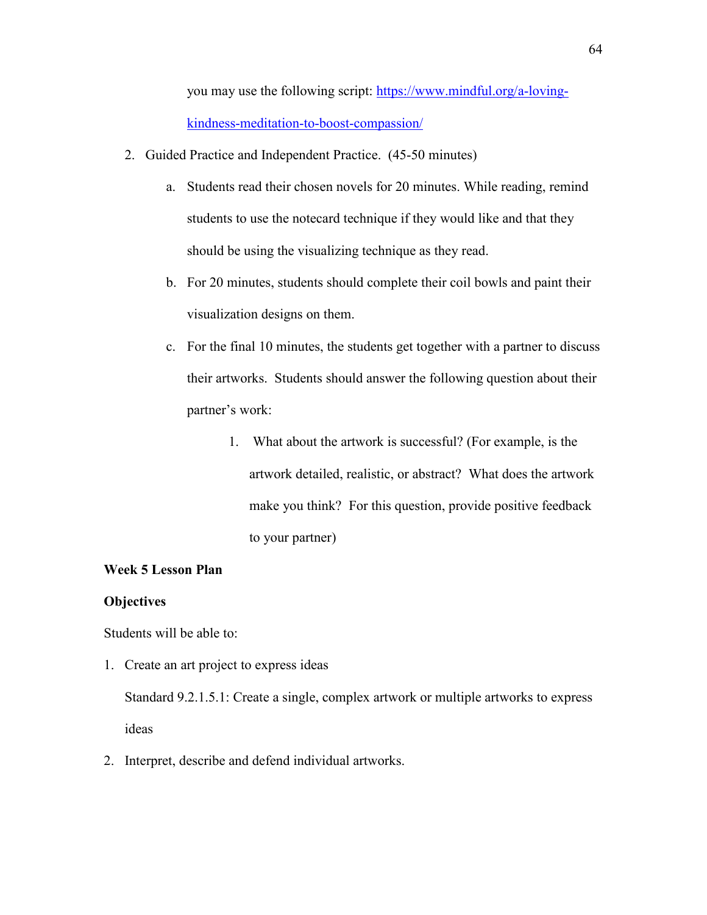you may use the following script: [https://www.mindful.org/a-loving](https://www.mindful.org/a-loving-kindness-meditation-to-boost-compassion/)[kindness-meditation-to-boost-compassion/](https://www.mindful.org/a-loving-kindness-meditation-to-boost-compassion/) 

- 2. Guided Practice and Independent Practice. (45-50 minutes)
	- a. Students read their chosen novels for 20 minutes. While reading, remind students to use the notecard technique if they would like and that they should be using the visualizing technique as they read.
	- b. For 20 minutes, students should complete their coil bowls and paint their visualization designs on them.
	- c. For the final 10 minutes, the students get together with a partner to discuss their artworks. Students should answer the following question about their partner's work:
		- 1. What about the artwork is successful? (For example, is the artwork detailed, realistic, or abstract? What does the artwork make you think? For this question, provide positive feedback to your partner)

# **Week 5 Lesson Plan**

## **Objectives**

Students will be able to:

1. Create an art project to express ideas

Standard 9.2.1.5.1: Create a single, complex artwork or multiple artworks to express ideas

2. Interpret, describe and defend individual artworks.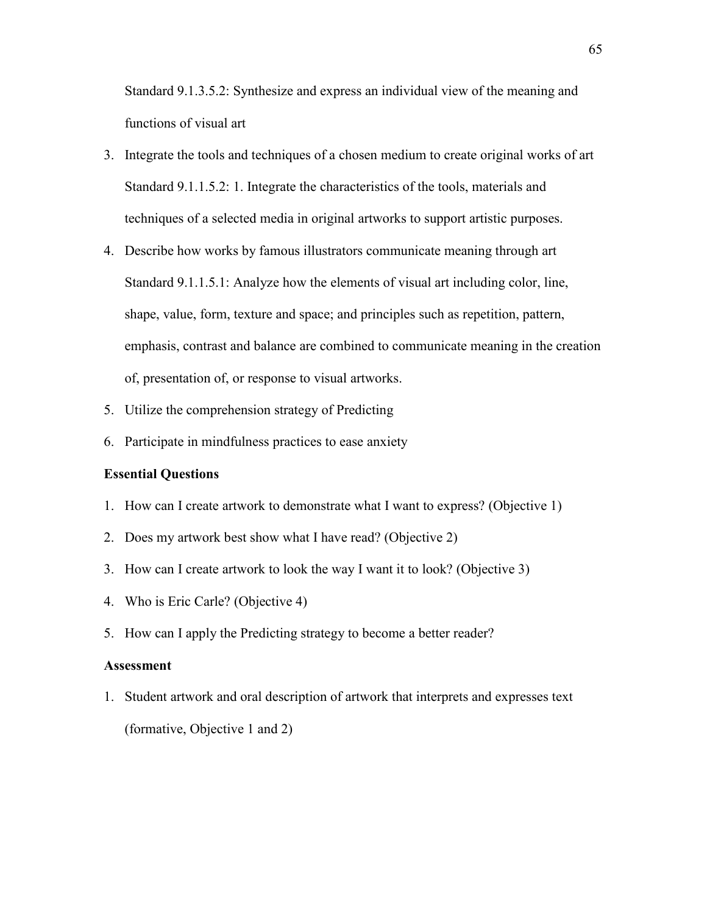Standard 9.1.3.5.2: Synthesize and express an individual view of the meaning and functions of visual art

- 3. Integrate the tools and techniques of a chosen medium to create original works of art Standard 9.1.1.5.2: 1. Integrate the characteristics of the tools, materials and techniques of a selected media in original artworks to support artistic purposes.
- 4. Describe how works by famous illustrators communicate meaning through art Standard 9.1.1.5.1: Analyze how the elements of visual art including color, line, shape, value, form, texture and space; and principles such as repetition, pattern, emphasis, contrast and balance are combined to communicate meaning in the creation of, presentation of, or response to visual artworks.
- 5. Utilize the comprehension strategy of Predicting
- 6. Participate in mindfulness practices to ease anxiety

## **Essential Questions**

- 1. How can I create artwork to demonstrate what I want to express? (Objective 1)
- 2. Does my artwork best show what I have read? (Objective 2)
- 3. How can I create artwork to look the way I want it to look? (Objective 3)
- 4. Who is Eric Carle? (Objective 4)
- 5. How can I apply the Predicting strategy to become a better reader?

# **Assessment**

1. Student artwork and oral description of artwork that interprets and expresses text (formative, Objective 1 and 2)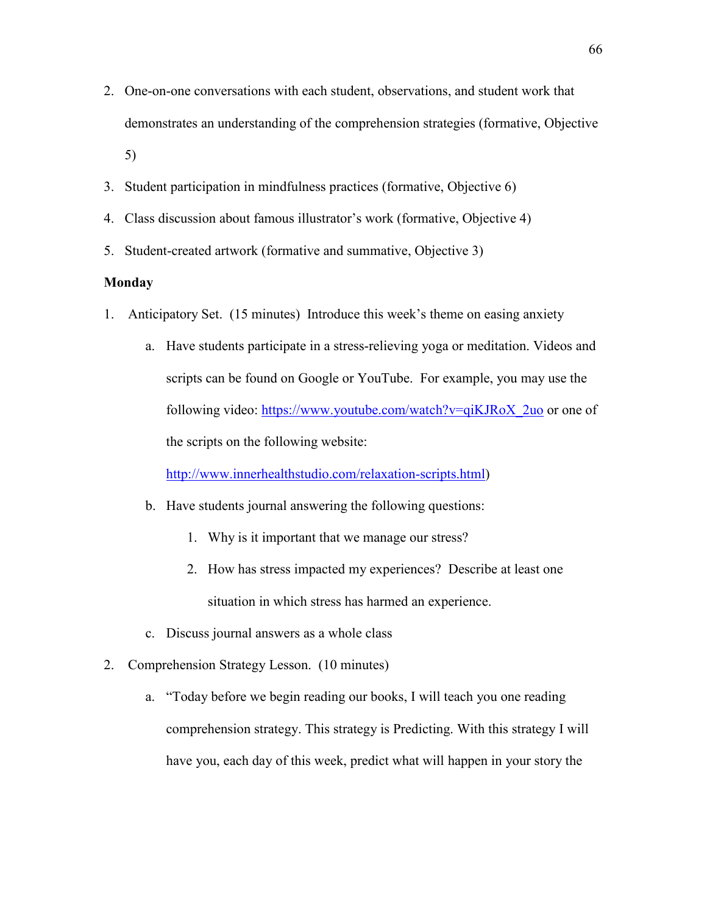- 2. One-on-one conversations with each student, observations, and student work that demonstrates an understanding of the comprehension strategies (formative, Objective 5)
- 3. Student participation in mindfulness practices (formative, Objective 6)
- 4. Class discussion about famous illustrator's work (formative, Objective 4)
- 5. Student-created artwork (formative and summative, Objective 3)

# **Monday**

- 1. Anticipatory Set. (15 minutes) Introduce this week's theme on easing anxiety
	- a. Have students participate in a stress-relieving yoga or meditation. Videos and scripts can be found on Google or YouTube. For example, you may use the following video: [https://www.youtube.com/watch?v=qiKJRoX\\_2uo](https://www.youtube.com/watch?v=qiKJRoX_2uo) or one of the scripts on the following website:

[http://www.innerhealthstudio.com/relaxation-scripts.html\)](http://www.innerhealthstudio.com/relaxation-scripts.html)

- b. Have students journal answering the following questions:
	- 1. Why is it important that we manage our stress?
	- 2. How has stress impacted my experiences? Describe at least one situation in which stress has harmed an experience.
- c. Discuss journal answers as a whole class
- 2. Comprehension Strategy Lesson. (10 minutes)
	- a. "Today before we begin reading our books, I will teach you one reading comprehension strategy. This strategy is Predicting. With this strategy I will have you, each day of this week, predict what will happen in your story the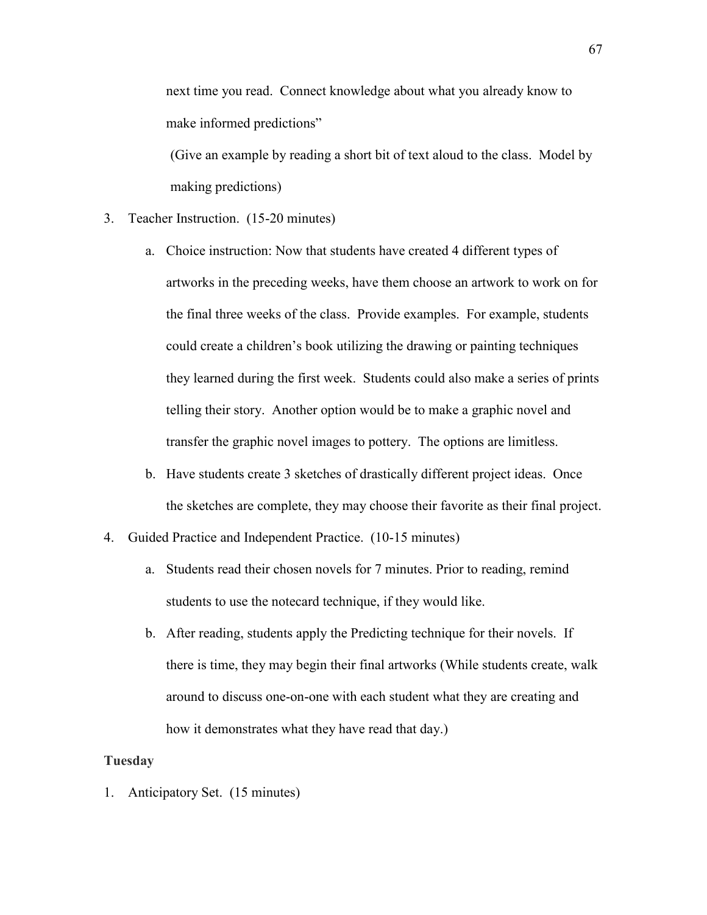next time you read. Connect knowledge about what you already know to make informed predictions"

(Give an example by reading a short bit of text aloud to the class. Model by making predictions)

- 3. Teacher Instruction. (15-20 minutes)
	- a. Choice instruction: Now that students have created 4 different types of artworks in the preceding weeks, have them choose an artwork to work on for the final three weeks of the class. Provide examples. For example, students could create a children's book utilizing the drawing or painting techniques they learned during the first week. Students could also make a series of prints telling their story. Another option would be to make a graphic novel and transfer the graphic novel images to pottery. The options are limitless.
	- b. Have students create 3 sketches of drastically different project ideas. Once the sketches are complete, they may choose their favorite as their final project.
- 4. Guided Practice and Independent Practice. (10-15 minutes)
	- a. Students read their chosen novels for 7 minutes. Prior to reading, remind students to use the notecard technique, if they would like.
	- b. After reading, students apply the Predicting technique for their novels. If there is time, they may begin their final artworks (While students create, walk around to discuss one-on-one with each student what they are creating and how it demonstrates what they have read that day.)

#### **Tuesday**

1. Anticipatory Set. (15 minutes)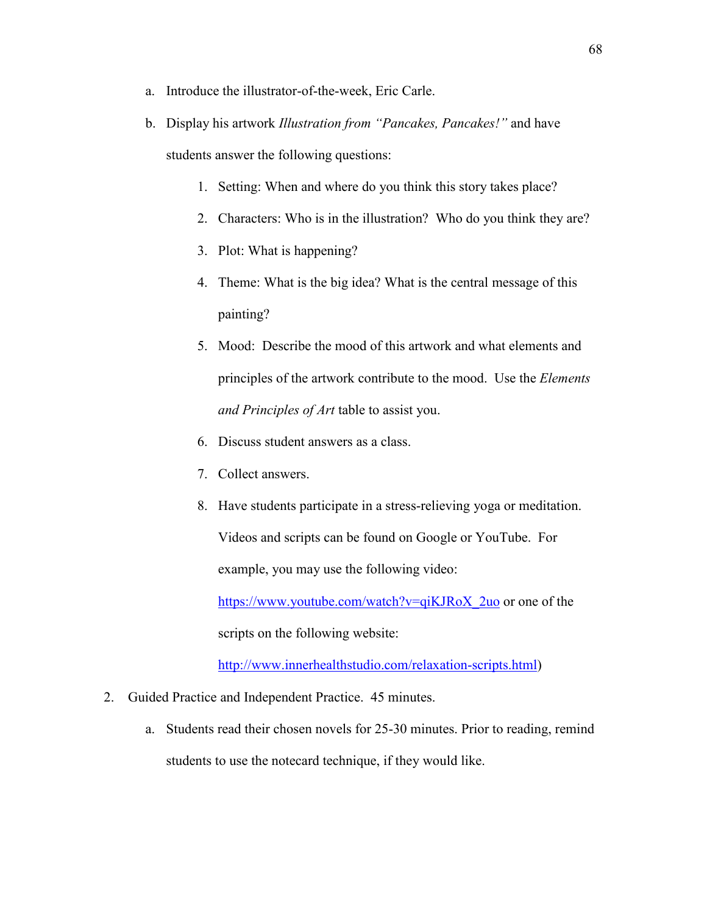- a. Introduce the illustrator-of-the-week, Eric Carle.
- b. Display his artwork *Illustration from "Pancakes, Pancakes!"* and have students answer the following questions:
	- 1. Setting: When and where do you think this story takes place?
	- 2. Characters: Who is in the illustration? Who do you think they are?
	- 3. Plot: What is happening?
	- 4. Theme: What is the big idea? What is the central message of this painting?
	- 5. Mood: Describe the mood of this artwork and what elements and principles of the artwork contribute to the mood. Use the *Elements and Principles of Art* table to assist you.
	- 6. Discuss student answers as a class.
	- 7. Collect answers.
	- 8. Have students participate in a stress-relieving yoga or meditation. Videos and scripts can be found on Google or YouTube. For example, you may use the following video:

[https://www.youtube.com/watch?v=qiKJRoX\\_2uo](https://www.youtube.com/watch?v=qiKJRoX_2uo) or one of the scripts on the following website:

[http://www.innerhealthstudio.com/relaxation-scripts.html\)](http://www.innerhealthstudio.com/relaxation-scripts.html)

- 2. Guided Practice and Independent Practice. 45 minutes.
	- a. Students read their chosen novels for 25-30 minutes. Prior to reading, remind students to use the notecard technique, if they would like.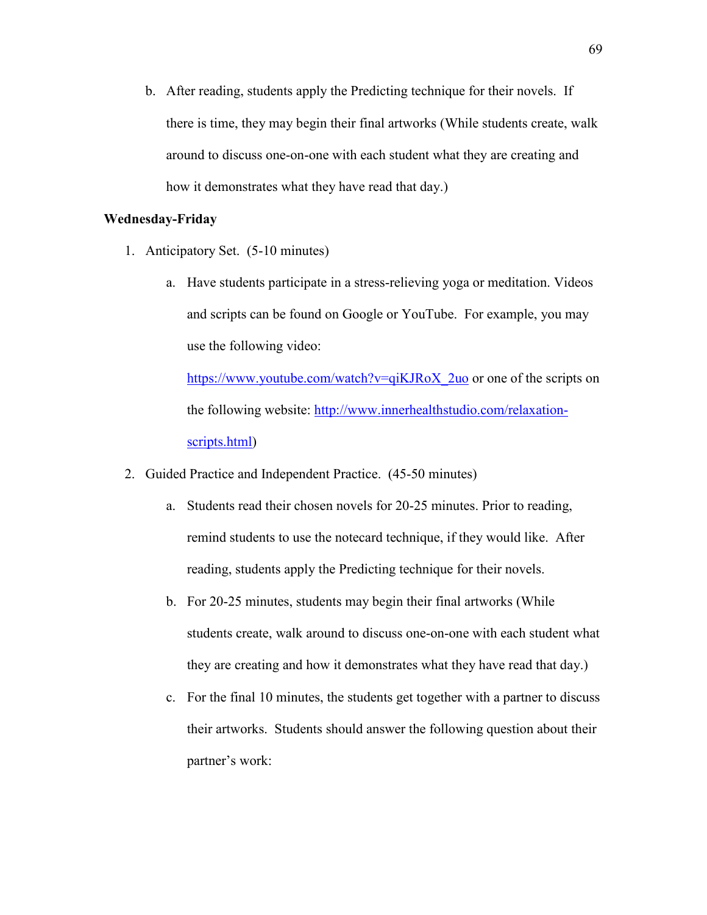b. After reading, students apply the Predicting technique for their novels. If there is time, they may begin their final artworks (While students create, walk around to discuss one-on-one with each student what they are creating and how it demonstrates what they have read that day.)

# **Wednesday-Friday**

- 1. Anticipatory Set. (5-10 minutes)
	- a. Have students participate in a stress-relieving yoga or meditation. Videos and scripts can be found on Google or YouTube. For example, you may use the following video:

[https://www.youtube.com/watch?v=qiKJRoX\\_2uo](https://www.youtube.com/watch?v=qiKJRoX_2uo) or one of the scripts on the following website: [http://www.innerhealthstudio.com/relaxation](http://www.innerhealthstudio.com/relaxation-scripts.html)[scripts.html\)](http://www.innerhealthstudio.com/relaxation-scripts.html)

- 2. Guided Practice and Independent Practice. (45-50 minutes)
	- a. Students read their chosen novels for 20-25 minutes. Prior to reading, remind students to use the notecard technique, if they would like. After reading, students apply the Predicting technique for their novels.
	- b. For 20-25 minutes, students may begin their final artworks (While students create, walk around to discuss one-on-one with each student what they are creating and how it demonstrates what they have read that day.)
	- c. For the final 10 minutes, the students get together with a partner to discuss their artworks. Students should answer the following question about their partner's work: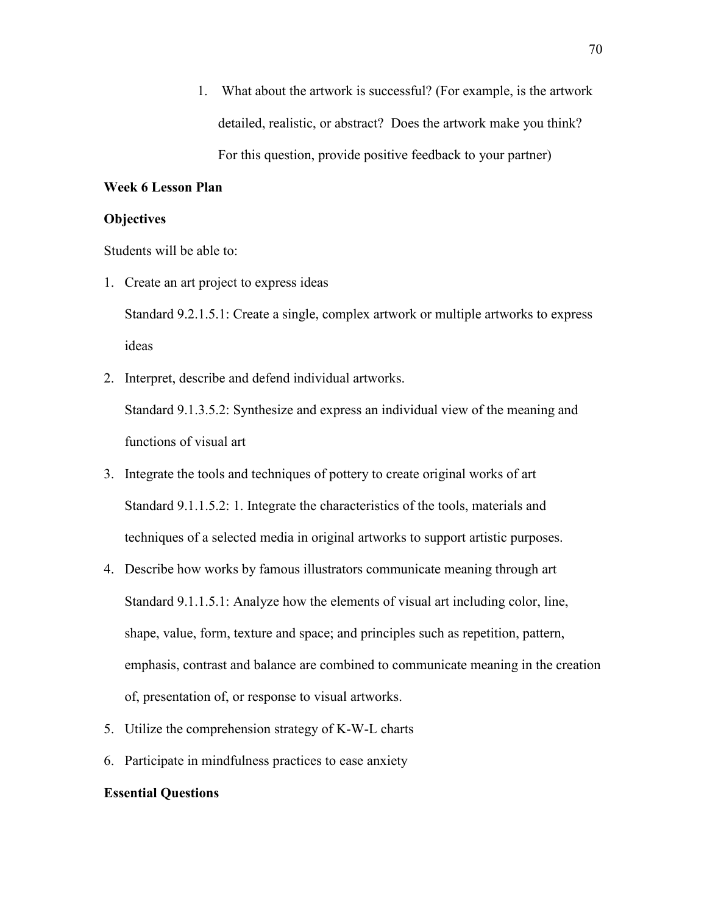1. What about the artwork is successful? (For example, is the artwork detailed, realistic, or abstract? Does the artwork make you think? For this question, provide positive feedback to your partner)

### **Week 6 Lesson Plan**

### **Objectives**

Students will be able to:

1. Create an art project to express ideas

Standard 9.2.1.5.1: Create a single, complex artwork or multiple artworks to express ideas

2. Interpret, describe and defend individual artworks.

Standard 9.1.3.5.2: Synthesize and express an individual view of the meaning and functions of visual art

- 3. Integrate the tools and techniques of pottery to create original works of art Standard 9.1.1.5.2: 1. Integrate the characteristics of the tools, materials and techniques of a selected media in original artworks to support artistic purposes.
- 4. Describe how works by famous illustrators communicate meaning through art Standard 9.1.1.5.1: Analyze how the elements of visual art including color, line, shape, value, form, texture and space; and principles such as repetition, pattern, emphasis, contrast and balance are combined to communicate meaning in the creation of, presentation of, or response to visual artworks.
- 5. Utilize the comprehension strategy of K-W-L charts
- 6. Participate in mindfulness practices to ease anxiety

#### **Essential Questions**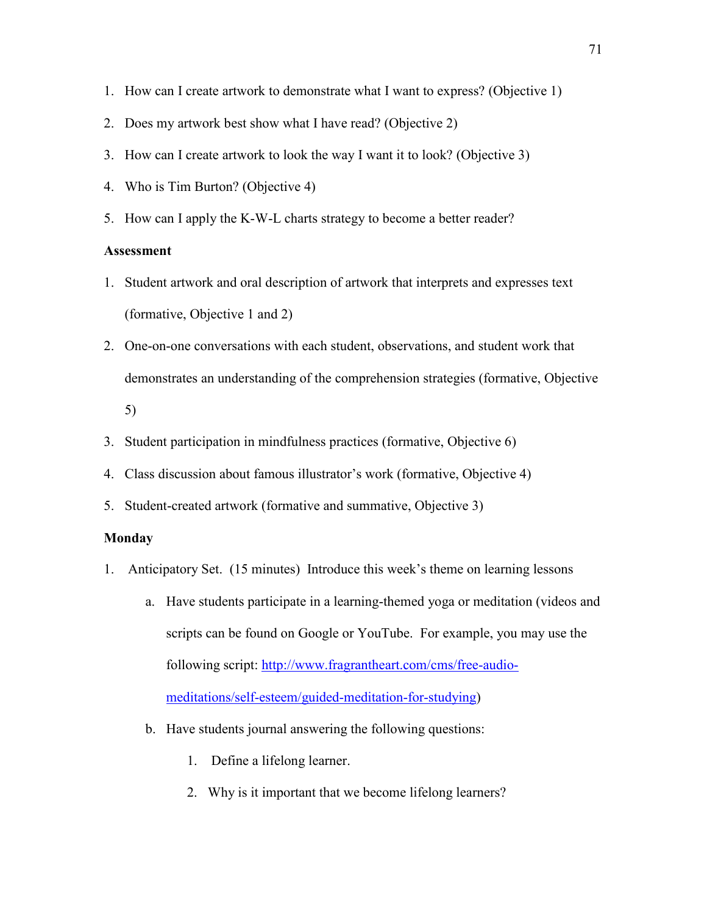- 1. How can I create artwork to demonstrate what I want to express? (Objective 1)
- 2. Does my artwork best show what I have read? (Objective 2)
- 3. How can I create artwork to look the way I want it to look? (Objective 3)
- 4. Who is Tim Burton? (Objective 4)
- 5. How can I apply the K-W-L charts strategy to become a better reader?

# **Assessment**

- 1. Student artwork and oral description of artwork that interprets and expresses text (formative, Objective 1 and 2)
- 2. One-on-one conversations with each student, observations, and student work that demonstrates an understanding of the comprehension strategies (formative, Objective 5)
- 3. Student participation in mindfulness practices (formative, Objective 6)
- 4. Class discussion about famous illustrator's work (formative, Objective 4)
- 5. Student-created artwork (formative and summative, Objective 3)

## **Monday**

- 1. Anticipatory Set. (15 minutes) Introduce this week's theme on learning lessons
	- a. Have students participate in a learning-themed yoga or meditation (videos and scripts can be found on Google or YouTube. For example, you may use the following script: [http://www.fragrantheart.com/cms/free-audio](http://www.fragrantheart.com/cms/free-audio-meditations/self-esteem/guided-meditation-for-studying)[meditations/self-esteem/guided-meditation-for-studying\)](http://www.fragrantheart.com/cms/free-audio-meditations/self-esteem/guided-meditation-for-studying)
	- b. Have students journal answering the following questions:
		- 1. Define a lifelong learner.
		- 2. Why is it important that we become lifelong learners?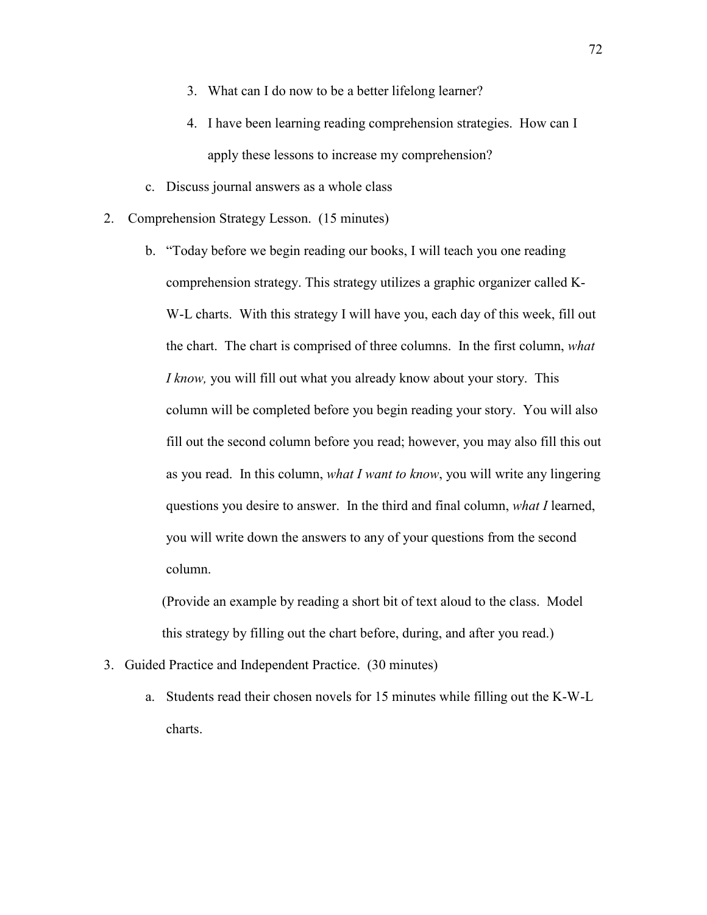- 3. What can I do now to be a better lifelong learner?
- 4. I have been learning reading comprehension strategies. How can I apply these lessons to increase my comprehension?
- c. Discuss journal answers as a whole class
- 2. Comprehension Strategy Lesson. (15 minutes)
	- b. "Today before we begin reading our books, I will teach you one reading comprehension strategy. This strategy utilizes a graphic organizer called K-W-L charts. With this strategy I will have you, each day of this week, fill out the chart. The chart is comprised of three columns. In the first column, *what I know,* you will fill out what you already know about your story. This column will be completed before you begin reading your story. You will also fill out the second column before you read; however, you may also fill this out as you read. In this column, *what I want to know*, you will write any lingering questions you desire to answer. In the third and final column, *what I* learned, you will write down the answers to any of your questions from the second column.

(Provide an example by reading a short bit of text aloud to the class. Model this strategy by filling out the chart before, during, and after you read.)

- 3. Guided Practice and Independent Practice. (30 minutes)
	- a. Students read their chosen novels for 15 minutes while filling out the K-W-L charts.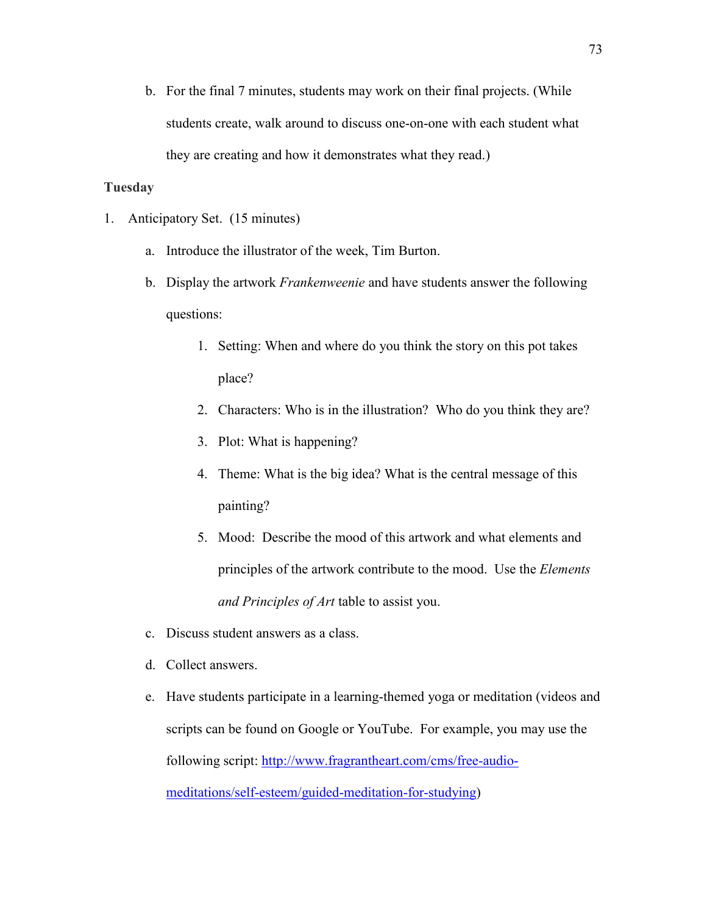b. For the final 7 minutes, students may work on their final projects. (While students create, walk around to discuss one-on-one with each student what they are creating and how it demonstrates what they read.)

## **Tuesday**

- 1. Anticipatory Set. (15 minutes)
	- a. Introduce the illustrator of the week, Tim Burton.
	- b. Display the artwork *Frankenweenie* and have students answer the following questions:
		- 1. Setting: When and where do you think the story on this pot takes place?
		- 2. Characters: Who is in the illustration? Who do you think they are?
		- 3. Plot: What is happening?
		- 4. Theme: What is the big idea? What is the central message of this painting?
		- 5. Mood: Describe the mood of this artwork and what elements and principles of the artwork contribute to the mood. Use the *Elements and Principles of Art* table to assist you.
	- c. Discuss student answers as a class.
	- d. Collect answers.
	- e. Have students participate in a learning-themed yoga or meditation (videos and scripts can be found on Google or YouTube. For example, you may use the following script: [http://www.fragrantheart.com/cms/free-audio](http://www.fragrantheart.com/cms/free-audio-meditations/self-esteem/guided-meditation-for-studying)[meditations/self-esteem/guided-meditation-for-studying\)](http://www.fragrantheart.com/cms/free-audio-meditations/self-esteem/guided-meditation-for-studying)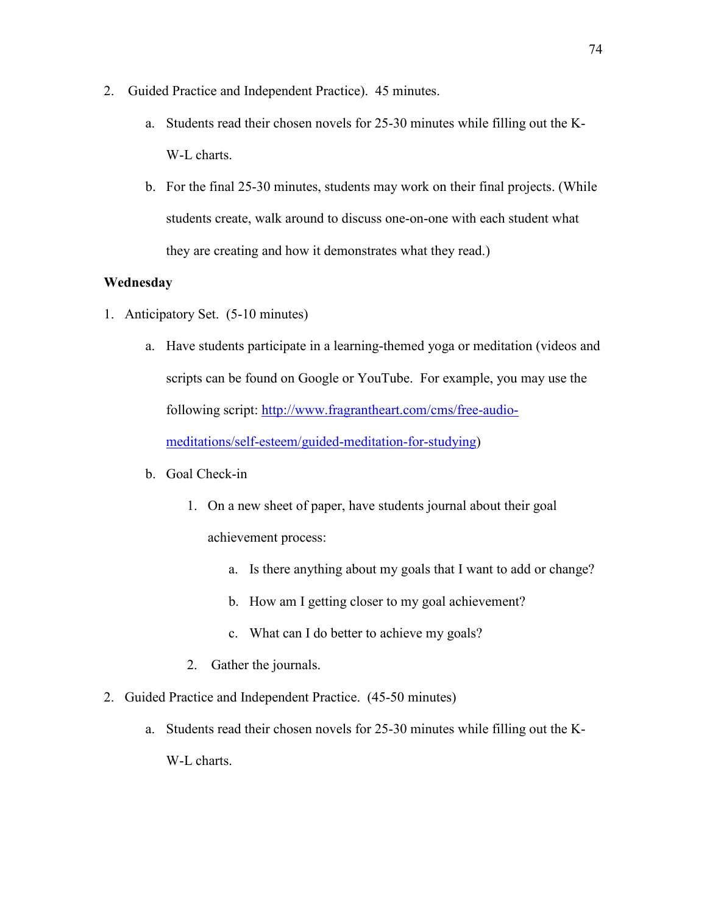- 2. Guided Practice and Independent Practice). 45 minutes.
	- a. Students read their chosen novels for 25-30 minutes while filling out the K-W-L charts.
	- b. For the final 25-30 minutes, students may work on their final projects. (While students create, walk around to discuss one-on-one with each student what they are creating and how it demonstrates what they read.)

## **Wednesday**

- 1. Anticipatory Set. (5-10 minutes)
	- a. Have students participate in a learning-themed yoga or meditation (videos and scripts can be found on Google or YouTube. For example, you may use the following script: [http://www.fragrantheart.com/cms/free-audio](http://www.fragrantheart.com/cms/free-audio-meditations/self-esteem/guided-meditation-for-studying)[meditations/self-esteem/guided-meditation-for-studying\)](http://www.fragrantheart.com/cms/free-audio-meditations/self-esteem/guided-meditation-for-studying)

## b. Goal Check-in

- 1. On a new sheet of paper, have students journal about their goal achievement process:
	- a. Is there anything about my goals that I want to add or change?
	- b. How am I getting closer to my goal achievement?
	- c. What can I do better to achieve my goals?
- 2. Gather the journals.
- 2. Guided Practice and Independent Practice. (45-50 minutes)
	- a. Students read their chosen novels for 25-30 minutes while filling out the K-W-L charts.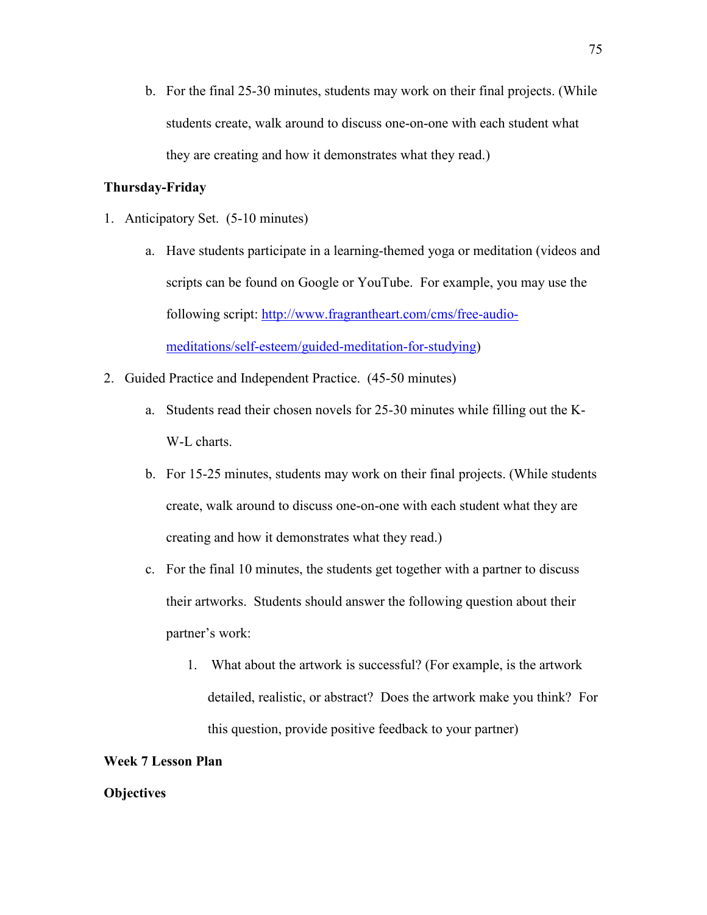b. For the final 25-30 minutes, students may work on their final projects. (While students create, walk around to discuss one-on-one with each student what they are creating and how it demonstrates what they read.)

### **Thursday-Friday**

- 1. Anticipatory Set. (5-10 minutes)
	- a. Have students participate in a learning-themed yoga or meditation (videos and scripts can be found on Google or YouTube. For example, you may use the following script: [http://www.fragrantheart.com/cms/free-audio](http://www.fragrantheart.com/cms/free-audio-meditations/self-esteem/guided-meditation-for-studying)[meditations/self-esteem/guided-meditation-for-studying\)](http://www.fragrantheart.com/cms/free-audio-meditations/self-esteem/guided-meditation-for-studying)
- 2. Guided Practice and Independent Practice. (45-50 minutes)
	- a. Students read their chosen novels for 25-30 minutes while filling out the K-W-L charts.
	- b. For 15-25 minutes, students may work on their final projects. (While students create, walk around to discuss one-on-one with each student what they are creating and how it demonstrates what they read.)
	- c. For the final 10 minutes, the students get together with a partner to discuss their artworks. Students should answer the following question about their partner's work:
		- 1. What about the artwork is successful? (For example, is the artwork detailed, realistic, or abstract? Does the artwork make you think? For this question, provide positive feedback to your partner)

#### **Week 7 Lesson Plan**

### **Objectives**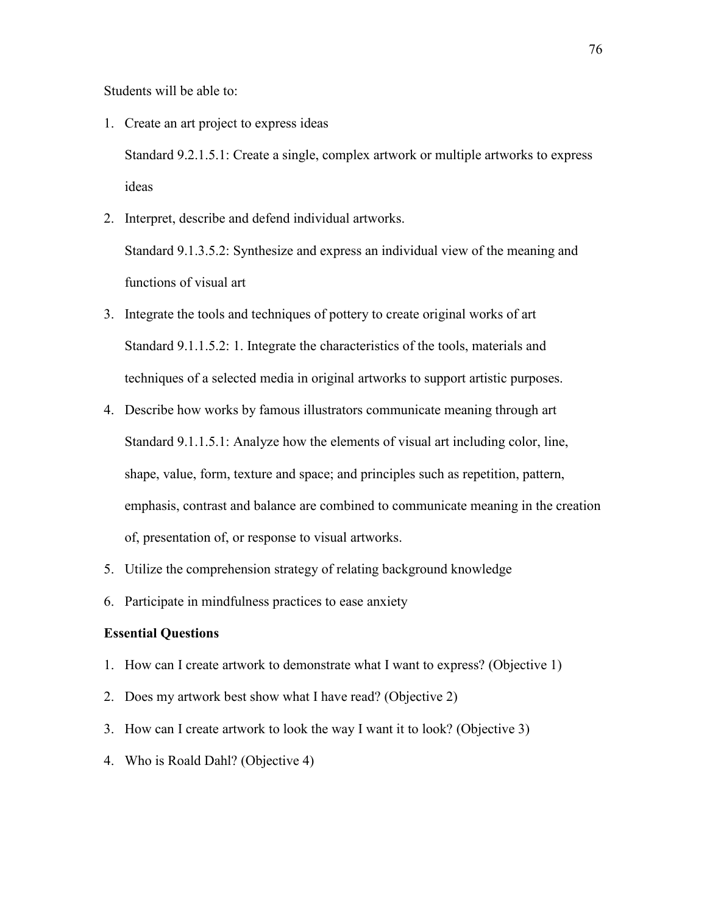Students will be able to:

- 1. Create an art project to express ideas Standard 9.2.1.5.1: Create a single, complex artwork or multiple artworks to express ideas
- 2. Interpret, describe and defend individual artworks. Standard 9.1.3.5.2: Synthesize and express an individual view of the meaning and functions of visual art
- 3. Integrate the tools and techniques of pottery to create original works of art Standard 9.1.1.5.2: 1. Integrate the characteristics of the tools, materials and techniques of a selected media in original artworks to support artistic purposes.
- 4. Describe how works by famous illustrators communicate meaning through art Standard 9.1.1.5.1: Analyze how the elements of visual art including color, line, shape, value, form, texture and space; and principles such as repetition, pattern, emphasis, contrast and balance are combined to communicate meaning in the creation of, presentation of, or response to visual artworks.
- 5. Utilize the comprehension strategy of relating background knowledge
- 6. Participate in mindfulness practices to ease anxiety

### **Essential Questions**

- 1. How can I create artwork to demonstrate what I want to express? (Objective 1)
- 2. Does my artwork best show what I have read? (Objective 2)
- 3. How can I create artwork to look the way I want it to look? (Objective 3)
- 4. Who is Roald Dahl? (Objective 4)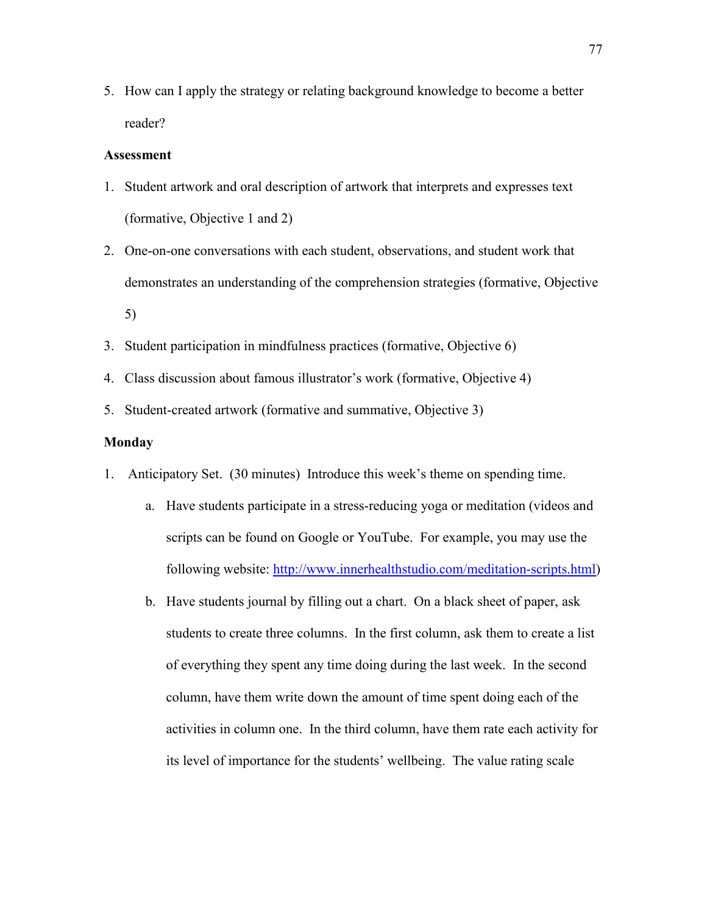5. How can I apply the strategy or relating background knowledge to become a better reader?

### **Assessment**

- 1. Student artwork and oral description of artwork that interprets and expresses text (formative, Objective 1 and 2)
- 2. One-on-one conversations with each student, observations, and student work that demonstrates an understanding of the comprehension strategies (formative, Objective 5)
- 3. Student participation in mindfulness practices (formative, Objective 6)
- 4. Class discussion about famous illustrator's work (formative, Objective 4)
- 5. Student-created artwork (formative and summative, Objective 3)

### **Monday**

- 1. Anticipatory Set. (30 minutes) Introduce this week's theme on spending time.
	- a. Have students participate in a stress-reducing yoga or meditation (videos and scripts can be found on Google or YouTube. For example, you may use the following website: [http://www.innerhealthstudio.com/meditation-scripts.html\)](http://www.innerhealthstudio.com/meditation-scripts.html)
	- b. Have students journal by filling out a chart. On a black sheet of paper, ask students to create three columns. In the first column, ask them to create a list of everything they spent any time doing during the last week. In the second column, have them write down the amount of time spent doing each of the activities in column one. In the third column, have them rate each activity for its level of importance for the students' wellbeing. The value rating scale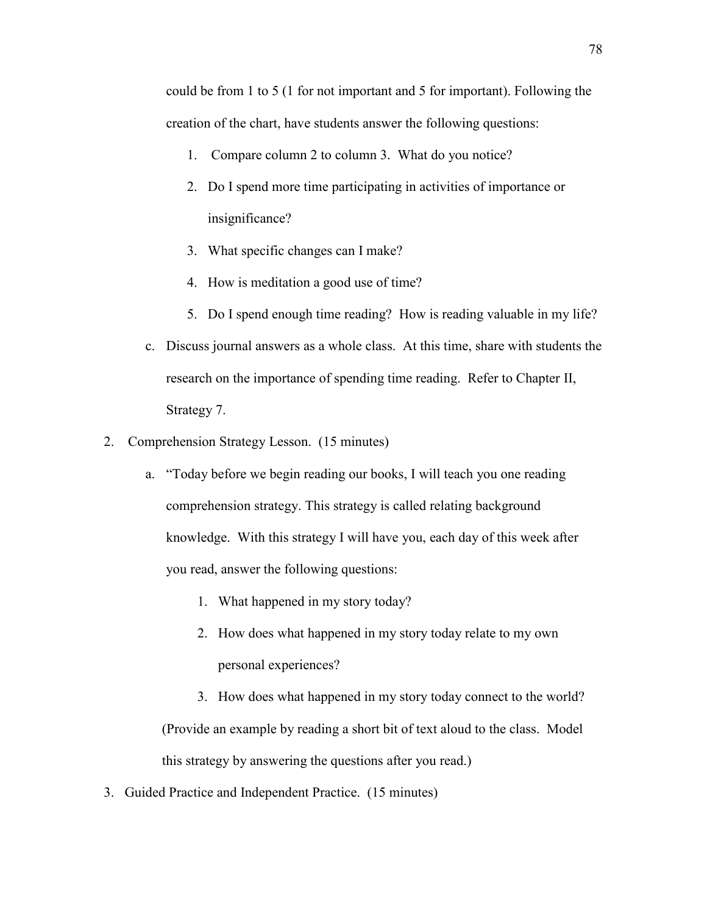could be from 1 to 5 (1 for not important and 5 for important). Following the creation of the chart, have students answer the following questions:

- 1. Compare column 2 to column 3. What do you notice?
- 2. Do I spend more time participating in activities of importance or insignificance?
- 3. What specific changes can I make?
- 4. How is meditation a good use of time?
- 5. Do I spend enough time reading? How is reading valuable in my life?
- c. Discuss journal answers as a whole class. At this time, share with students the research on the importance of spending time reading. Refer to Chapter II, Strategy 7.
- 2. Comprehension Strategy Lesson. (15 minutes)
	- a. "Today before we begin reading our books, I will teach you one reading comprehension strategy. This strategy is called relating background knowledge. With this strategy I will have you, each day of this week after you read, answer the following questions:
		- 1. What happened in my story today?
		- 2. How does what happened in my story today relate to my own personal experiences?
		- 3. How does what happened in my story today connect to the world? (Provide an example by reading a short bit of text aloud to the class. Model this strategy by answering the questions after you read.)
- 3. Guided Practice and Independent Practice. (15 minutes)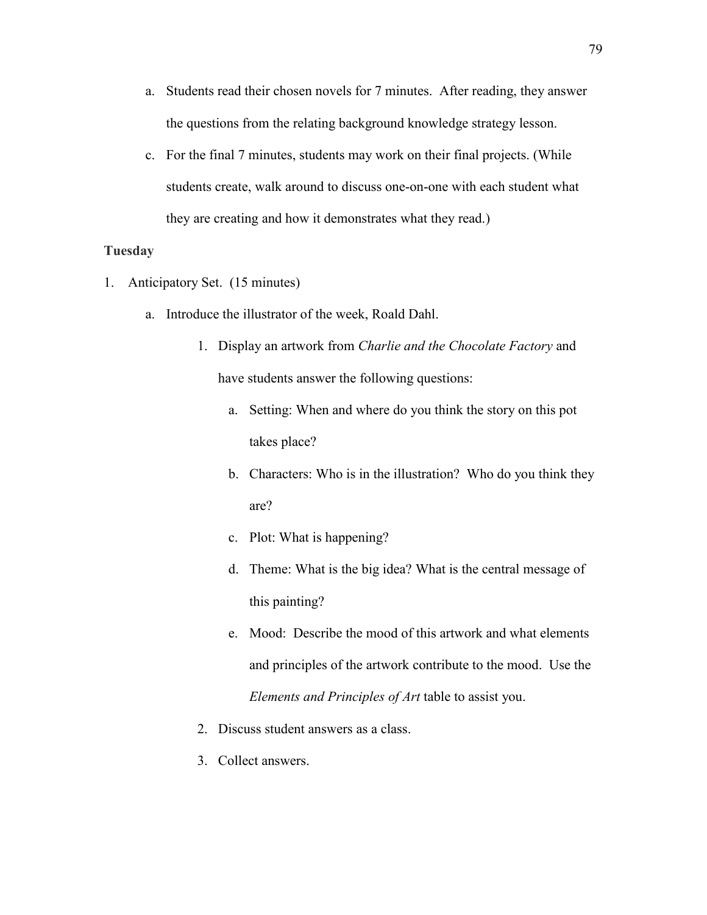- a. Students read their chosen novels for 7 minutes. After reading, they answer the questions from the relating background knowledge strategy lesson.
- c. For the final 7 minutes, students may work on their final projects. (While students create, walk around to discuss one-on-one with each student what they are creating and how it demonstrates what they read.)

### **Tuesday**

- 1. Anticipatory Set. (15 minutes)
	- a. Introduce the illustrator of the week, Roald Dahl.
		- 1. Display an artwork from *Charlie and the Chocolate Factory* and have students answer the following questions:
			- a. Setting: When and where do you think the story on this pot takes place?
			- b. Characters: Who is in the illustration? Who do you think they are?
			- c. Plot: What is happening?
			- d. Theme: What is the big idea? What is the central message of this painting?
			- e. Mood: Describe the mood of this artwork and what elements and principles of the artwork contribute to the mood. Use the *Elements and Principles of Art* table to assist you.
		- 2. Discuss student answers as a class.
		- 3. Collect answers.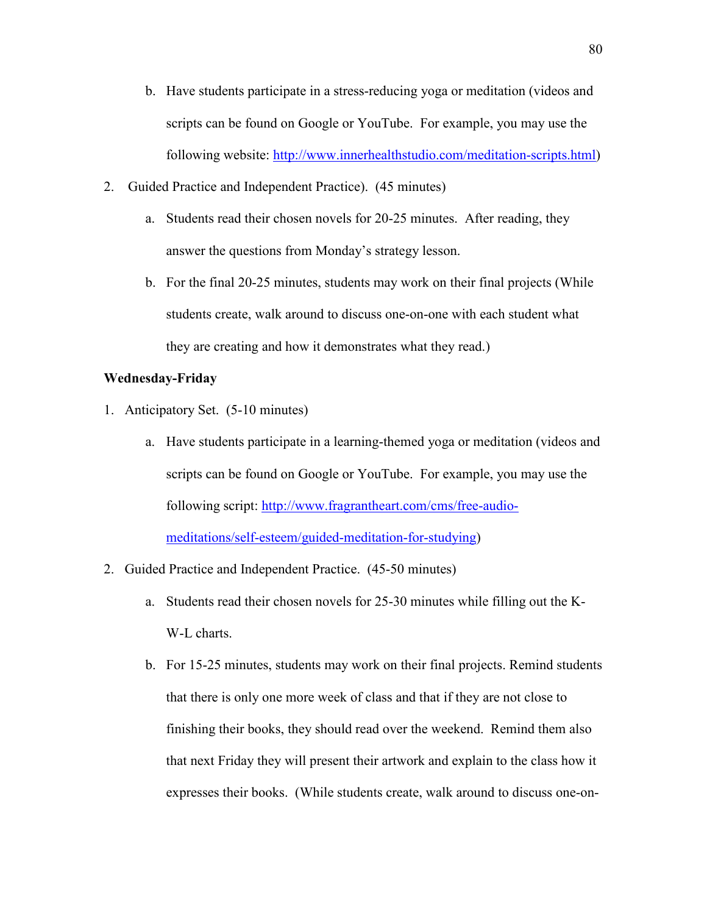- b. Have students participate in a stress-reducing yoga or meditation (videos and scripts can be found on Google or YouTube. For example, you may use the following website: [http://www.innerhealthstudio.com/meditation-scripts.html\)](http://www.innerhealthstudio.com/meditation-scripts.html)
- 2. Guided Practice and Independent Practice). (45 minutes)
	- a. Students read their chosen novels for 20-25 minutes. After reading, they answer the questions from Monday's strategy lesson.
	- b. For the final 20-25 minutes, students may work on their final projects (While students create, walk around to discuss one-on-one with each student what they are creating and how it demonstrates what they read.)

### **Wednesday-Friday**

- 1. Anticipatory Set. (5-10 minutes)
	- a. Have students participate in a learning-themed yoga or meditation (videos and scripts can be found on Google or YouTube. For example, you may use the following script: [http://www.fragrantheart.com/cms/free-audio](http://www.fragrantheart.com/cms/free-audio-meditations/self-esteem/guided-meditation-for-studying)[meditations/self-esteem/guided-meditation-for-studying\)](http://www.fragrantheart.com/cms/free-audio-meditations/self-esteem/guided-meditation-for-studying)
- 2. Guided Practice and Independent Practice. (45-50 minutes)
	- a. Students read their chosen novels for 25-30 minutes while filling out the K-W-L charts.
	- b. For 15-25 minutes, students may work on their final projects. Remind students that there is only one more week of class and that if they are not close to finishing their books, they should read over the weekend. Remind them also that next Friday they will present their artwork and explain to the class how it expresses their books. (While students create, walk around to discuss one-on-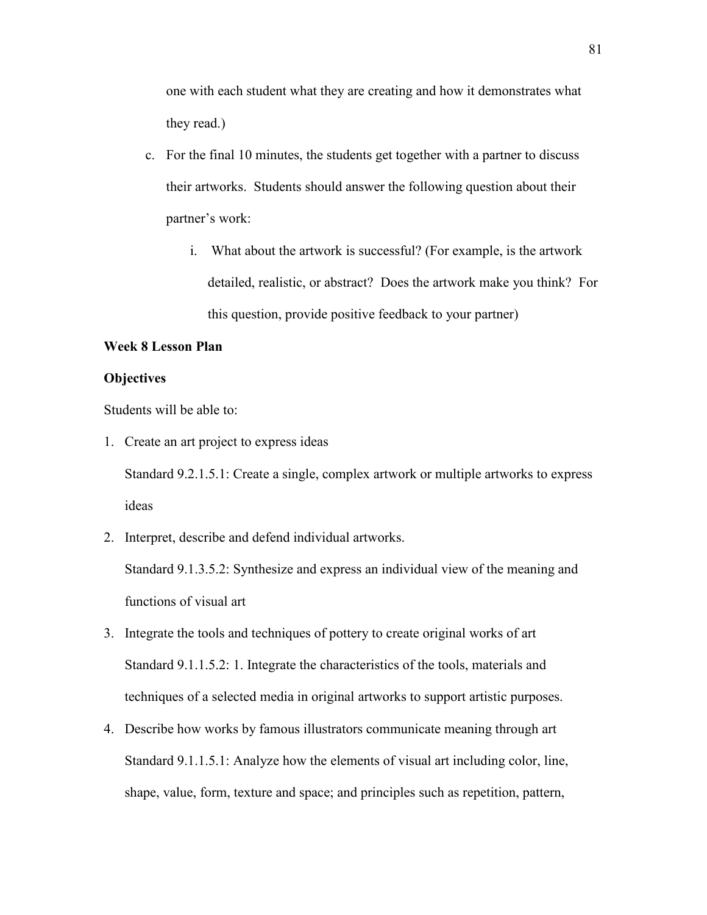one with each student what they are creating and how it demonstrates what they read.)

- c. For the final 10 minutes, the students get together with a partner to discuss their artworks. Students should answer the following question about their partner's work:
	- i. What about the artwork is successful? (For example, is the artwork detailed, realistic, or abstract? Does the artwork make you think? For this question, provide positive feedback to your partner)

# **Week 8 Lesson Plan**

### **Objectives**

Students will be able to:

1. Create an art project to express ideas

Standard 9.2.1.5.1: Create a single, complex artwork or multiple artworks to express ideas

2. Interpret, describe and defend individual artworks.

Standard 9.1.3.5.2: Synthesize and express an individual view of the meaning and functions of visual art

- 3. Integrate the tools and techniques of pottery to create original works of art Standard 9.1.1.5.2: 1. Integrate the characteristics of the tools, materials and techniques of a selected media in original artworks to support artistic purposes.
- 4. Describe how works by famous illustrators communicate meaning through art Standard 9.1.1.5.1: Analyze how the elements of visual art including color, line, shape, value, form, texture and space; and principles such as repetition, pattern,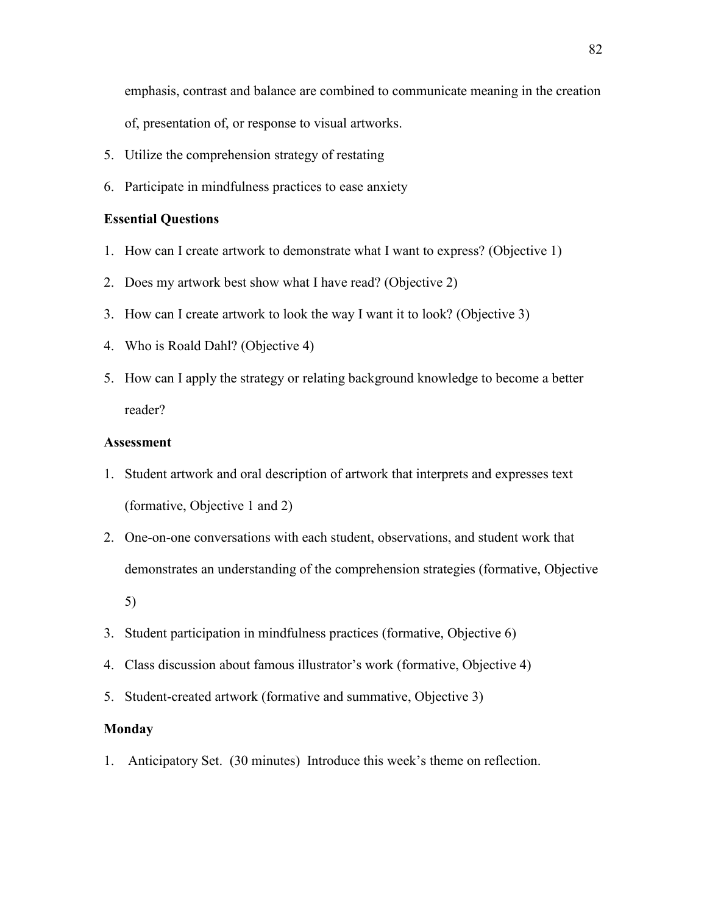emphasis, contrast and balance are combined to communicate meaning in the creation of, presentation of, or response to visual artworks.

- 5. Utilize the comprehension strategy of restating
- 6. Participate in mindfulness practices to ease anxiety

### **Essential Questions**

- 1. How can I create artwork to demonstrate what I want to express? (Objective 1)
- 2. Does my artwork best show what I have read? (Objective 2)
- 3. How can I create artwork to look the way I want it to look? (Objective 3)
- 4. Who is Roald Dahl? (Objective 4)
- 5. How can I apply the strategy or relating background knowledge to become a better reader?

### **Assessment**

- 1. Student artwork and oral description of artwork that interprets and expresses text (formative, Objective 1 and 2)
- 2. One-on-one conversations with each student, observations, and student work that demonstrates an understanding of the comprehension strategies (formative, Objective 5)
- 3. Student participation in mindfulness practices (formative, Objective 6)
- 4. Class discussion about famous illustrator's work (formative, Objective 4)
- 5. Student-created artwork (formative and summative, Objective 3)

### **Monday**

1. Anticipatory Set. (30 minutes) Introduce this week's theme on reflection.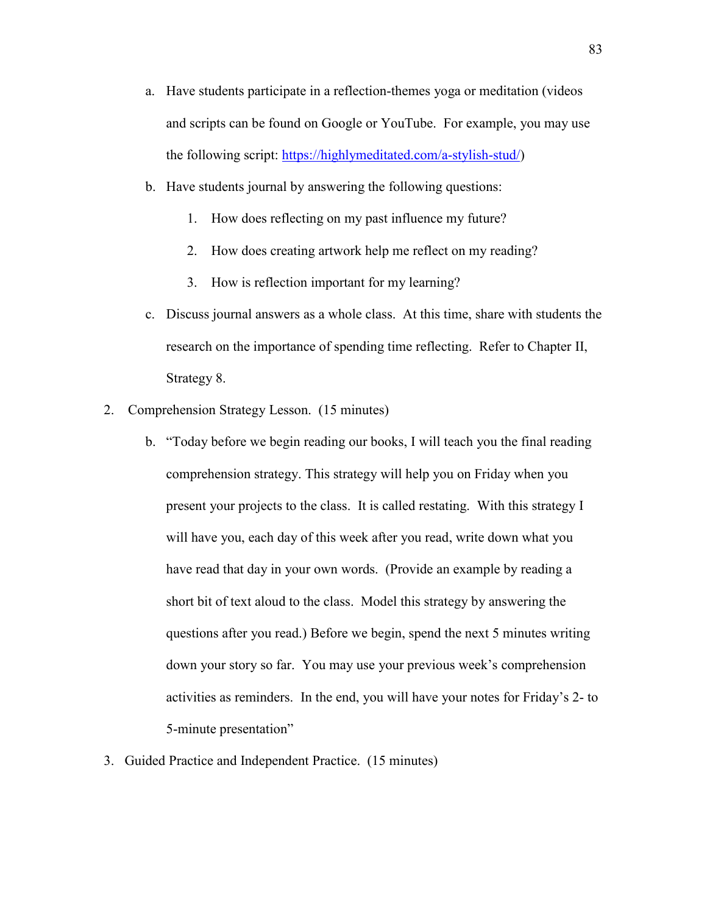- a. Have students participate in a reflection-themes yoga or meditation (videos and scripts can be found on Google or YouTube. For example, you may use the following script: [https://highlymeditated.com/a-stylish-stud/\)](https://highlymeditated.com/a-stylish-stud/)
- b. Have students journal by answering the following questions:
	- 1. How does reflecting on my past influence my future?
	- 2. How does creating artwork help me reflect on my reading?
	- 3. How is reflection important for my learning?
- c. Discuss journal answers as a whole class. At this time, share with students the research on the importance of spending time reflecting. Refer to Chapter II, Strategy 8.
- 2. Comprehension Strategy Lesson. (15 minutes)
	- b. "Today before we begin reading our books, I will teach you the final reading comprehension strategy. This strategy will help you on Friday when you present your projects to the class. It is called restating. With this strategy I will have you, each day of this week after you read, write down what you have read that day in your own words. (Provide an example by reading a short bit of text aloud to the class. Model this strategy by answering the questions after you read.) Before we begin, spend the next 5 minutes writing down your story so far. You may use your previous week's comprehension activities as reminders. In the end, you will have your notes for Friday's 2- to 5-minute presentation"
- 3. Guided Practice and Independent Practice. (15 minutes)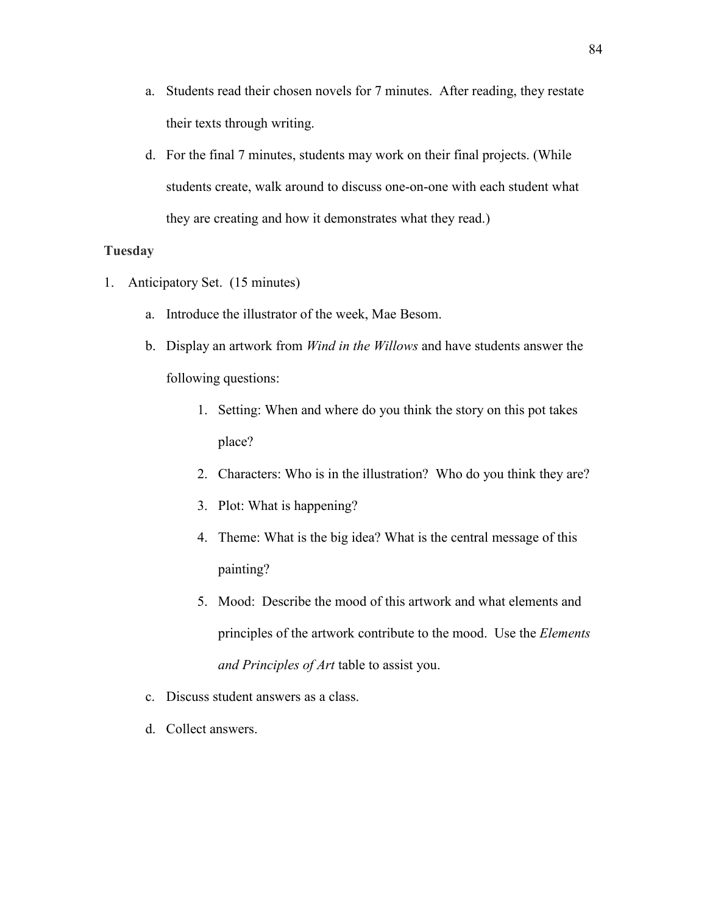- a. Students read their chosen novels for 7 minutes. After reading, they restate their texts through writing.
- d. For the final 7 minutes, students may work on their final projects. (While students create, walk around to discuss one-on-one with each student what they are creating and how it demonstrates what they read.)

### **Tuesday**

- 1. Anticipatory Set. (15 minutes)
	- a. Introduce the illustrator of the week, Mae Besom.
	- b. Display an artwork from *Wind in the Willows* and have students answer the following questions:
		- 1. Setting: When and where do you think the story on this pot takes place?
		- 2. Characters: Who is in the illustration? Who do you think they are?
		- 3. Plot: What is happening?
		- 4. Theme: What is the big idea? What is the central message of this painting?
		- 5. Mood: Describe the mood of this artwork and what elements and principles of the artwork contribute to the mood. Use the *Elements and Principles of Art* table to assist you.
	- c. Discuss student answers as a class.
	- d. Collect answers.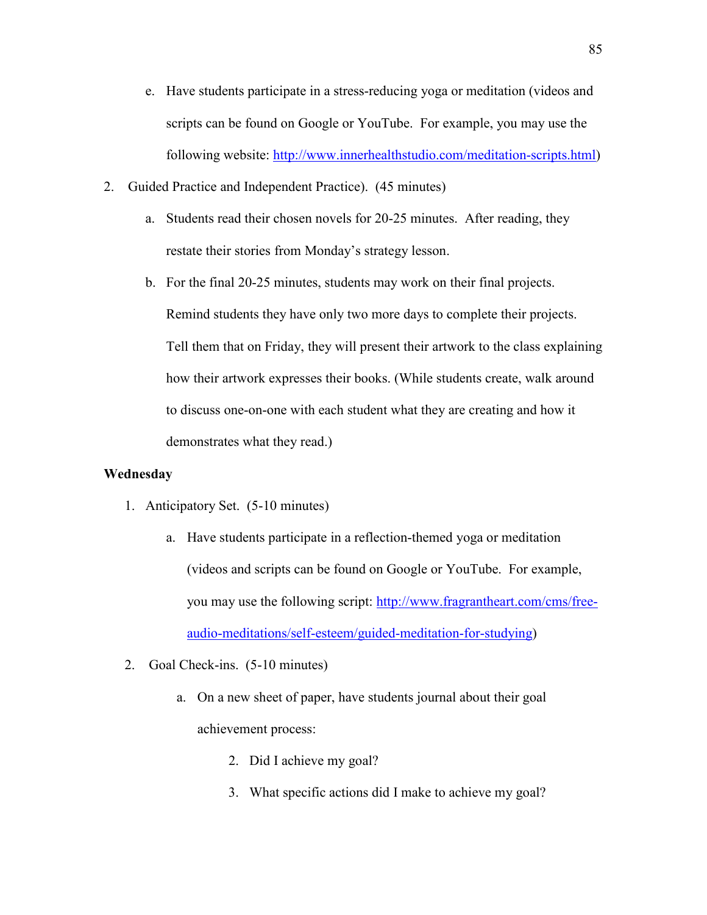- e. Have students participate in a stress-reducing yoga or meditation (videos and scripts can be found on Google or YouTube. For example, you may use the following website: [http://www.innerhealthstudio.com/meditation-scripts.html\)](http://www.innerhealthstudio.com/meditation-scripts.html)
- 2. Guided Practice and Independent Practice). (45 minutes)
	- a. Students read their chosen novels for 20-25 minutes. After reading, they restate their stories from Monday's strategy lesson.
	- b. For the final 20-25 minutes, students may work on their final projects. Remind students they have only two more days to complete their projects. Tell them that on Friday, they will present their artwork to the class explaining how their artwork expresses their books. (While students create, walk around to discuss one-on-one with each student what they are creating and how it demonstrates what they read.)

### **Wednesday**

- 1. Anticipatory Set. (5-10 minutes)
	- a. Have students participate in a reflection-themed yoga or meditation (videos and scripts can be found on Google or YouTube. For example, you may use the following script: [http://www.fragrantheart.com/cms/free](http://www.fragrantheart.com/cms/free-audio-meditations/self-esteem/guided-meditation-for-studying)[audio-meditations/self-esteem/guided-meditation-for-studying\)](http://www.fragrantheart.com/cms/free-audio-meditations/self-esteem/guided-meditation-for-studying)
- 2. Goal Check-ins. (5-10 minutes)
	- a. On a new sheet of paper, have students journal about their goal achievement process:
		- 2. Did I achieve my goal?
		- 3. What specific actions did I make to achieve my goal?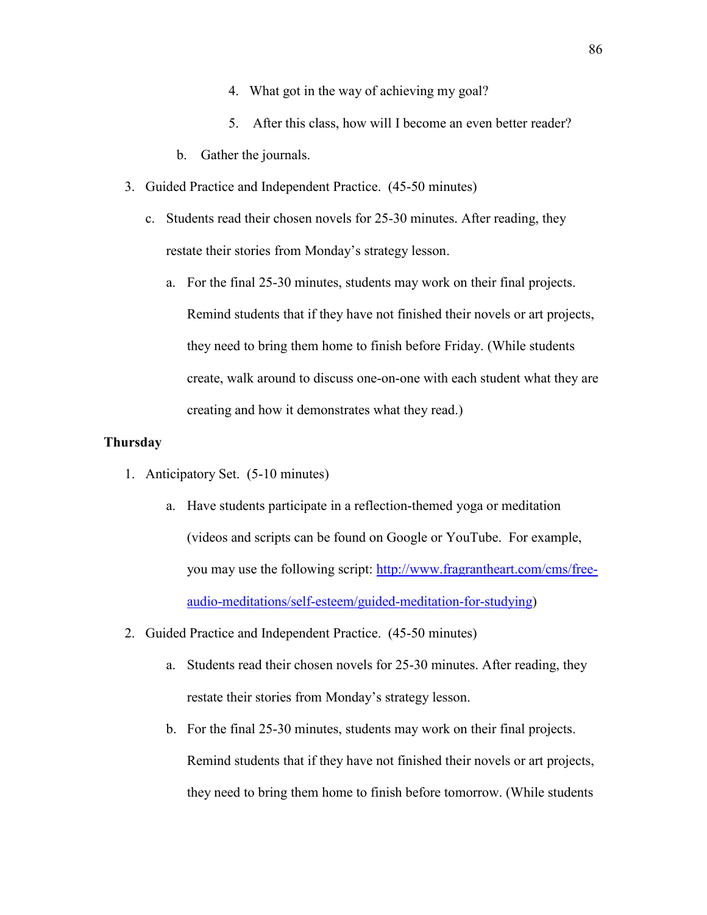- 4. What got in the way of achieving my goal?
- 5. After this class, how will I become an even better reader?
- b. Gather the journals.
- 3. Guided Practice and Independent Practice. (45-50 minutes)
	- c. Students read their chosen novels for 25-30 minutes. After reading, they restate their stories from Monday's strategy lesson.
		- a. For the final 25-30 minutes, students may work on their final projects. Remind students that if they have not finished their novels or art projects, they need to bring them home to finish before Friday. (While students create, walk around to discuss one-on-one with each student what they are creating and how it demonstrates what they read.)

## **Thursday**

- 1. Anticipatory Set. (5-10 minutes)
	- a. Have students participate in a reflection-themed yoga or meditation (videos and scripts can be found on Google or YouTube. For example, you may use the following script: [http://www.fragrantheart.com/cms/free](http://www.fragrantheart.com/cms/free-audio-meditations/self-esteem/guided-meditation-for-studying)[audio-meditations/self-esteem/guided-meditation-for-studying\)](http://www.fragrantheart.com/cms/free-audio-meditations/self-esteem/guided-meditation-for-studying)
- 2. Guided Practice and Independent Practice. (45-50 minutes)
	- a. Students read their chosen novels for 25-30 minutes. After reading, they restate their stories from Monday's strategy lesson.
	- b. For the final 25-30 minutes, students may work on their final projects. Remind students that if they have not finished their novels or art projects, they need to bring them home to finish before tomorrow. (While students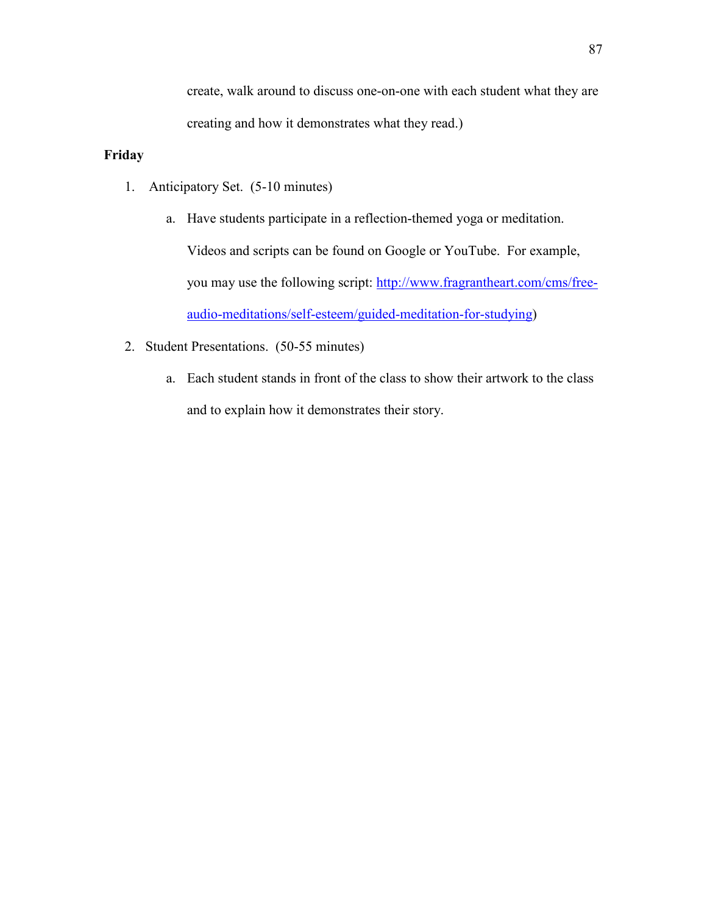create, walk around to discuss one-on-one with each student what they are creating and how it demonstrates what they read.)

# **Friday**

- 1. Anticipatory Set. (5-10 minutes)
	- a. Have students participate in a reflection-themed yoga or meditation. Videos and scripts can be found on Google or YouTube. For example, you may use the following script: [http://www.fragrantheart.com/cms/free](http://www.fragrantheart.com/cms/free-audio-meditations/self-esteem/guided-meditation-for-studying)[audio-meditations/self-esteem/guided-meditation-for-studying\)](http://www.fragrantheart.com/cms/free-audio-meditations/self-esteem/guided-meditation-for-studying)
- 2. Student Presentations. (50-55 minutes)
	- a. Each student stands in front of the class to show their artwork to the class and to explain how it demonstrates their story.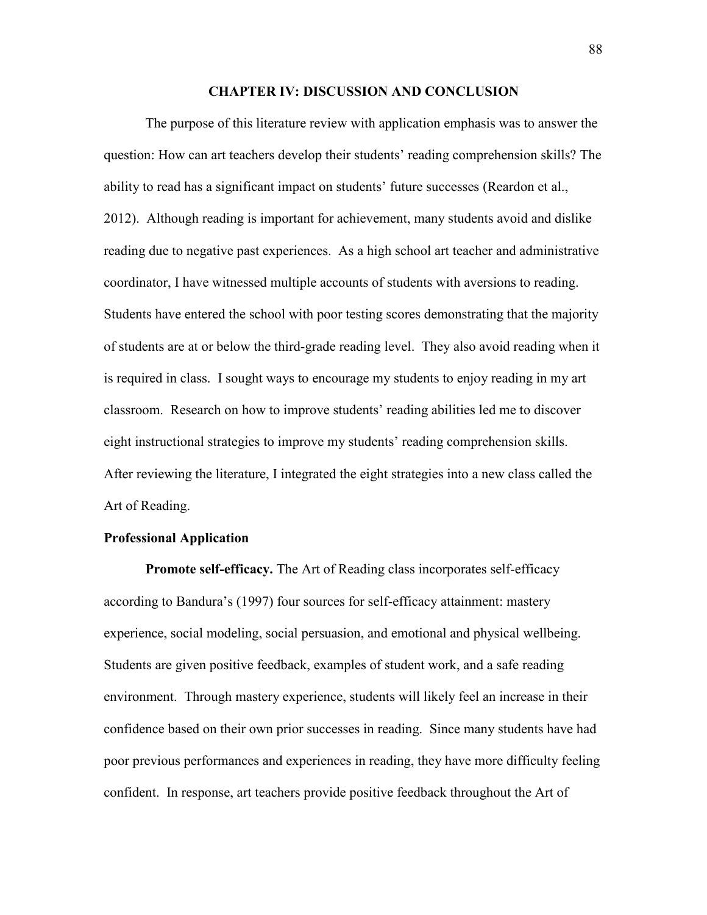#### **CHAPTER IV: DISCUSSION AND CONCLUSION**

 The purpose of this literature review with application emphasis was to answer the question: How can art teachers develop their students' reading comprehension skills? The ability to read has a significant impact on students' future successes (Reardon et al., 2012). Although reading is important for achievement, many students avoid and dislike reading due to negative past experiences. As a high school art teacher and administrative coordinator, I have witnessed multiple accounts of students with aversions to reading. Students have entered the school with poor testing scores demonstrating that the majority of students are at or below the third-grade reading level. They also avoid reading when it is required in class. I sought ways to encourage my students to enjoy reading in my art classroom. Research on how to improve students' reading abilities led me to discover eight instructional strategies to improve my students' reading comprehension skills. After reviewing the literature, I integrated the eight strategies into a new class called the Art of Reading.

### **Professional Application**

**Promote self-efficacy.** The Art of Reading class incorporates self-efficacy according to Bandura's (1997) four sources for self-efficacy attainment: mastery experience, social modeling, social persuasion, and emotional and physical wellbeing. Students are given positive feedback, examples of student work, and a safe reading environment.Through mastery experience, students will likely feel an increase in their confidence based on their own prior successes in reading. Since many students have had poor previous performances and experiences in reading, they have more difficulty feeling confident. In response, art teachers provide positive feedback throughout the Art of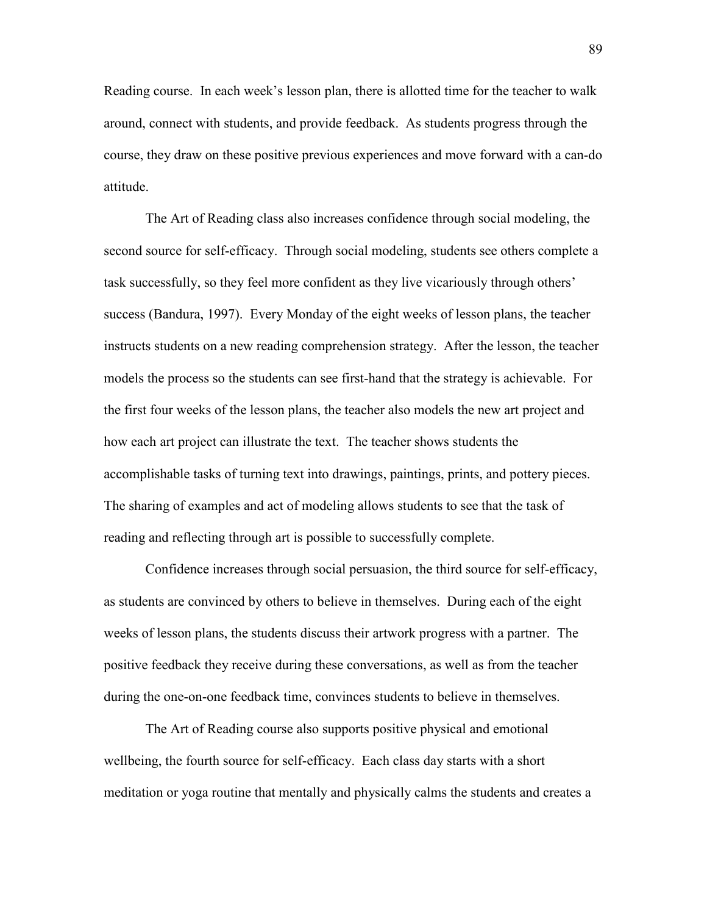Reading course. In each week's lesson plan, there is allotted time for the teacher to walk around, connect with students, and provide feedback. As students progress through the course, they draw on these positive previous experiences and move forward with a can-do attitude.

The Art of Reading class also increases confidence through social modeling, the second source for self-efficacy. Through social modeling, students see others complete a task successfully, so they feel more confident as they live vicariously through others' success (Bandura, 1997). Every Monday of the eight weeks of lesson plans, the teacher instructs students on a new reading comprehension strategy. After the lesson, the teacher models the process so the students can see first-hand that the strategy is achievable. For the first four weeks of the lesson plans, the teacher also models the new art project and how each art project can illustrate the text. The teacher shows students the accomplishable tasks of turning text into drawings, paintings, prints, and pottery pieces. The sharing of examples and act of modeling allows students to see that the task of reading and reflecting through art is possible to successfully complete.

 Confidence increases through social persuasion, the third source for self-efficacy, as students are convinced by others to believe in themselves. During each of the eight weeks of lesson plans, the students discuss their artwork progress with a partner. The positive feedback they receive during these conversations, as well as from the teacher during the one-on-one feedback time, convinces students to believe in themselves.

 The Art of Reading course also supports positive physical and emotional wellbeing, the fourth source for self-efficacy. Each class day starts with a short meditation or yoga routine that mentally and physically calms the students and creates a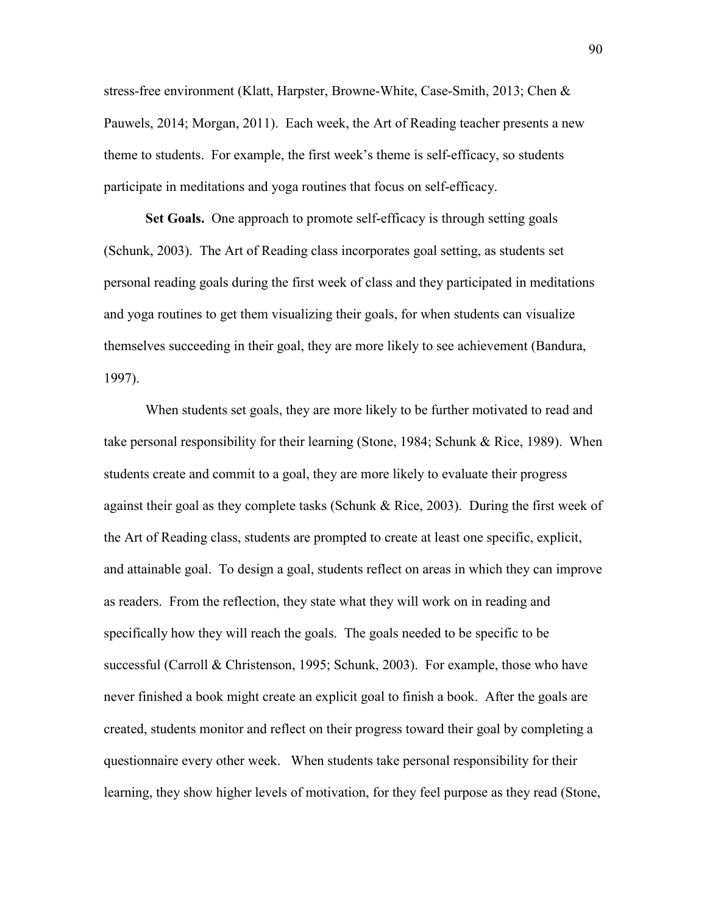stress-free environment (Klatt, Harpster, Browne-White, Case-Smith, 2013; Chen & Pauwels, 2014; Morgan, 2011). Each week, the Art of Reading teacher presents a new theme to students. For example, the first week's theme is self-efficacy, so students participate in meditations and yoga routines that focus on self-efficacy.

 **Set Goals.** One approach to promote self-efficacy is through setting goals (Schunk, 2003). The Art of Reading class incorporates goal setting, as students set personal reading goals during the first week of class and they participated in meditations and yoga routines to get them visualizing their goals, for when students can visualize themselves succeeding in their goal, they are more likely to see achievement (Bandura, 1997).

 When students set goals, they are more likely to be further motivated to read and take personal responsibility for their learning (Stone, 1984; Schunk & Rice, 1989). When students create and commit to a goal, they are more likely to evaluate their progress against their goal as they complete tasks (Schunk & Rice, 2003). During the first week of the Art of Reading class, students are prompted to create at least one specific, explicit, and attainable goal. To design a goal, students reflect on areas in which they can improve as readers. From the reflection, they state what they will work on in reading and specifically how they will reach the goals. The goals needed to be specific to be successful (Carroll & Christenson, 1995; Schunk, 2003). For example, those who have never finished a book might create an explicit goal to finish a book. After the goals are created, students monitor and reflect on their progress toward their goal by completing a questionnaire every other week. When students take personal responsibility for their learning, they show higher levels of motivation, for they feel purpose as they read (Stone,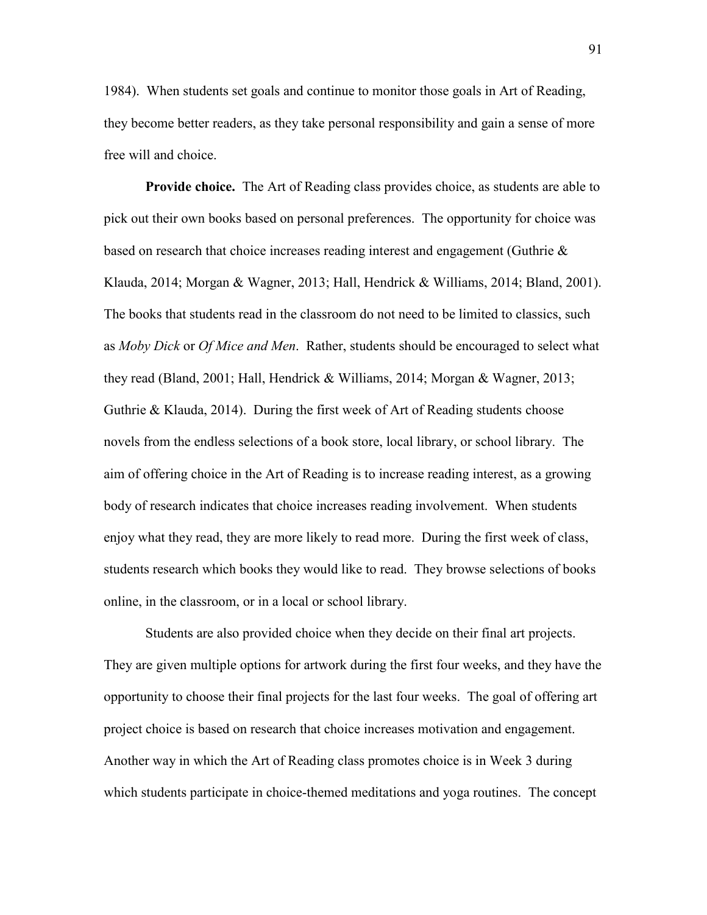1984). When students set goals and continue to monitor those goals in Art of Reading, they become better readers, as they take personal responsibility and gain a sense of more free will and choice.

**Provide choice.** The Art of Reading class provides choice, as students are able to pick out their own books based on personal preferences. The opportunity for choice was based on research that choice increases reading interest and engagement (Guthrie  $\&$ Klauda, 2014; Morgan & Wagner, 2013; Hall, Hendrick & Williams, 2014; Bland, 2001). The books that students read in the classroom do not need to be limited to classics, such as *Moby Dick* or *Of Mice and Men*.Rather, students should be encouraged to select what they read (Bland, 2001; Hall, Hendrick & Williams, 2014; Morgan & Wagner, 2013; Guthrie & Klauda, 2014). During the first week of Art of Reading students choose novels from the endless selections of a book store, local library, or school library. The aim of offering choice in the Art of Reading is to increase reading interest, as a growing body of research indicates that choice increases reading involvement. When students enjoy what they read, they are more likely to read more. During the first week of class, students research which books they would like to read. They browse selections of books online, in the classroom, or in a local or school library.

 Students are also provided choice when they decide on their final art projects. They are given multiple options for artwork during the first four weeks, and they have the opportunity to choose their final projects for the last four weeks. The goal of offering art project choice is based on research that choice increases motivation and engagement. Another way in which the Art of Reading class promotes choice is in Week 3 during which students participate in choice-themed meditations and yoga routines. The concept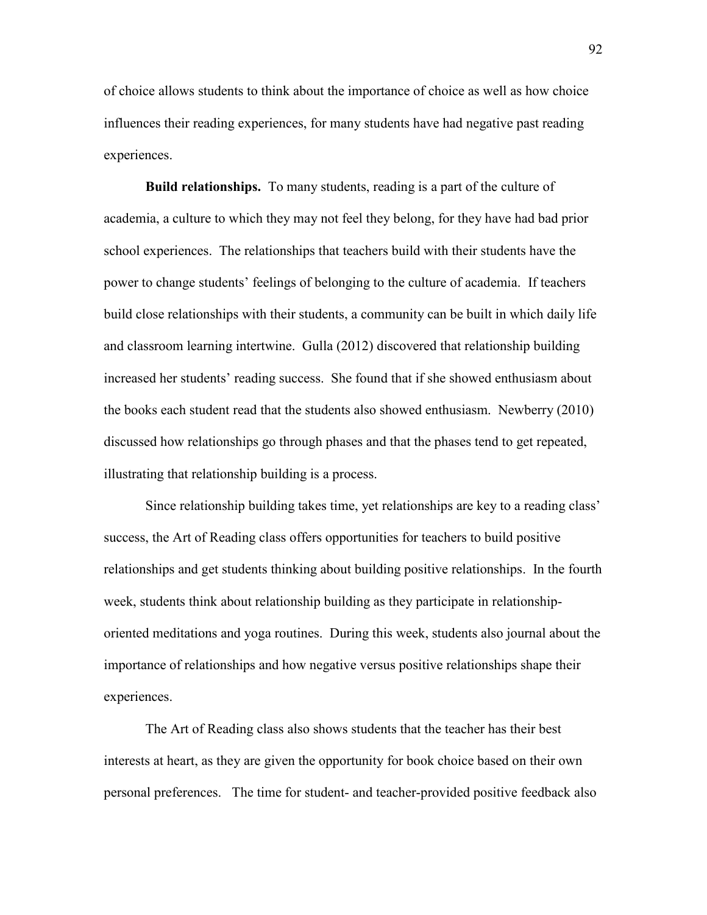of choice allows students to think about the importance of choice as well as how choice influences their reading experiences, for many students have had negative past reading experiences.

**Build relationships.** To many students, reading is a part of the culture of academia, a culture to which they may not feel they belong, for they have had bad prior school experiences. The relationships that teachers build with their students have the power to change students' feelings of belonging to the culture of academia. If teachers build close relationships with their students, a community can be built in which daily life and classroom learning intertwine. Gulla (2012) discovered that relationship building increased her students' reading success. She found that if she showed enthusiasm about the books each student read that the students also showed enthusiasm. Newberry (2010) discussed how relationships go through phases and that the phases tend to get repeated, illustrating that relationship building is a process.

Since relationship building takes time, yet relationships are key to a reading class' success, the Art of Reading class offers opportunities for teachers to build positive relationships and get students thinking about building positive relationships. In the fourth week, students think about relationship building as they participate in relationshiporiented meditations and yoga routines. During this week, students also journal about the importance of relationships and how negative versus positive relationships shape their experiences.

The Art of Reading class also shows students that the teacher has their best interests at heart, as they are given the opportunity for book choice based on their own personal preferences. The time for student- and teacher-provided positive feedback also

92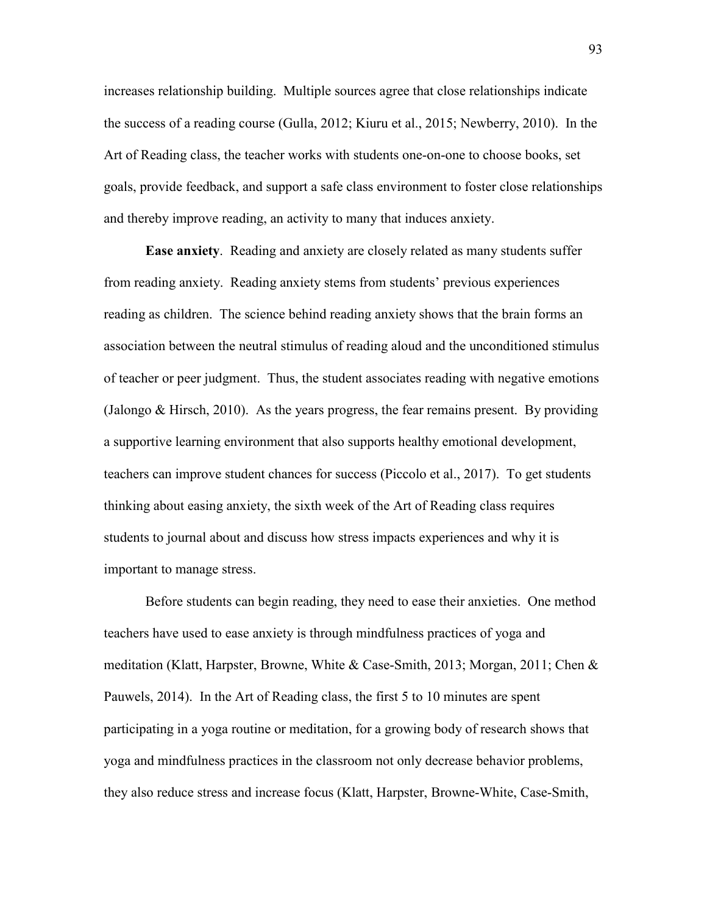increases relationship building. Multiple sources agree that close relationships indicate the success of a reading course (Gulla, 2012; Kiuru et al., 2015; Newberry, 2010). In the Art of Reading class, the teacher works with students one-on-one to choose books, set goals, provide feedback, and support a safe class environment to foster close relationships and thereby improve reading, an activity to many that induces anxiety.

**Ease anxiety**. Reading and anxiety are closely related as many students suffer from reading anxiety. Reading anxiety stems from students' previous experiences reading as children. The science behind reading anxiety shows that the brain forms an association between the neutral stimulus of reading aloud and the unconditioned stimulus of teacher or peer judgment. Thus, the student associates reading with negative emotions (Jalongo & Hirsch, 2010). As the years progress, the fear remains present. By providing a supportive learning environment that also supports healthy emotional development, teachers can improve student chances for success (Piccolo et al., 2017). To get students thinking about easing anxiety, the sixth week of the Art of Reading class requires students to journal about and discuss how stress impacts experiences and why it is important to manage stress.

 Before students can begin reading, they need to ease their anxieties. One method teachers have used to ease anxiety is through mindfulness practices of yoga and meditation (Klatt, Harpster, Browne, White & Case-Smith, 2013; Morgan, 2011; Chen & Pauwels, 2014). In the Art of Reading class, the first 5 to 10 minutes are spent participating in a yoga routine or meditation, for a growing body of research shows that yoga and mindfulness practices in the classroom not only decrease behavior problems, they also reduce stress and increase focus (Klatt, Harpster, Browne-White, Case-Smith,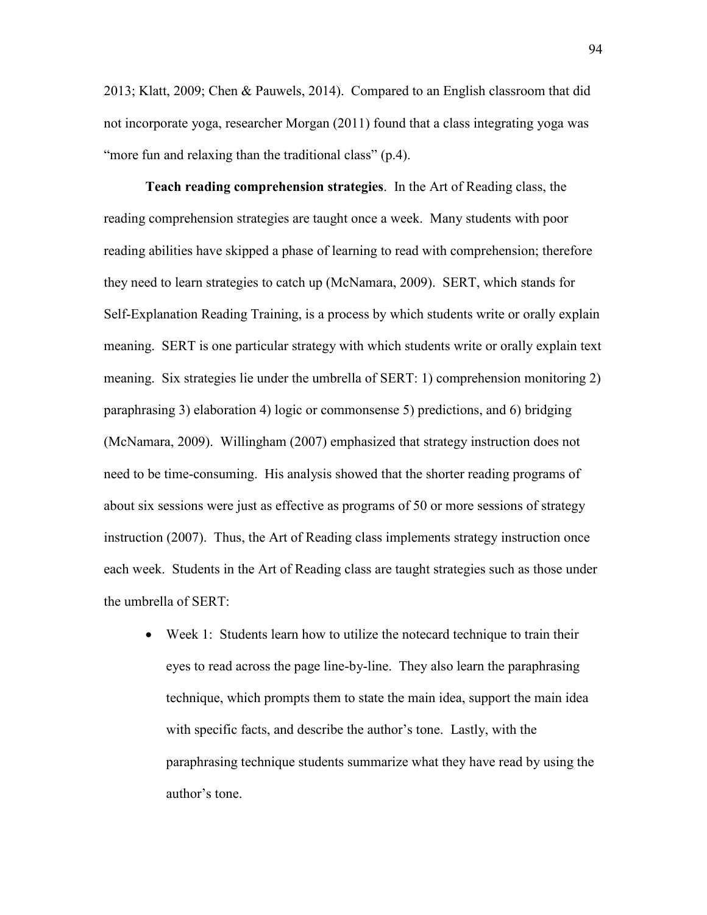2013; Klatt, 2009; Chen & Pauwels, 2014). Compared to an English classroom that did not incorporate yoga, researcher Morgan (2011) found that a class integrating yoga was "more fun and relaxing than the traditional class" (p.4).

 **Teach reading comprehension strategies**. In the Art of Reading class, the reading comprehension strategies are taught once a week. Many students with poor reading abilities have skipped a phase of learning to read with comprehension; therefore they need to learn strategies to catch up (McNamara, 2009). SERT, which stands for Self-Explanation Reading Training, is a process by which students write or orally explain meaning. SERT is one particular strategy with which students write or orally explain text meaning. Six strategies lie under the umbrella of SERT: 1) comprehension monitoring 2) paraphrasing 3) elaboration 4) logic or commonsense 5) predictions, and 6) bridging (McNamara, 2009). Willingham (2007) emphasized that strategy instruction does not need to be time-consuming. His analysis showed that the shorter reading programs of about six sessions were just as effective as programs of 50 or more sessions of strategy instruction (2007). Thus, the Art of Reading class implements strategy instruction once each week. Students in the Art of Reading class are taught strategies such as those under the umbrella of SERT:

• Week 1: Students learn how to utilize the notecard technique to train their eyes to read across the page line-by-line. They also learn the paraphrasing technique, which prompts them to state the main idea, support the main idea with specific facts, and describe the author's tone. Lastly, with the paraphrasing technique students summarize what they have read by using the author's tone.

94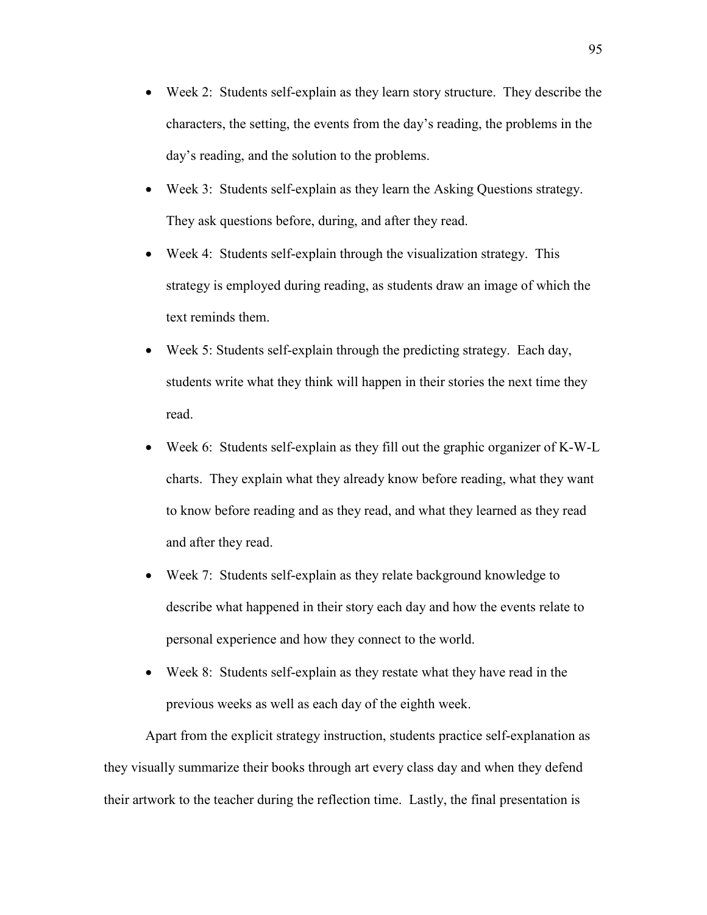- Week 2: Students self-explain as they learn story structure. They describe the characters, the setting, the events from the day's reading, the problems in the day's reading, and the solution to the problems.
- Week 3: Students self-explain as they learn the Asking Questions strategy. They ask questions before, during, and after they read.
- Week 4: Students self-explain through the visualization strategy. This strategy is employed during reading, as students draw an image of which the text reminds them.
- Week 5: Students self-explain through the predicting strategy. Each day, students write what they think will happen in their stories the next time they read.
- Week 6: Students self-explain as they fill out the graphic organizer of K-W-L charts. They explain what they already know before reading, what they want to know before reading and as they read, and what they learned as they read and after they read.
- Week 7: Students self-explain as they relate background knowledge to describe what happened in their story each day and how the events relate to personal experience and how they connect to the world.
- Week 8: Students self-explain as they restate what they have read in the previous weeks as well as each day of the eighth week.

Apart from the explicit strategy instruction, students practice self-explanation as they visually summarize their books through art every class day and when they defend their artwork to the teacher during the reflection time. Lastly, the final presentation is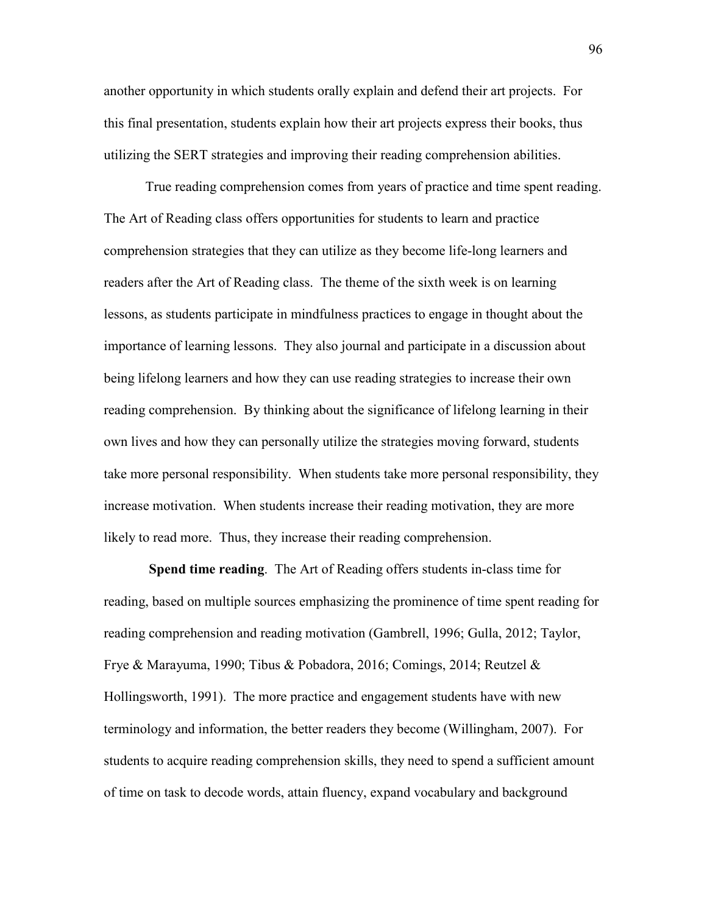another opportunity in which students orally explain and defend their art projects. For this final presentation, students explain how their art projects express their books, thus utilizing the SERT strategies and improving their reading comprehension abilities.

True reading comprehension comes from years of practice and time spent reading. The Art of Reading class offers opportunities for students to learn and practice comprehension strategies that they can utilize as they become life-long learners and readers after the Art of Reading class. The theme of the sixth week is on learning lessons, as students participate in mindfulness practices to engage in thought about the importance of learning lessons. They also journal and participate in a discussion about being lifelong learners and how they can use reading strategies to increase their own reading comprehension. By thinking about the significance of lifelong learning in their own lives and how they can personally utilize the strategies moving forward, students take more personal responsibility. When students take more personal responsibility, they increase motivation. When students increase their reading motivation, they are more likely to read more. Thus, they increase their reading comprehension.

 **Spend time reading**. The Art of Reading offers students in-class time for reading, based on multiple sources emphasizing the prominence of time spent reading for reading comprehension and reading motivation (Gambrell, 1996; Gulla, 2012; Taylor, Frye & Marayuma, 1990; Tibus & Pobadora, 2016; Comings, 2014; Reutzel & Hollingsworth, 1991). The more practice and engagement students have with new terminology and information, the better readers they become (Willingham, 2007). For students to acquire reading comprehension skills, they need to spend a sufficient amount of time on task to decode words, attain fluency, expand vocabulary and background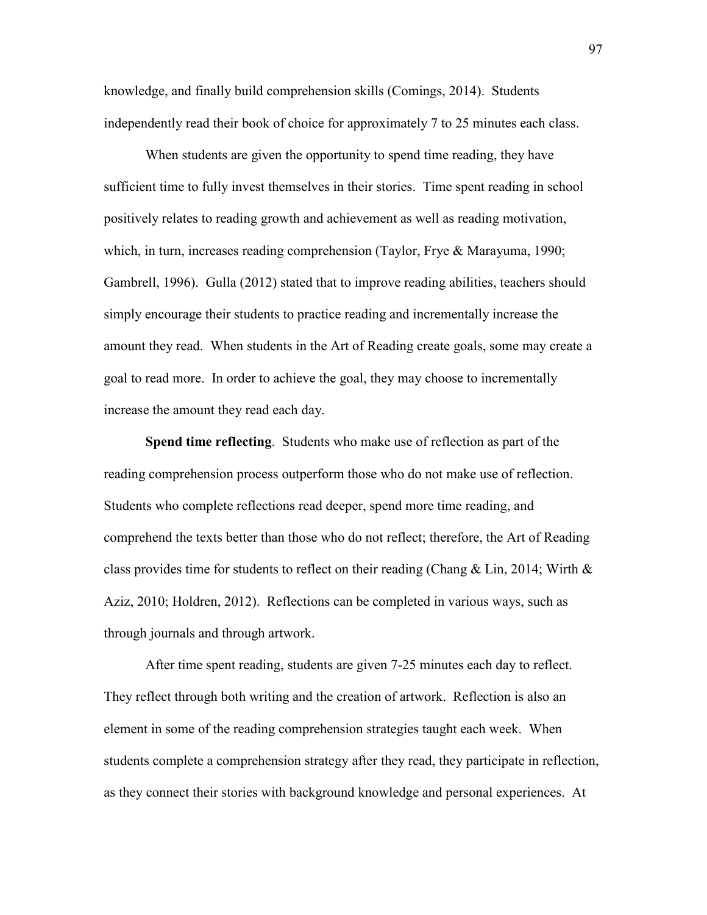knowledge, and finally build comprehension skills (Comings, 2014). Students independently read their book of choice for approximately 7 to 25 minutes each class.

When students are given the opportunity to spend time reading, they have sufficient time to fully invest themselves in their stories. Time spent reading in school positively relates to reading growth and achievement as well as reading motivation, which, in turn, increases reading comprehension (Taylor, Frye & Marayuma, 1990; Gambrell, 1996). Gulla (2012) stated that to improve reading abilities, teachers should simply encourage their students to practice reading and incrementally increase the amount they read. When students in the Art of Reading create goals, some may create a goal to read more. In order to achieve the goal, they may choose to incrementally increase the amount they read each day.

**Spend time reflecting**. Students who make use of reflection as part of the reading comprehension process outperform those who do not make use of reflection. Students who complete reflections read deeper, spend more time reading, and comprehend the texts better than those who do not reflect; therefore, the Art of Reading class provides time for students to reflect on their reading (Chang & Lin, 2014; Wirth & Aziz, 2010; Holdren, 2012). Reflections can be completed in various ways, such as through journals and through artwork.

After time spent reading, students are given 7-25 minutes each day to reflect. They reflect through both writing and the creation of artwork. Reflection is also an element in some of the reading comprehension strategies taught each week. When students complete a comprehension strategy after they read, they participate in reflection, as they connect their stories with background knowledge and personal experiences. At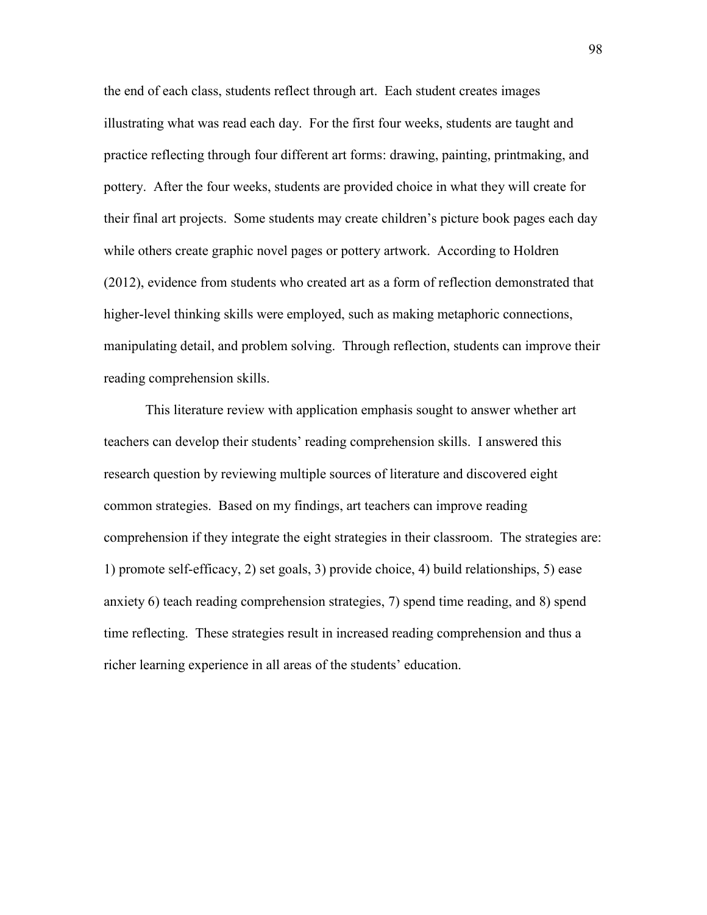the end of each class, students reflect through art. Each student creates images illustrating what was read each day. For the first four weeks, students are taught and practice reflecting through four different art forms: drawing, painting, printmaking, and pottery. After the four weeks, students are provided choice in what they will create for their final art projects. Some students may create children's picture book pages each day while others create graphic novel pages or pottery artwork. According to Holdren (2012), evidence from students who created art as a form of reflection demonstrated that higher-level thinking skills were employed, such as making metaphoric connections, manipulating detail, and problem solving. Through reflection, students can improve their reading comprehension skills.

This literature review with application emphasis sought to answer whether art teachers can develop their students' reading comprehension skills. I answered this research question by reviewing multiple sources of literature and discovered eight common strategies. Based on my findings, art teachers can improve reading comprehension if they integrate the eight strategies in their classroom. The strategies are: 1) promote self-efficacy, 2) set goals, 3) provide choice, 4) build relationships, 5) ease anxiety 6) teach reading comprehension strategies, 7) spend time reading, and 8) spend time reflecting. These strategies result in increased reading comprehension and thus a richer learning experience in all areas of the students' education.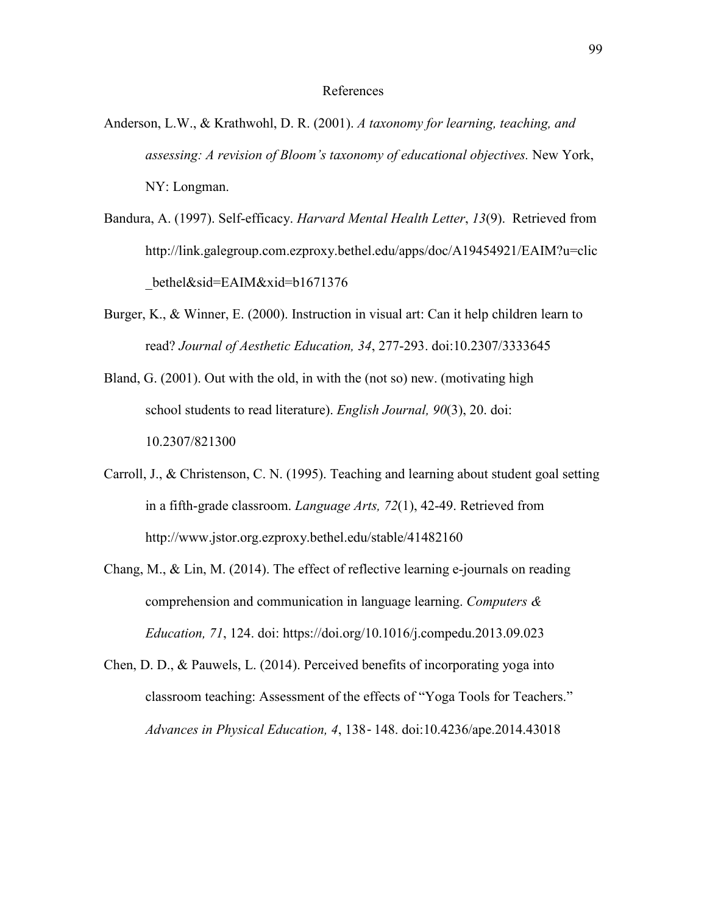#### References

- Anderson, L.W., & Krathwohl, D. R. (2001). *A taxonomy for learning, teaching, and assessing: A revision of Bloom's taxonomy of educational objectives.* New York, NY: Longman.
- Bandura, A. (1997). Self-efficacy. *Harvard Mental Health Letter*, *13*(9). Retrieved from http://link.galegroup.com.ezproxy.bethel.edu/apps/doc/A19454921/EAIM?u=clic \_bethel&sid=EAIM&xid=b1671376
- Burger, K., & Winner, E. (2000). Instruction in visual art: Can it help children learn to read? *Journal of Aesthetic Education, 34*, 277-293. doi:10.2307/3333645
- Bland, G. (2001). Out with the old, in with the (not so) new. (motivating high school students to read literature). *English Journal, 90*(3), 20. doi: 10.2307/821300
- Carroll, J., & Christenson, C. N. (1995). Teaching and learning about student goal setting in a fifth-grade classroom. *Language Arts, 72*(1), 42-49. Retrieved from http://www.jstor.org.ezproxy.bethel.edu/stable/41482160
- Chang, M., & Lin, M. (2014). The effect of reflective learning e-journals on reading comprehension and communication in language learning. *Computers & Education, 71*, 124. doi: https://doi.org/10.1016/j.compedu.2013.09.023
- Chen, D. D., & Pauwels, L. (2014). Perceived benefits of incorporating yoga into classroom teaching: Assessment of the effects of "Yoga Tools for Teachers." *Advances in Physical Education, 4*, 138‐148. doi:10.4236/ape.2014.43018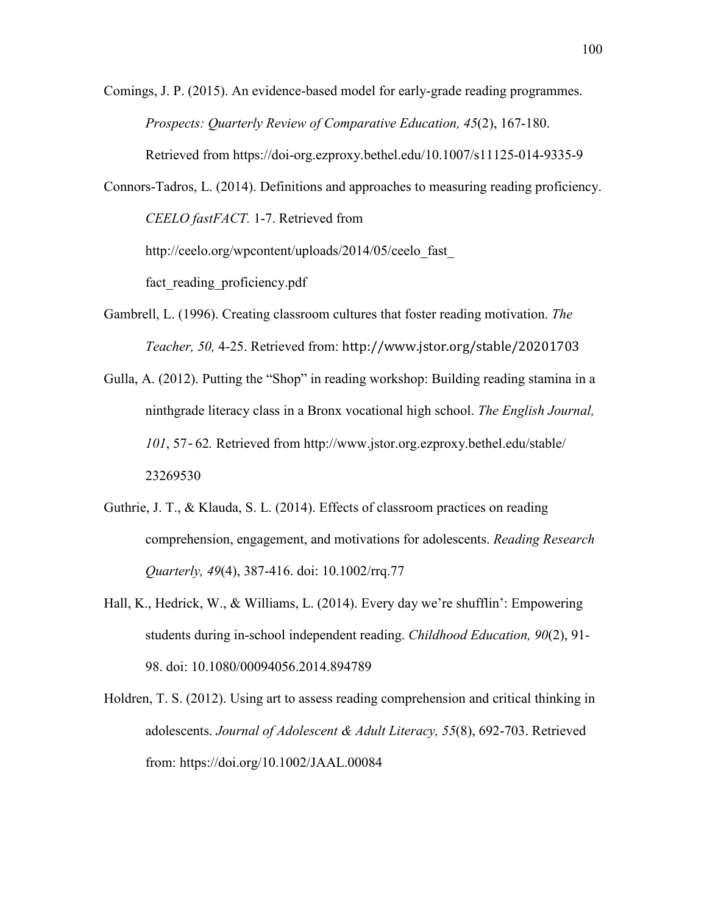Comings, J. P. (2015). An evidence-based model for early-grade reading programmes. *Prospects: Quarterly Review of Comparative Education, 45*(2), 167-180. Retrieved from<https://doi-org.ezproxy.bethel.edu/10.1007/s11125-014-9335-9>

Connors-Tadros, L. (2014). Definitions and approaches to measuring reading proficiency. *CEELO fastFACT.* 1-7. Retrieved from http://ceelo.org/wpcontent/uploads/2014/05/ceelo\_fast

fact reading proficiency.pdf

- Gambrell, L. (1996). Creating classroom cultures that foster reading motivation. *The Teacher, 50,* 4-25. Retrieved from: http://www.jstor.org/stable/20201703
- Gulla, A. (2012). Putting the "Shop" in reading workshop: Building reading stamina in a ninthgrade literacy class in a Bronx vocational high school. *The English Journal, 101*, 57‐62*.* Retrieved from http://www.jstor.org.ezproxy.bethel.edu/stable/ 23269530
- Guthrie, J. T., & Klauda, S. L. (2014). Effects of classroom practices on reading comprehension, engagement, and motivations for adolescents. *Reading Research Quarterly, 49*(4), 387-416. doi: 10.1002/rrq.77
- Hall, K., Hedrick, W., & Williams, L. (2014). Every day we're shufflin': Empowering students during in-school independent reading. *Childhood Education, 90*(2), 91- 98. doi: 10.1080/00094056.2014.894789
- Holdren, T. S. (2012). Using art to assess reading comprehension and critical thinking in adolescents. *Journal of Adolescent & Adult Literacy, 55*(8), 692-703. Retrieved from: https://doi.org/10.1002/JAAL.00084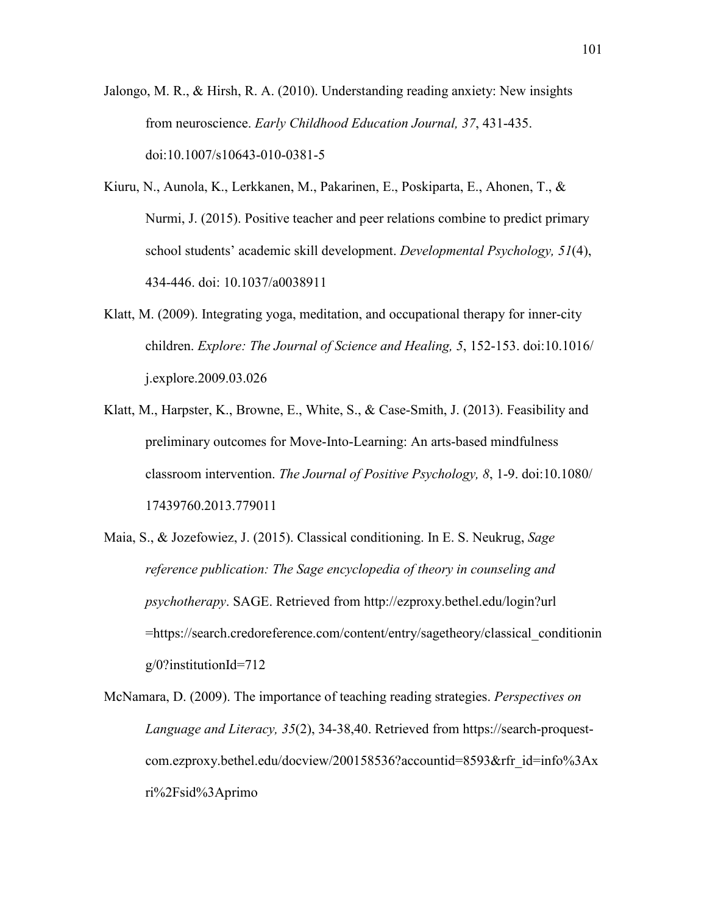Jalongo, M. R., & Hirsh, R. A. (2010). Understanding reading anxiety: New insights from neuroscience. *Early Childhood Education Journal, 37*, 431-435. doi:10.1007/s10643-010-0381-5

- Kiuru, N., Aunola, K., Lerkkanen, M., Pakarinen, E., Poskiparta, E., Ahonen, T., & Nurmi, J. (2015). Positive teacher and peer relations combine to predict primary school students' academic skill development. *Developmental Psychology, 51*(4), 434-446. doi: 10.1037/a0038911
- Klatt, M. (2009). Integrating yoga, meditation, and occupational therapy for inner-city children. *Explore: The Journal of Science and Healing, 5*, 152-153. doi:10.1016/ j.explore.2009.03.026
- Klatt, M., Harpster, K., Browne, E., White, S., & Case-Smith, J. (2013). Feasibility and preliminary outcomes for Move-Into-Learning: An arts-based mindfulness classroom intervention. *The Journal of Positive Psychology, 8*, 1-9. doi:10.1080/ 17439760.2013.779011
- Maia, S., & Jozefowiez, J. (2015). Classical conditioning. In E. S. Neukrug, *Sage reference publication: The Sage encyclopedia of theory in counseling and psychotherapy*. SAGE. Retrieved from http://ezproxy.bethel.edu/login?url =https://search.credoreference.com/content/entry/sagetheory/classical\_conditionin g/0?institutionId=712
- McNamara, D. (2009). The importance of teaching reading strategies. *Perspectives on Language and Literacy, 35*(2), 34-38,40. Retrieved from https://search-proquestcom.ezproxy.bethel.edu/docview/200158536?accountid=8593&rfr\_id=info%3Ax ri%2Fsid%3Aprimo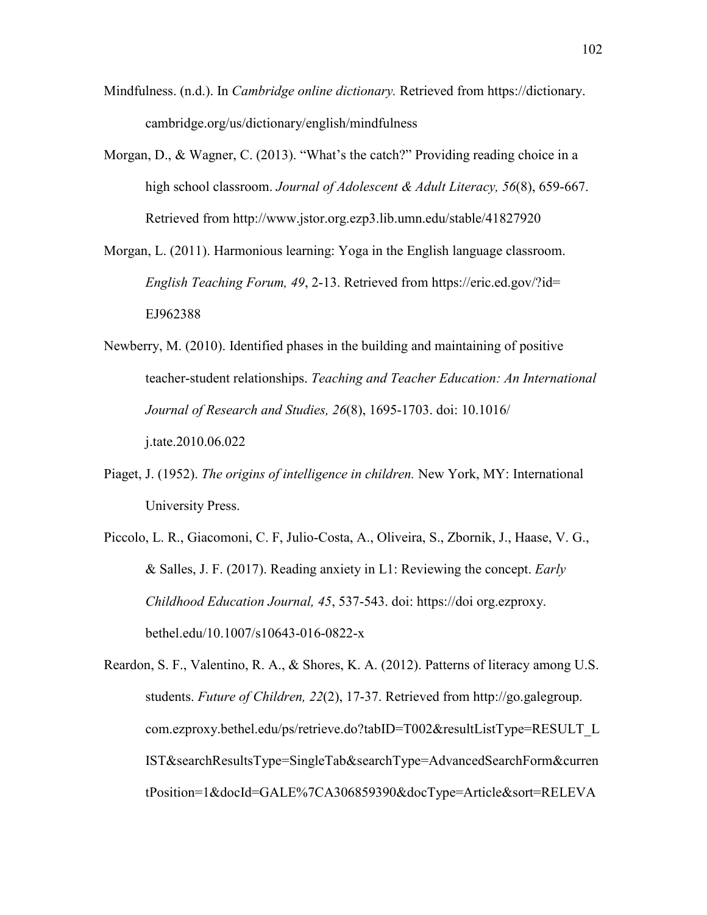- Mindfulness. (n.d.). In *Cambridge online dictionary.* Retrieved from https://dictionary. cambridge.org/us/dictionary/english/mindfulness
- Morgan, D., & Wagner, C. (2013). "What's the catch?" Providing reading choice in a high school classroom. *Journal of Adolescent & Adult Literacy, 56*(8), 659-667. Retrieved from http://www.jstor.org.ezp3.lib.umn.edu/stable/41827920

Morgan, L. (2011). Harmonious learning: Yoga in the English language classroom. *English Teaching Forum, 49*, 2-13. Retrieved from https://eric.ed.gov/?id= EJ962388

- Newberry, M. (2010). Identified phases in the building and maintaining of positive teacher-student relationships. *Teaching and Teacher Education: An International Journal of Research and Studies, 26*(8), 1695-1703. doi: 10.1016/ j.tate.2010.06.022
- Piaget, J. (1952). *The origins of intelligence in children.* New York, MY: International University Press.
- Piccolo, L. R., Giacomoni, C. F, Julio-Costa, A., Oliveira, S., Zbornik, J., Haase, V. G., & Salles, J. F. (2017). Reading anxiety in L1: Reviewing the concept. *Early Childhood Education Journal, 45*, 537-543. doi: https://doi org.ezproxy. bethel.edu/10.1007/s10643-016-0822-x

Reardon, S. F., Valentino, R. A., & Shores, K. A. (2012). Patterns of literacy among U.S. students. *Future of Children, 22*(2), 17-37. Retrieved from http://go.galegroup. com.ezproxy.bethel.edu/ps/retrieve.do?tabID=T002&resultListType=RESULT\_L IST&searchResultsType=SingleTab&searchType=AdvancedSearchForm&curren tPosition=1&docId=GALE%7CA306859390&docType=Article&sort=RELEVA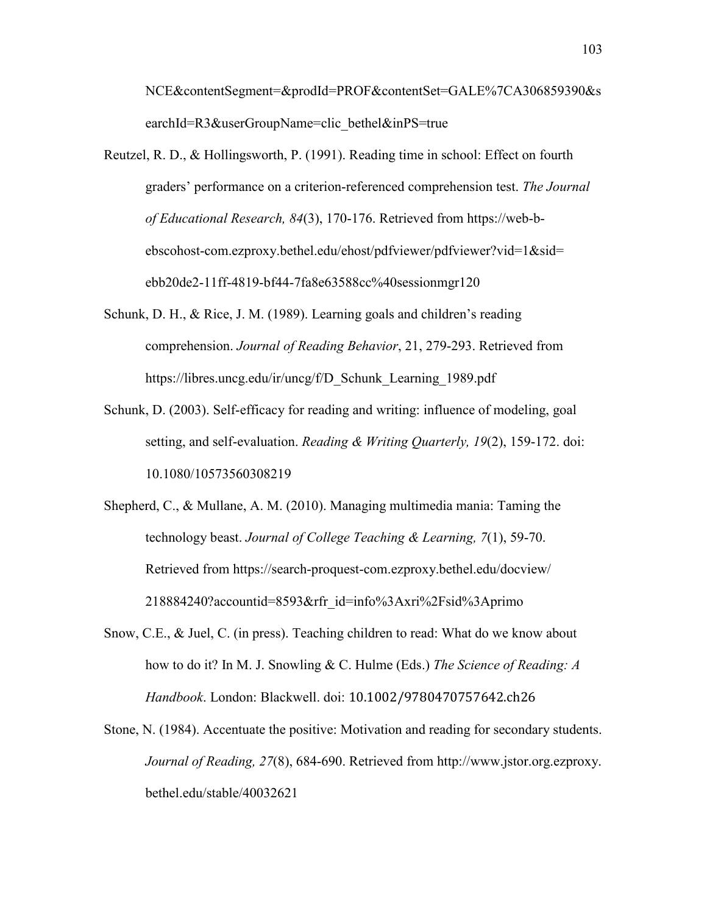NCE&contentSegment=&prodId=PROF&contentSet=GALE%7CA306859390&s earchId=R3&userGroupName=clic\_bethel&inPS=true

- Reutzel, R. D., & Hollingsworth, P. (1991). Reading time in school: Effect on fourth graders' performance on a criterion-referenced comprehension test. *The Journal of Educational Research, 84*(3), 170-176. Retrieved from [https://web-b](https://web-b-/)ebscohost-com.ezproxy.bethel.edu/ehost/pdfviewer/pdfviewer?vid=1&sid= ebb20de2-11ff-4819-bf44-7fa8e63588cc%40sessionmgr120
- Schunk, D. H., & Rice, J. M. (1989). Learning goals and children's reading comprehension. *Journal of Reading Behavior*, 21, 279-293. Retrieved from https://libres.uncg.edu/ir/uncg/f/D\_Schunk\_Learning\_1989.pdf
- Schunk, D. (2003). Self-efficacy for reading and writing: influence of modeling, goal setting, and self-evaluation. *Reading & Writing Quarterly, 19*(2), 159-172. doi: 10.1080/10573560308219
- Shepherd, C., & Mullane, A. M. (2010). Managing multimedia mania: Taming the technology beast. *Journal of College Teaching & Learning, 7*(1), 59-70. Retrieved from https://search-proquest-com.ezproxy.bethel.edu/docview/ 218884240?accountid=8593&rfr\_id=info%3Axri%2Fsid%3Aprimo
- Snow, C.E., & Juel, C. (in press). Teaching children to read: What do we know about how to do it? In M. J. Snowling & C. Hulme (Eds.) *The Science of Reading: A Handbook*. London: Blackwell. doi: 10.1002/9780470757642.ch26
- Stone, N. (1984). Accentuate the positive: Motivation and reading for secondary students. *Journal of Reading, 27*(8), 684-690. Retrieved from http://www.jstor.org.ezproxy. bethel.edu/stable/40032621